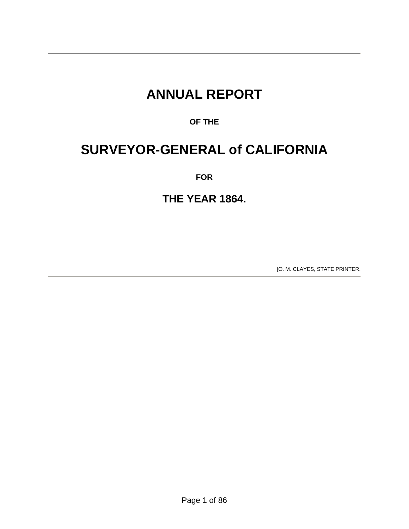## **ANNUAL REPORT**

## **OF THE**

## **SURVEYOR-GENERAL of CALIFORNIA**

**FOR** 

## **THE YEAR 1864.**

[O. M. CLAYES, STATE PRINTER.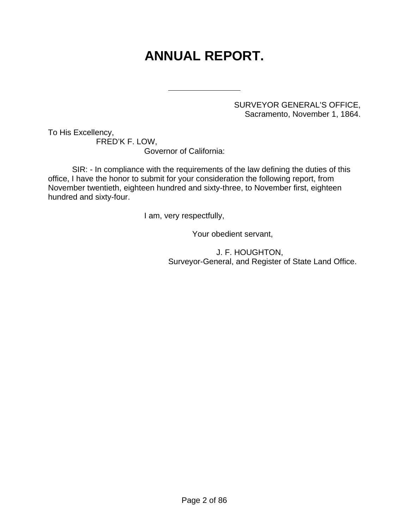# **ANNUAL REPORT.**

SURVEYOR GENERAL'S OFFICE, Sacramento, November 1, 1864.

To His Excellency,

 FRED'K F. LOW, Governor of California:

l

 SIR: - In compliance with the requirements of the law defining the duties of this office, I have the honor to submit for your consideration the following report, from November twentieth, eighteen hundred and sixty-three, to November first, eighteen hundred and sixty-four.

I am, very respectfully,

Your obedient servant,

 J. F. HOUGHTON, Surveyor-General, and Register of State Land Office.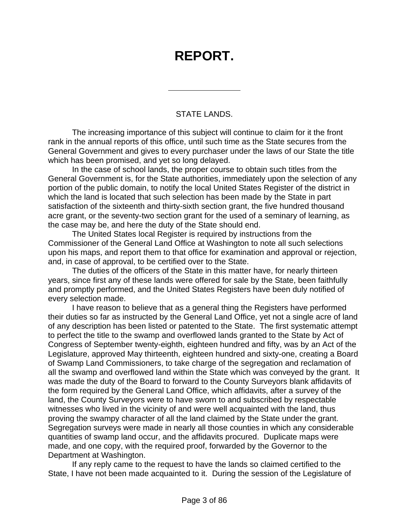## **REPORT.**

#### STATE LANDS.

 $\overline{a}$ 

 The increasing importance of this subject will continue to claim for it the front rank in the annual reports of this office, until such time as the State secures from the General Government and gives to every purchaser under the laws of our State the title which has been promised, and yet so long delayed.

 In the case of school lands, the proper course to obtain such titles from the General Government is, for the State authorities, immediately upon the selection of any portion of the public domain, to notify the local United States Register of the district in which the land is located that such selection has been made by the State in part satisfaction of the sixteenth and thirty-sixth section grant, the five hundred thousand acre grant, or the seventy-two section grant for the used of a seminary of learning, as the case may be, and here the duty of the State should end.

 The United States local Register is required by instructions from the Commissioner of the General Land Office at Washington to note all such selections upon his maps, and report them to that office for examination and approval or rejection, and, in case of approval, to be certified over to the State.

 The duties of the officers of the State in this matter have, for nearly thirteen years, since first any of these lands were offered for sale by the State, been faithfully and promptly performed, and the United States Registers have been duly notified of every selection made.

 I have reason to believe that as a general thing the Registers have performed their duties so far as instructed by the General Land Office, yet not a single acre of land of any description has been listed or patented to the State. The first systematic attempt to perfect the title to the swamp and overflowed lands granted to the State by Act of Congress of September twenty-eighth, eighteen hundred and fifty, was by an Act of the Legislature, approved May thirteenth, eighteen hundred and sixty-one, creating a Board of Swamp Land Commissioners, to take charge of the segregation and reclamation of all the swamp and overflowed land within the State which was conveyed by the grant. It was made the duty of the Board to forward to the County Surveyors blank affidavits of the form required by the General Land Office, which affidavits, after a survey of the land, the County Surveyors were to have sworn to and subscribed by respectable witnesses who lived in the vicinity of and were well acquainted with the land, thus proving the swampy character of all the land claimed by the State under the grant. Segregation surveys were made in nearly all those counties in which any considerable quantities of swamp land occur, and the affidavits procured. Duplicate maps were made, and one copy, with the required proof, forwarded by the Governor to the Department at Washington.

 If any reply came to the request to have the lands so claimed certified to the State, I have not been made acquainted to it. During the session of the Legislature of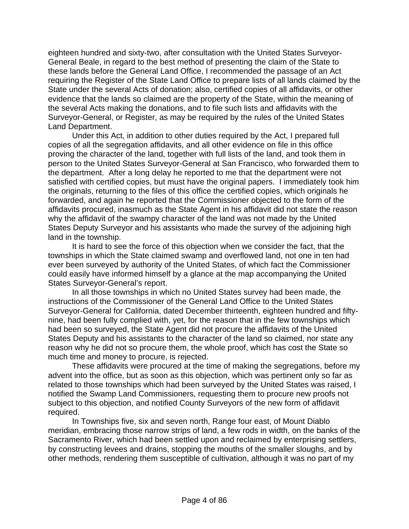eighteen hundred and sixty-two, after consultation with the United States Surveyor-General Beale, in regard to the best method of presenting the claim of the State to these lands before the General Land Office, I recommended the passage of an Act requiring the Register of the State Land Office to prepare lists of all lands claimed by the State under the several Acts of donation; also, certified copies of all affidavits, or other evidence that the lands so claimed are the property of the State, within the meaning of the several Acts making the donations, and to file such lists and affidavits with the Surveyor-General, or Register, as may be required by the rules of the United States Land Department.

 Under this Act, in addition to other duties required by the Act, I prepared full copies of all the segregation affidavits, and all other evidence on file in this office proving the character of the land, together with full lists of the land, and took them in person to the United States Surveyor-General at San Francisco, who forwarded them to the department. After a long delay he reported to me that the department were not satisfied with certified copies, but must have the original papers. I immediately took him the originals, returning to the files of this office the certified copies, which originals he forwarded, and again he reported that the Commissioner objected to the form of the affidavits procured, inasmuch as the State Agent in his affidavit did not state the reason why the affidavit of the swampy character of the land was not made by the United States Deputy Surveyor and his assistants who made the survey of the adjoining high land in the township.

 It is hard to see the force of this objection when we consider the fact, that the townships in which the State claimed swamp and overflowed land, not one in ten had ever been surveyed by authority of the United States, of which fact the Commissioner could easily have informed himself by a glance at the map accompanying the United States Surveyor-General's report.

 In all those townships in which no United States survey had been made, the instructions of the Commissioner of the General Land Office to the United States Surveyor-General for California, dated December thirteenth, eighteen hundred and fiftynine, had been fully complied with, yet, for the reason that in the few townships which had been so surveyed, the State Agent did not procure the affidavits of the United States Deputy and his assistants to the character of the land so claimed, nor state any reason why he did not so procure them, the whole proof, which has cost the State so much time and money to procure, is rejected.

 These affidavits were procured at the time of making the segregations, before my advent into the office, but as soon as this objection, which was pertinent only so far as related to those townships which had been surveyed by the United States was raised, I notified the Swamp Land Commissioners, requesting them to procure new proofs not subject to this objection, and notified County Surveyors of the new form of affidavit required.

 In Townships five, six and seven north, Range four east, of Mount Diablo meridian, embracing those narrow strips of land, a few rods in width, on the banks of the Sacramento River, which had been settled upon and reclaimed by enterprising settlers, by constructing levees and drains, stopping the mouths of the smaller sloughs, and by other methods, rendering them susceptible of cultivation, although it was no part of my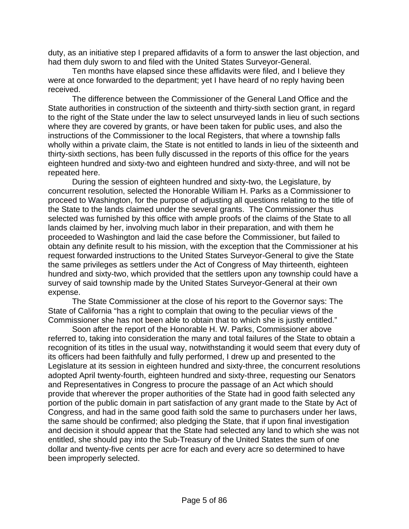duty, as an initiative step I prepared affidavits of a form to answer the last objection, and had them duly sworn to and filed with the United States Surveyor-General.

 Ten months have elapsed since these affidavits were filed, and I believe they were at once forwarded to the department; yet I have heard of no reply having been received.

 The difference between the Commissioner of the General Land Office and the State authorities in construction of the sixteenth and thirty-sixth section grant, in regard to the right of the State under the law to select unsurveyed lands in lieu of such sections where they are covered by grants, or have been taken for public uses, and also the instructions of the Commissioner to the local Registers, that where a township falls wholly within a private claim, the State is not entitled to lands in lieu of the sixteenth and thirty-sixth sections, has been fully discussed in the reports of this office for the years eighteen hundred and sixty-two and eighteen hundred and sixty-three, and will not be repeated here.

 During the session of eighteen hundred and sixty-two, the Legislature, by concurrent resolution, selected the Honorable William H. Parks as a Commissioner to proceed to Washington, for the purpose of adjusting all questions relating to the title of the State to the lands claimed under the several grants. The Commissioner thus selected was furnished by this office with ample proofs of the claims of the State to all lands claimed by her, involving much labor in their preparation, and with them he proceeded to Washington and laid the case before the Commissioner, but failed to obtain any definite result to his mission, with the exception that the Commissioner at his request forwarded instructions to the United States Surveyor-General to give the State the same privileges as settlers under the Act of Congress of May thirteenth, eighteen hundred and sixty-two, which provided that the settlers upon any township could have a survey of said township made by the United States Surveyor-General at their own expense.

 The State Commissioner at the close of his report to the Governor says: The State of California "has a right to complain that owing to the peculiar views of the Commissioner she has not been able to obtain that to which she is justly entitled."

 Soon after the report of the Honorable H. W. Parks, Commissioner above referred to, taking into consideration the many and total failures of the State to obtain a recognition of its titles in the usual way, notwithstanding it would seem that every duty of its officers had been faithfully and fully performed, I drew up and presented to the Legislature at its session in eighteen hundred and sixty-three, the concurrent resolutions adopted April twenty-fourth, eighteen hundred and sixty-three, requesting our Senators and Representatives in Congress to procure the passage of an Act which should provide that wherever the proper authorities of the State had in good faith selected any portion of the public domain in part satisfaction of any grant made to the State by Act of Congress, and had in the same good faith sold the same to purchasers under her laws, the same should be confirmed; also pledging the State, that if upon final investigation and decision it should appear that the State had selected any land to which she was not entitled, she should pay into the Sub-Treasury of the United States the sum of one dollar and twenty-five cents per acre for each and every acre so determined to have been improperly selected.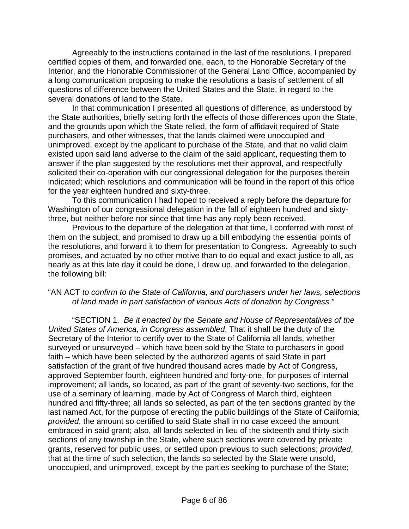Agreeably to the instructions contained in the last of the resolutions, I prepared certified copies of them, and forwarded one, each, to the Honorable Secretary of the Interior, and the Honorable Commissioner of the General Land Office, accompanied by a long communication proposing to make the resolutions a basis of settlement of all questions of difference between the United States and the State, in regard to the several donations of land to the State.

 In that communication I presented all questions of difference, as understood by the State authorities, briefly setting forth the effects of those differences upon the State, and the grounds upon which the State relied, the form of affidavit required of State purchasers, and other witnesses, that the lands claimed were unoccupied and unimproved, except by the applicant to purchase of the State, and that no valid claim existed upon said land adverse to the claim of the said applicant, requesting them to answer if the plan suggested by the resolutions met their approval, and respectfully solicited their co-operation with our congressional delegation for the purposes therein indicated; which resolutions and communication will be found in the report of this office for the year eighteen hundred and sixty-three.

 To this communication I had hoped to received a reply before the departure for Washington of our congressional delegation in the fall of eighteen hundred and sixtythree, but neither before nor since that time has any reply been received.

 Previous to the departure of the delegation at that time, I conferred with most of them on the subject, and promised to draw up a bill embodying the essential points of the resolutions, and forward it to them for presentation to Congress. Agreeably to such promises, and actuated by no other motive than to do equal and exact justice to all, as nearly as at this late day it could be done, I drew up, and forwarded to the delegation, the following bill:

#### "AN ACT *to confirm to the State of California, and purchasers under her laws, selections of land made in part satisfaction of various Acts of donation by Congress."*

 "SECTION 1. *Be it enacted by the Senate and House of Representatives of the United States of America, in Congress assembled*, That it shall be the duty of the Secretary of the Interior to certify over to the State of California all lands, whether surveyed or unsurveyed – which have been sold by the State to purchasers in good faith – which have been selected by the authorized agents of said State in part satisfaction of the grant of five hundred thousand acres made by Act of Congress, approved September fourth, eighteen hundred and forty-one, for purposes of internal improvement; all lands, so located, as part of the grant of seventy-two sections, for the use of a seminary of learning, made by Act of Congress of March third, eighteen hundred and fifty-three; all lands so selected, as part of the ten sections granted by the last named Act, for the purpose of erecting the public buildings of the State of California; *provided*, the amount so certified to said State shall in no case exceed the amount embraced in said grant; also, all lands selected in lieu of the sixteenth and thirty-sixth sections of any township in the State, where such sections were covered by private grants, reserved for public uses, or settled upon previous to such selections; *provided*, that at the time of such selection, the lands so selected by the State were unsold, unoccupied, and unimproved, except by the parties seeking to purchase of the State;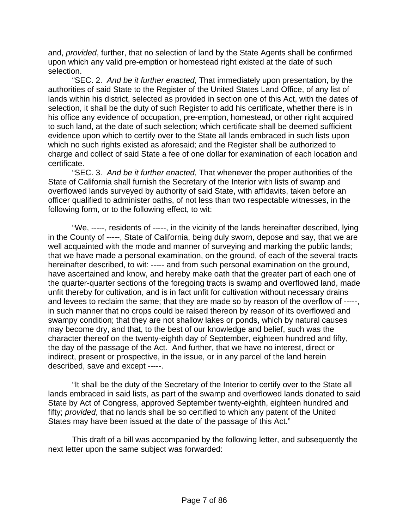and, *provided*, further, that no selection of land by the State Agents shall be confirmed upon which any valid pre-emption or homestead right existed at the date of such selection.

 "SEC. 2. *And be it further enacted*, That immediately upon presentation, by the authorities of said State to the Register of the United States Land Office, of any list of lands within his district, selected as provided in section one of this Act, with the dates of selection, it shall be the duty of such Register to add his certificate, whether there is in his office any evidence of occupation, pre-emption, homestead, or other right acquired to such land, at the date of such selection; which certificate shall be deemed sufficient evidence upon which to certify over to the State all lands embraced in such lists upon which no such rights existed as aforesaid; and the Register shall be authorized to charge and collect of said State a fee of one dollar for examination of each location and certificate.

 "SEC. 3. *And be it further enacted*, That whenever the proper authorities of the State of California shall furnish the Secretary of the Interior with lists of swamp and overflowed lands surveyed by authority of said State, with affidavits, taken before an officer qualified to administer oaths, of not less than two respectable witnesses, in the following form, or to the following effect, to wit:

 "We, -----, residents of -----, in the vicinity of the lands hereinafter described, lying in the County of -----, State of California, being duly sworn, depose and say, that we are well acquainted with the mode and manner of surveying and marking the public lands; that we have made a personal examination, on the ground, of each of the several tracts hereinafter described, to wit: ----- and from such personal examination on the ground, have ascertained and know, and hereby make oath that the greater part of each one of the quarter-quarter sections of the foregoing tracts is swamp and overflowed land, made unfit thereby for cultivation, and is in fact unfit for cultivation without necessary drains and levees to reclaim the same; that they are made so by reason of the overflow of -----, in such manner that no crops could be raised thereon by reason of its overflowed and swampy condition; that they are not shallow lakes or ponds, which by natural causes may become dry, and that, to the best of our knowledge and belief, such was the character thereof on the twenty-eighth day of September, eighteen hundred and fifty, the day of the passage of the Act. And further, that we have no interest, direct or indirect, present or prospective, in the issue, or in any parcel of the land herein described, save and except -----.

 "It shall be the duty of the Secretary of the Interior to certify over to the State all lands embraced in said lists, as part of the swamp and overflowed lands donated to said State by Act of Congress, approved September twenty-eighth, eighteen hundred and fifty; *provided*, that no lands shall be so certified to which any patent of the United States may have been issued at the date of the passage of this Act."

This draft of a bill was accompanied by the following letter, and subsequently the next letter upon the same subject was forwarded: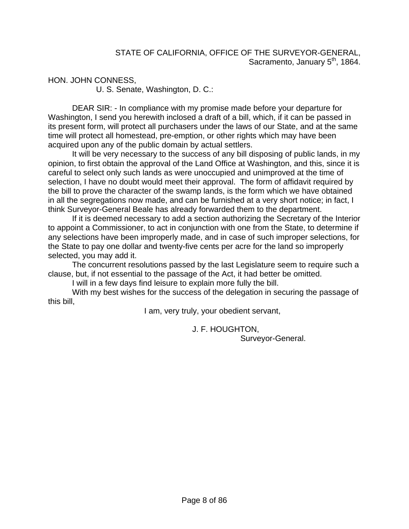HON. JOHN CONNESS,

U. S. Senate, Washington, D. C.:

 DEAR SIR: - In compliance with my promise made before your departure for Washington, I send you herewith inclosed a draft of a bill, which, if it can be passed in its present form, will protect all purchasers under the laws of our State, and at the same time will protect all homestead, pre-emption, or other rights which may have been acquired upon any of the public domain by actual settlers.

 It will be very necessary to the success of any bill disposing of public lands, in my opinion, to first obtain the approval of the Land Office at Washington, and this, since it is careful to select only such lands as were unoccupied and unimproved at the time of selection, I have no doubt would meet their approval. The form of affidavit required by the bill to prove the character of the swamp lands, is the form which we have obtained in all the segregations now made, and can be furnished at a very short notice; in fact, I think Surveyor-General Beale has already forwarded them to the department.

 If it is deemed necessary to add a section authorizing the Secretary of the Interior to appoint a Commissioner, to act in conjunction with one from the State, to determine if any selections have been improperly made, and in case of such improper selections, for the State to pay one dollar and twenty-five cents per acre for the land so improperly selected, you may add it.

 The concurrent resolutions passed by the last Legislature seem to require such a clause, but, if not essential to the passage of the Act, it had better be omitted.

I will in a few days find leisure to explain more fully the bill.

 With my best wishes for the success of the delegation in securing the passage of this bill,

I am, very truly, your obedient servant,

J. F. HOUGHTON,

Surveyor-General.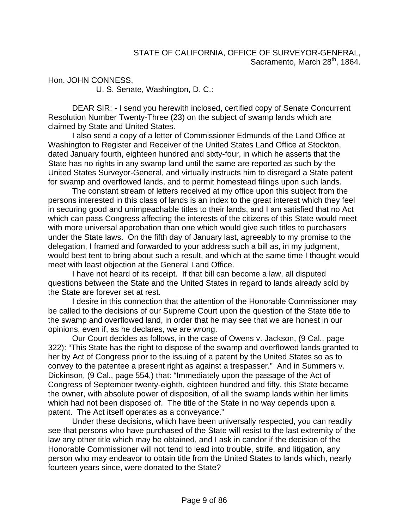Hon. JOHN CONNESS,

U. S. Senate, Washington, D. C.:

 DEAR SIR: - I send you herewith inclosed, certified copy of Senate Concurrent Resolution Number Twenty-Three (23) on the subject of swamp lands which are claimed by State and United States.

 I also send a copy of a letter of Commissioner Edmunds of the Land Office at Washington to Register and Receiver of the United States Land Office at Stockton, dated January fourth, eighteen hundred and sixty-four, in which he asserts that the State has no rights in any swamp land until the same are reported as such by the United States Surveyor-General, and virtually instructs him to disregard a State patent for swamp and overflowed lands, and to permit homestead filings upon such lands.

 The constant stream of letters received at my office upon this subject from the persons interested in this class of lands is an index to the great interest which they feel in securing good and unimpeachable titles to their lands, and I am satisfied that no Act which can pass Congress affecting the interests of the citizens of this State would meet with more universal approbation than one which would give such titles to purchasers under the State laws. On the fifth day of January last, agreeably to my promise to the delegation, I framed and forwarded to your address such a bill as, in my judgment, would best tent to bring about such a result, and which at the same time I thought would meet with least objection at the General Land Office.

 I have not heard of its receipt. If that bill can become a law, all disputed questions between the State and the United States in regard to lands already sold by the State are forever set at rest.

 I desire in this connection that the attention of the Honorable Commissioner may be called to the decisions of our Supreme Court upon the question of the State title to the swamp and overflowed land, in order that he may see that we are honest in our opinions, even if, as he declares, we are wrong.

 Our Court decides as follows, in the case of Owens v. Jackson, (9 Cal., page 322): "This State has the right to dispose of the swamp and overflowed lands granted to her by Act of Congress prior to the issuing of a patent by the United States so as to convey to the patentee a present right as against a trespasser." And in Summers v. Dickinson, (9 Cal., page 554,) that: "Immediately upon the passage of the Act of Congress of September twenty-eighth, eighteen hundred and fifty, this State became the owner, with absolute power of disposition, of all the swamp lands within her limits which had not been disposed of. The title of the State in no way depends upon a patent. The Act itself operates as a conveyance."

 Under these decisions, which have been universally respected, you can readily see that persons who have purchased of the State will resist to the last extremity of the law any other title which may be obtained, and I ask in candor if the decision of the Honorable Commissioner will not tend to lead into trouble, strife, and litigation, any person who may endeavor to obtain title from the United States to lands which, nearly fourteen years since, were donated to the State?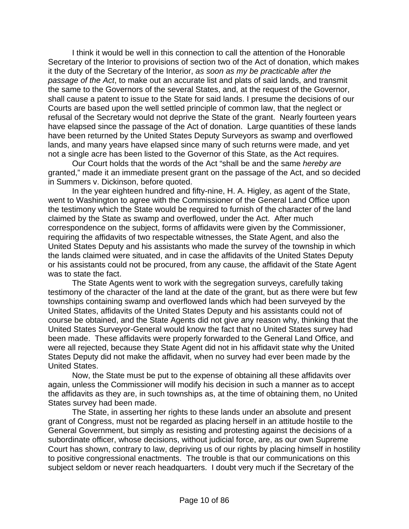I think it would be well in this connection to call the attention of the Honorable Secretary of the Interior to provisions of section two of the Act of donation, which makes it the duty of the Secretary of the Interior, *as soon as my be practicable after the passage of the Act*, to make out an accurate list and plats of said lands, and transmit the same to the Governors of the several States, and, at the request of the Governor, shall cause a patent to issue to the State for said lands. I presume the decisions of our Courts are based upon the well settled principle of common law, that the neglect or refusal of the Secretary would not deprive the State of the grant. Nearly fourteen years have elapsed since the passage of the Act of donation. Large quantities of these lands have been returned by the United States Deputy Surveyors as swamp and overflowed lands, and many years have elapsed since many of such returns were made, and yet not a single acre has been listed to the Governor of this State, as the Act requires.

 Our Court holds that the words of the Act "shall be and the same *hereby are* granted," made it an immediate present grant on the passage of the Act, and so decided in Summers v. Dickinson, before quoted.

 In the year eighteen hundred and fifty-nine, H. A. Higley, as agent of the State, went to Washington to agree with the Commissioner of the General Land Office upon the testimony which the State would be required to furnish of the character of the land claimed by the State as swamp and overflowed, under the Act. After much correspondence on the subject, forms of affidavits were given by the Commissioner, requiring the affidavits of two respectable witnesses, the State Agent, and also the United States Deputy and his assistants who made the survey of the township in which the lands claimed were situated, and in case the affidavits of the United States Deputy or his assistants could not be procured, from any cause, the affidavit of the State Agent was to state the fact.

 The State Agents went to work with the segregation surveys, carefully taking testimony of the character of the land at the date of the grant, but as there were but few townships containing swamp and overflowed lands which had been surveyed by the United States, affidavits of the United States Deputy and his assistants could not of course be obtained, and the State Agents did not give any reason why, thinking that the United States Surveyor-General would know the fact that no United States survey had been made. These affidavits were properly forwarded to the General Land Office, and were all rejected, because they State Agent did not in his affidavit state why the United States Deputy did not make the affidavit, when no survey had ever been made by the United States.

 Now, the State must be put to the expense of obtaining all these affidavits over again, unless the Commissioner will modify his decision in such a manner as to accept the affidavits as they are, in such townships as, at the time of obtaining them, no United States survey had been made.

 The State, in asserting her rights to these lands under an absolute and present grant of Congress, must not be regarded as placing herself in an attitude hostile to the General Government, but simply as resisting and protesting against the decisions of a subordinate officer, whose decisions, without judicial force, are, as our own Supreme Court has shown, contrary to law, depriving us of our rights by placing himself in hostility to positive congressional enactments. The trouble is that our communications on this subject seldom or never reach headquarters. I doubt very much if the Secretary of the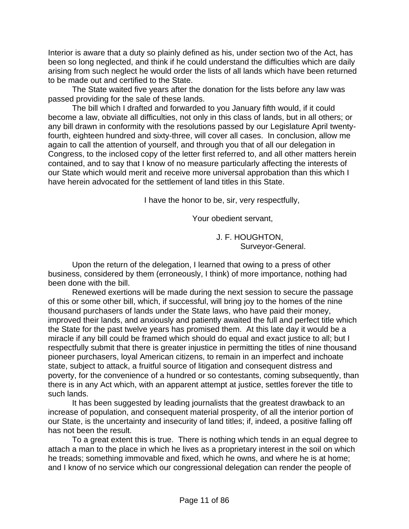Interior is aware that a duty so plainly defined as his, under section two of the Act, has been so long neglected, and think if he could understand the difficulties which are daily arising from such neglect he would order the lists of all lands which have been returned to be made out and certified to the State.

 The State waited five years after the donation for the lists before any law was passed providing for the sale of these lands.

 The bill which I drafted and forwarded to you January fifth would, if it could become a law, obviate all difficulties, not only in this class of lands, but in all others; or any bill drawn in conformity with the resolutions passed by our Legislature April twentyfourth, eighteen hundred and sixty-three, will cover all cases. In conclusion, allow me again to call the attention of yourself, and through you that of all our delegation in Congress, to the inclosed copy of the letter first referred to, and all other matters herein contained, and to say that I know of no measure particularly affecting the interests of our State which would merit and receive more universal approbation than this which I have herein advocated for the settlement of land titles in this State.

I have the honor to be, sir, very respectfully,

Your obedient servant,

 J. F. HOUGHTON, Surveyor-General.

 Upon the return of the delegation, I learned that owing to a press of other business, considered by them (erroneously, I think) of more importance, nothing had been done with the bill.

 Renewed exertions will be made during the next session to secure the passage of this or some other bill, which, if successful, will bring joy to the homes of the nine thousand purchasers of lands under the State laws, who have paid their money, improved their lands, and anxiously and patiently awaited the full and perfect title which the State for the past twelve years has promised them. At this late day it would be a miracle if any bill could be framed which should do equal and exact justice to all; but I respectfully submit that there is greater injustice in permitting the titles of nine thousand pioneer purchasers, loyal American citizens, to remain in an imperfect and inchoate state, subject to attack, a fruitful source of litigation and consequent distress and poverty, for the convenience of a hundred or so contestants, coming subsequently, than there is in any Act which, with an apparent attempt at justice, settles forever the title to such lands.

 It has been suggested by leading journalists that the greatest drawback to an increase of population, and consequent material prosperity, of all the interior portion of our State, is the uncertainty and insecurity of land titles; if, indeed, a positive falling off has not been the result.

 To a great extent this is true. There is nothing which tends in an equal degree to attach a man to the place in which he lives as a proprietary interest in the soil on which he treads; something immovable and fixed, which he owns, and where he is at home; and I know of no service which our congressional delegation can render the people of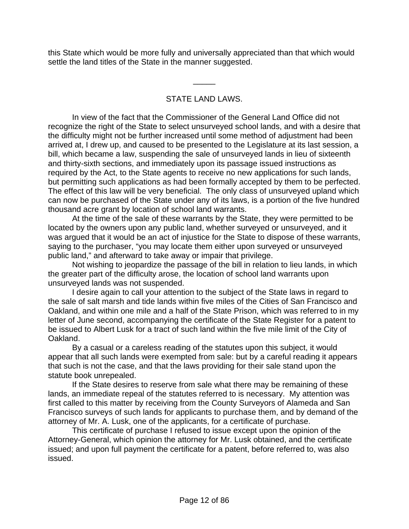this State which would be more fully and universally appreciated than that which would settle the land titles of the State in the manner suggested.

## STATE LAND LAWS.

\_\_\_\_\_

 In view of the fact that the Commissioner of the General Land Office did not recognize the right of the State to select unsurveyed school lands, and with a desire that the difficulty might not be further increased until some method of adjustment had been arrived at, I drew up, and caused to be presented to the Legislature at its last session, a bill, which became a law, suspending the sale of unsurveyed lands in lieu of sixteenth and thirty-sixth sections, and immediately upon its passage issued instructions as required by the Act, to the State agents to receive no new applications for such lands, but permitting such applications as had been formally accepted by them to be perfected. The effect of this law will be very beneficial. The only class of unsurveyed upland which can now be purchased of the State under any of its laws, is a portion of the five hundred thousand acre grant by location of school land warrants.

 At the time of the sale of these warrants by the State, they were permitted to be located by the owners upon any public land, whether surveyed or unsurveyed, and it was argued that it would be an act of injustice for the State to dispose of these warrants, saying to the purchaser, "you may locate them either upon surveyed or unsurveyed public land," and afterward to take away or impair that privilege.

 Not wishing to jeopardize the passage of the bill in relation to lieu lands, in which the greater part of the difficulty arose, the location of school land warrants upon unsurveyed lands was not suspended.

 I desire again to call your attention to the subject of the State laws in regard to the sale of salt marsh and tide lands within five miles of the Cities of San Francisco and Oakland, and within one mile and a half of the State Prison, which was referred to in my letter of June second, accompanying the certificate of the State Register for a patent to be issued to Albert Lusk for a tract of such land within the five mile limit of the City of Oakland.

 By a casual or a careless reading of the statutes upon this subject, it would appear that all such lands were exempted from sale: but by a careful reading it appears that such is not the case, and that the laws providing for their sale stand upon the statute book unrepealed.

 If the State desires to reserve from sale what there may be remaining of these lands, an immediate repeal of the statutes referred to is necessary. My attention was first called to this matter by receiving from the County Surveyors of Alameda and San Francisco surveys of such lands for applicants to purchase them, and by demand of the attorney of Mr. A. Lusk, one of the applicants, for a certificate of purchase.

 This certificate of purchase I refused to issue except upon the opinion of the Attorney-General, which opinion the attorney for Mr. Lusk obtained, and the certificate issued; and upon full payment the certificate for a patent, before referred to, was also issued.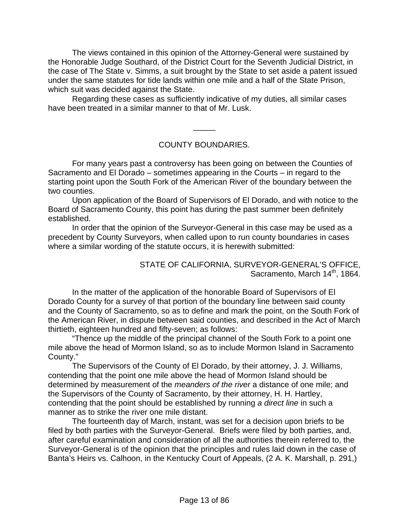The views contained in this opinion of the Attorney-General were sustained by the Honorable Judge Southard, of the District Court for the Seventh Judicial District, in the case of The State v. Simms, a suit brought by the State to set aside a patent issued under the same statutes for tide lands within one mile and a half of the State Prison, which suit was decided against the State.

 Regarding these cases as sufficiently indicative of my duties, all similar cases have been treated in a similar manner to that of Mr. Lusk.

#### COUNTY BOUNDARIES.

\_\_\_\_\_

 For many years past a controversy has been going on between the Counties of Sacramento and El Dorado – sometimes appearing in the Courts – in regard to the starting point upon the South Fork of the American River of the boundary between the two counties.

 Upon application of the Board of Supervisors of El Dorado, and with notice to the Board of Sacramento County, this point has during the past summer been definitely established.

 In order that the opinion of the Surveyor-General in this case may be used as a precedent by County Surveyors, when called upon to run county boundaries in cases where a similar wording of the statute occurs, it is herewith submitted:

#### STATE OF CALIFORNIA, SURVEYOR-GENERAL'S OFFICE, Sacramento, March 14<sup>th</sup>, 1864.

 In the matter of the application of the honorable Board of Supervisors of El Dorado County for a survey of that portion of the boundary line between said county and the County of Sacramento, so as to define and mark the point, on the South Fork of the American River, in dispute between said counties, and described in the Act of March thirtieth, eighteen hundred and fifty-seven; as follows:

 "Thence up the middle of the principal channel of the South Fork to a point one mile above the head of Mormon Island, so as to include Mormon Island in Sacramento County."

 The Supervisors of the County of El Dorado, by their attorney, J. J. Williams, contending that the point one mile above the head of Mormon Island should be determined by measurement of the *meanders of the river* a distance of one mile; and the Supervisors of the County of Sacramento, by their attorney, H. H. Hartley, contending that the point should be established by running *a direct line* in such a manner as to strike the river one mile distant.

 The fourteenth day of March, instant, was set for a decision upon briefs to be filed by both parties with the Surveyor-General. Briefs were filed by both parties, and, after careful examination and consideration of all the authorities therein referred to, the Surveyor-General is of the opinion that the principles and rules laid down in the case of Banta's Heirs vs. Calhoon, in the Kentucky Court of Appeals, (2 A. K. Marshall, p. 291,)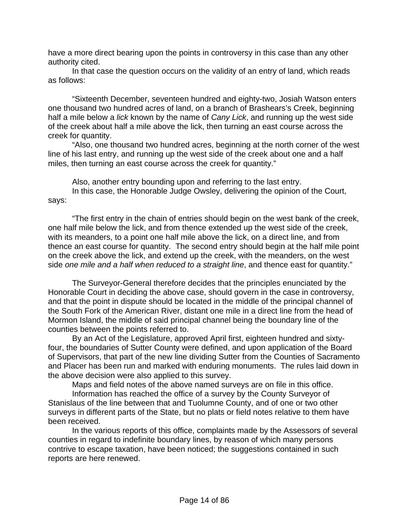have a more direct bearing upon the points in controversy in this case than any other authority cited.

 In that case the question occurs on the validity of an entry of land, which reads as follows:

 "Sixteenth December, seventeen hundred and eighty-two, Josiah Watson enters one thousand two hundred acres of land, on a branch of Brashears's Creek, beginning half a mile below a *lick* known by the name of *Cany Lick*, and running up the west side of the creek about half a mile above the lick, then turning an east course across the creek for quantity.

 "Also, one thousand two hundred acres, beginning at the north corner of the west line of his last entry, and running up the west side of the creek about one and a half miles, then turning an east course across the creek for quantity."

 Also, another entry bounding upon and referring to the last entry. In this case, the Honorable Judge Owsley, delivering the opinion of the Court, says:

 "The first entry in the chain of entries should begin on the west bank of the creek, one half mile below the lick, and from thence extended up the west side of the creek, with its meanders, to a point one half mile above the lick, on a direct line, and from thence an east course for quantity. The second entry should begin at the half mile point on the creek above the lick, and extend up the creek, with the meanders, on the west side *one mile and a half when reduced to a straight line*, and thence east for quantity."

 The Surveyor-General therefore decides that the principles enunciated by the Honorable Court in deciding the above case, should govern in the case in controversy, and that the point in dispute should be located in the middle of the principal channel of the South Fork of the American River, distant one mile in a direct line from the head of Mormon Island, the middle of said principal channel being the boundary line of the counties between the points referred to.

 By an Act of the Legislature, approved April first, eighteen hundred and sixtyfour, the boundaries of Sutter County were defined, and upon application of the Board of Supervisors, that part of the new line dividing Sutter from the Counties of Sacramento and Placer has been run and marked with enduring monuments. The rules laid down in the above decision were also applied to this survey.

Maps and field notes of the above named surveys are on file in this office.

 Information has reached the office of a survey by the County Surveyor of Stanislaus of the line between that and Tuolumne County, and of one or two other surveys in different parts of the State, but no plats or field notes relative to them have been received.

 In the various reports of this office, complaints made by the Assessors of several counties in regard to indefinite boundary lines, by reason of which many persons contrive to escape taxation, have been noticed; the suggestions contained in such reports are here renewed.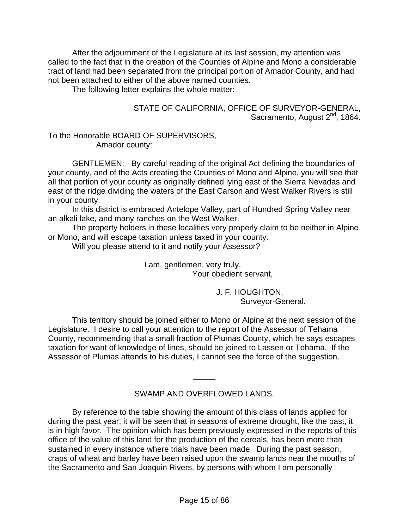After the adjournment of the Legislature at its last session, my attention was called to the fact that in the creation of the Counties of Alpine and Mono a considerable tract of land had been separated from the principal portion of Amador County, and had not been attached to either of the above named counties.

The following letter explains the whole matter:

#### STATE OF CALIFORNIA, OFFICE OF SURVEYOR-GENERAL, Sacramento, August 2<sup>nd</sup>, 1864.

#### To the Honorable BOARD OF SUPERVISORS, Amador county:

 GENTLEMEN: - By careful reading of the original Act defining the boundaries of your county, and of the Acts creating the Counties of Mono and Alpine, you will see that all that portion of your county as originally defined lying east of the Sierra Nevadas and east of the ridge dividing the waters of the East Carson and West Walker Rivers is still in your county.

 In this district is embraced Antelope Valley, part of Hundred Spring Valley near an alkali lake, and many ranches on the West Walker.

 The property holders in these localities very properly claim to be neither in Alpine or Mono, and will escape taxation unless taxed in your county.

Will you please attend to it and notify your Assessor?

 I am, gentlemen, very truly, Your obedient servant,

> J. F. HOUGHTON, Surveyor-General.

 This territory should be joined either to Mono or Alpine at the next session of the Legislature. I desire to call your attention to the report of the Assessor of Tehama County, recommending that a small fraction of Plumas County, which he says escapes taxation for want of knowledge of lines, should be joined to Lassen or Tehama. If the Assessor of Plumas attends to his duties, I cannot see the force of the suggestion.

#### SWAMP AND OVERFLOWED LANDS.

\_\_\_\_\_

 By reference to the table showing the amount of this class of lands applied for during the past year, it will be seen that in seasons of extreme drought, like the past, it is in high favor. The opinion which has been previously expressed in the reports of this office of the value of this land for the production of the cereals, has been more than sustained in every instance where trials have been made. During the past season, craps of wheat and barley have been raised upon the swamp lands near the mouths of the Sacramento and San Joaquin Rivers, by persons with whom I am personally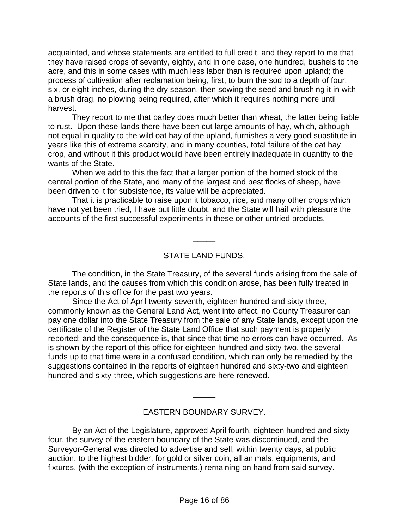acquainted, and whose statements are entitled to full credit, and they report to me that they have raised crops of seventy, eighty, and in one case, one hundred, bushels to the acre, and this in some cases with much less labor than is required upon upland; the process of cultivation after reclamation being, first, to burn the sod to a depth of four, six, or eight inches, during the dry season, then sowing the seed and brushing it in with a brush drag, no plowing being required, after which it requires nothing more until harvest.

 They report to me that barley does much better than wheat, the latter being liable to rust. Upon these lands there have been cut large amounts of hay, which, although not equal in quality to the wild oat hay of the upland, furnishes a very good substitute in years like this of extreme scarcity, and in many counties, total failure of the oat hay crop, and without it this product would have been entirely inadequate in quantity to the wants of the State.

 When we add to this the fact that a larger portion of the horned stock of the central portion of the State, and many of the largest and best flocks of sheep, have been driven to it for subsistence, its value will be appreciated.

 That it is practicable to raise upon it tobacco, rice, and many other crops which have not yet been tried, I have but little doubt, and the State will hail with pleasure the accounts of the first successful experiments in these or other untried products.

#### STATE LAND FUNDS.

\_\_\_\_\_

 The condition, in the State Treasury, of the several funds arising from the sale of State lands, and the causes from which this condition arose, has been fully treated in the reports of this office for the past two years.

 Since the Act of April twenty-seventh, eighteen hundred and sixty-three, commonly known as the General Land Act, went into effect, no County Treasurer can pay one dollar into the State Treasury from the sale of any State lands, except upon the certificate of the Register of the State Land Office that such payment is properly reported; and the consequence is, that since that time no errors can have occurred. As is shown by the report of this office for eighteen hundred and sixty-two, the several funds up to that time were in a confused condition, which can only be remedied by the suggestions contained in the reports of eighteen hundred and sixty-two and eighteen hundred and sixty-three, which suggestions are here renewed.

#### EASTERN BOUNDARY SURVEY.

\_\_\_\_\_

 By an Act of the Legislature, approved April fourth, eighteen hundred and sixtyfour, the survey of the eastern boundary of the State was discontinued, and the Surveyor-General was directed to advertise and sell, within twenty days, at public auction, to the highest bidder, for gold or silver coin, all animals, equipments, and fixtures, (with the exception of instruments,) remaining on hand from said survey.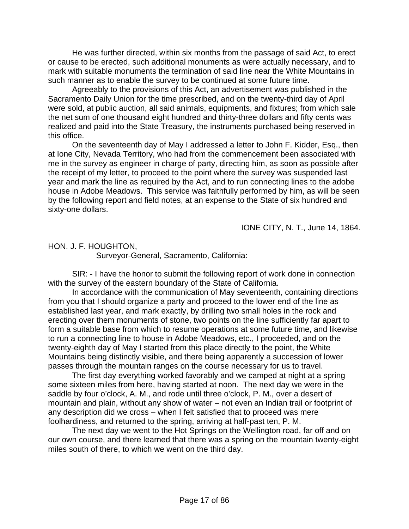He was further directed, within six months from the passage of said Act, to erect or cause to be erected, such additional monuments as were actually necessary, and to mark with suitable monuments the termination of said line near the White Mountains in such manner as to enable the survey to be continued at some future time.

 Agreeably to the provisions of this Act, an advertisement was published in the Sacramento Daily Union for the time prescribed, and on the twenty-third day of April were sold, at public auction, all said animals, equipments, and fixtures; from which sale the net sum of one thousand eight hundred and thirty-three dollars and fifty cents was realized and paid into the State Treasury, the instruments purchased being reserved in this office.

 On the seventeenth day of May I addressed a letter to John F. Kidder, Esq., then at Ione City, Nevada Territory, who had from the commencement been associated with me in the survey as engineer in charge of party, directing him, as soon as possible after the receipt of my letter, to proceed to the point where the survey was suspended last year and mark the line as required by the Act, and to run connecting lines to the adobe house in Adobe Meadows. This service was faithfully performed by him, as will be seen by the following report and field notes, at an expense to the State of six hundred and sixty-one dollars.

IONE CITY, N. T., June 14, 1864.

HON. J. F. HOUGHTON,

Surveyor-General, Sacramento, California:

 SIR: - I have the honor to submit the following report of work done in connection with the survey of the eastern boundary of the State of California.

 In accordance with the communication of May seventeenth, containing directions from you that I should organize a party and proceed to the lower end of the line as established last year, and mark exactly, by drilling two small holes in the rock and erecting over them monuments of stone, two points on the line sufficiently far apart to form a suitable base from which to resume operations at some future time, and likewise to run a connecting line to house in Adobe Meadows, etc., I proceeded, and on the twenty-eighth day of May I started from this place directly to the point, the White Mountains being distinctly visible, and there being apparently a succession of lower passes through the mountain ranges on the course necessary for us to travel.

 The first day everything worked favorably and we camped at night at a spring some sixteen miles from here, having started at noon. The next day we were in the saddle by four o'clock, A. M., and rode until three o'clock, P. M., over a desert of mountain and plain, without any show of water – not even an Indian trail or footprint of any description did we cross – when I felt satisfied that to proceed was mere foolhardiness, and returned to the spring, arriving at half-past ten, P. M.

 The next day we went to the Hot Springs on the Wellington road, far off and on our own course, and there learned that there was a spring on the mountain twenty-eight miles south of there, to which we went on the third day.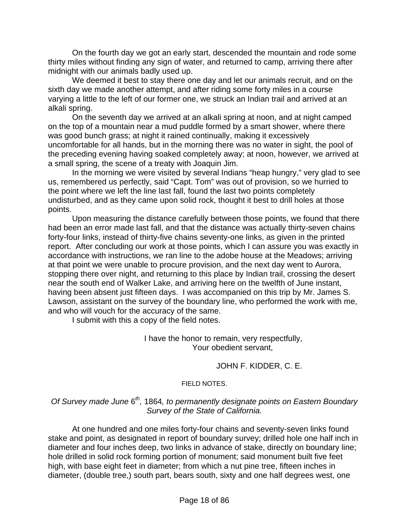On the fourth day we got an early start, descended the mountain and rode some thirty miles without finding any sign of water, and returned to camp, arriving there after midnight with our animals badly used up.

 We deemed it best to stay there one day and let our animals recruit, and on the sixth day we made another attempt, and after riding some forty miles in a course varying a little to the left of our former one, we struck an Indian trail and arrived at an alkali spring.

 On the seventh day we arrived at an alkali spring at noon, and at night camped on the top of a mountain near a mud puddle formed by a smart shower, where there was good bunch grass; at night it rained continually, making it excessively uncomfortable for all hands, but in the morning there was no water in sight, the pool of the preceding evening having soaked completely away; at noon, however, we arrived at a small spring, the scene of a treaty with Joaquin Jim.

 In the morning we were visited by several Indians "heap hungry," very glad to see us, remembered us perfectly, said "Capt. Tom" was out of provision, so we hurried to the point where we left the line last fall, found the last two points completely undisturbed, and as they came upon solid rock, thought it best to drill holes at those points.

 Upon measuring the distance carefully between those points, we found that there had been an error made last fall, and that the distance was actually thirty-seven chains forty-four links, instead of thirty-five chains seventy-one links, as given in the printed report. After concluding our work at those points, which I can assure you was exactly in accordance with instructions, we ran line to the adobe house at the Meadows; arriving at that point we were unable to procure provision, and the next day went to Aurora, stopping there over night, and returning to this place by Indian trail, crossing the desert near the south end of Walker Lake, and arriving here on the twelfth of June instant, having been absent just fifteen days. I was accompanied on this trip by Mr. James S. Lawson, assistant on the survey of the boundary line, who performed the work with me, and who will vouch for the accuracy of the same.

I submit with this a copy of the field notes.

 I have the honor to remain, very respectfully, Your obedient servant,

#### JOHN F. KIDDER, C. E.

#### FIELD NOTES.

#### *Of Survey made June* 6*th,* 1864*, to permanently designate points on Eastern Boundary Survey of the State of California.*

 At one hundred and one miles forty-four chains and seventy-seven links found stake and point, as designated in report of boundary survey; drilled hole one half inch in diameter and four inches deep, two links in advance of stake, directly on boundary line; hole drilled in solid rock forming portion of monument; said monument built five feet high, with base eight feet in diameter; from which a nut pine tree, fifteen inches in diameter, (double tree,) south part, bears south, sixty and one half degrees west, one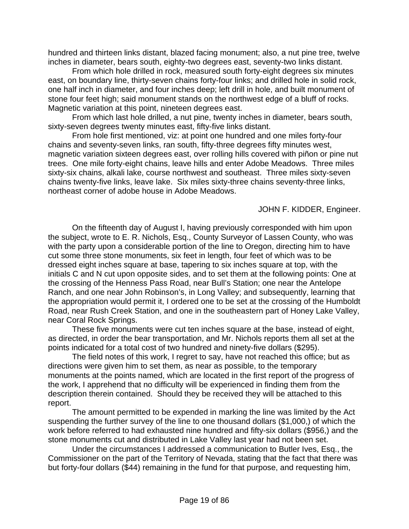hundred and thirteen links distant, blazed facing monument; also, a nut pine tree, twelve inches in diameter, bears south, eighty-two degrees east, seventy-two links distant.

 From which hole drilled in rock, measured south forty-eight degrees six minutes east, on boundary line, thirty-seven chains forty-four links; and drilled hole in solid rock, one half inch in diameter, and four inches deep; left drill in hole, and built monument of stone four feet high; said monument stands on the northwest edge of a bluff of rocks. Magnetic variation at this point, nineteen degrees east.

 From which last hole drilled, a nut pine, twenty inches in diameter, bears south, sixty-seven degrees twenty minutes east, fifty-five links distant.

 From hole first mentioned, viz: at point one hundred and one miles forty-four chains and seventy-seven links, ran south, fifty-three degrees fifty minutes west, magnetic variation sixteen degrees east, over rolling hills covered with piñon or pine nut trees. One mile forty-eight chains, leave hills and enter Adobe Meadows. Three miles sixty-six chains, alkali lake, course northwest and southeast. Three miles sixty-seven chains twenty-five links, leave lake. Six miles sixty-three chains seventy-three links, northeast corner of adobe house in Adobe Meadows.

JOHN F. KIDDER, Engineer.

 On the fifteenth day of August I, having previously corresponded with him upon the subject, wrote to E. R. Nichols, Esq., County Surveyor of Lassen County, who was with the party upon a considerable portion of the line to Oregon, directing him to have cut some three stone monuments, six feet in length, four feet of which was to be dressed eight inches square at base, tapering to six inches square at top, with the initials C and N cut upon opposite sides, and to set them at the following points: One at the crossing of the Henness Pass Road, near Bull's Station; one near the Antelope Ranch, and one near John Robinson's, in Long Valley; and subsequently, learning that the appropriation would permit it, I ordered one to be set at the crossing of the Humboldt Road, near Rush Creek Station, and one in the southeastern part of Honey Lake Valley, near Coral Rock Springs.

 These five monuments were cut ten inches square at the base, instead of eight, as directed, in order the bear transportation, and Mr. Nichols reports them all set at the points indicated for a total cost of two hundred and ninety-five dollars (\$295).

 The field notes of this work, I regret to say, have not reached this office; but as directions were given him to set them, as near as possible, to the temporary monuments at the points named, which are located in the first report of the progress of the work, I apprehend that no difficulty will be experienced in finding them from the description therein contained. Should they be received they will be attached to this report.

 The amount permitted to be expended in marking the line was limited by the Act suspending the further survey of the line to one thousand dollars (\$1,000,) of which the work before referred to had exhausted nine hundred and fifty-six dollars (\$956,) and the stone monuments cut and distributed in Lake Valley last year had not been set.

 Under the circumstances I addressed a communication to Butler Ives, Esq., the Commissioner on the part of the Territory of Nevada, stating that the fact that there was but forty-four dollars (\$44) remaining in the fund for that purpose, and requesting him,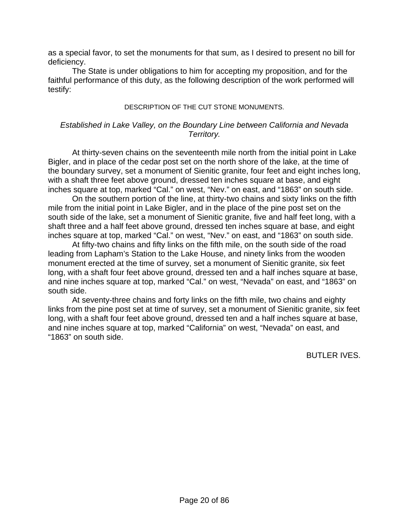as a special favor, to set the monuments for that sum, as I desired to present no bill for deficiency.

 The State is under obligations to him for accepting my proposition, and for the faithful performance of this duty, as the following description of the work performed will testify:

#### DESCRIPTION OF THE CUT STONE MONUMENTS.

#### *Established in Lake Valley, on the Boundary Line between California and Nevada Territory.*

 At thirty-seven chains on the seventeenth mile north from the initial point in Lake Bigler, and in place of the cedar post set on the north shore of the lake, at the time of the boundary survey, set a monument of Sienitic granite, four feet and eight inches long, with a shaft three feet above ground, dressed ten inches square at base, and eight inches square at top, marked "Cal." on west, "Nev." on east, and "1863" on south side.

 On the southern portion of the line, at thirty-two chains and sixty links on the fifth mile from the initial point in Lake Bigler, and in the place of the pine post set on the south side of the lake, set a monument of Sienitic granite, five and half feet long, with a shaft three and a half feet above ground, dressed ten inches square at base, and eight inches square at top, marked "Cal." on west, "Nev." on east, and "1863" on south side.

 At fifty-two chains and fifty links on the fifth mile, on the south side of the road leading from Lapham's Station to the Lake House, and ninety links from the wooden monument erected at the time of survey, set a monument of Sienitic granite, six feet long, with a shaft four feet above ground, dressed ten and a half inches square at base, and nine inches square at top, marked "Cal." on west, "Nevada" on east, and "1863" on south side.

 At seventy-three chains and forty links on the fifth mile, two chains and eighty links from the pine post set at time of survey, set a monument of Sienitic granite, six feet long, with a shaft four feet above ground, dressed ten and a half inches square at base, and nine inches square at top, marked "California" on west, "Nevada" on east, and "1863" on south side.

BUTLER IVES.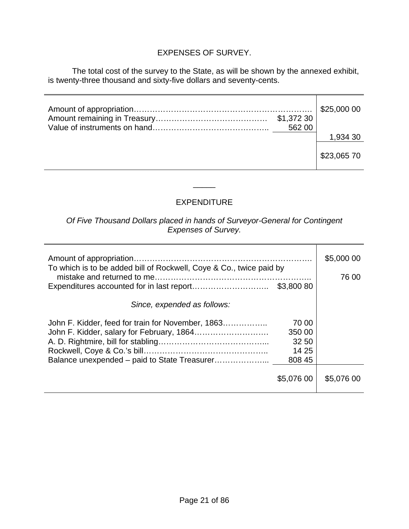## EXPENSES OF SURVEY.

 The total cost of the survey to the State, as will be shown by the annexed exhibit, is twenty-three thousand and sixty-five dollars and seventy-cents.

| \$1,372 30<br>562 00 | \$25,000 00 |
|----------------------|-------------|
|                      | 1,934 30    |
|                      | \$23,065 70 |

## EXPENDITURE

\_\_\_\_\_

*Of Five Thousand Dollars placed in hands of Surveyor-General for Contingent Expenses of Survey.* 

| To which is to be added bill of Rockwell, Coye & Co., twice paid by<br>\$3,800 80                                                                | \$5,000 00<br>76 00 |
|--------------------------------------------------------------------------------------------------------------------------------------------------|---------------------|
| Since, expended as follows:                                                                                                                      |                     |
| 70 00<br>John F. Kidder, feed for train for November, 1863<br>350 00<br>32 50<br>14 25<br>Balance unexpended – paid to State Treasurer<br>808 45 |                     |
| \$5,076 00                                                                                                                                       | \$5,076 00          |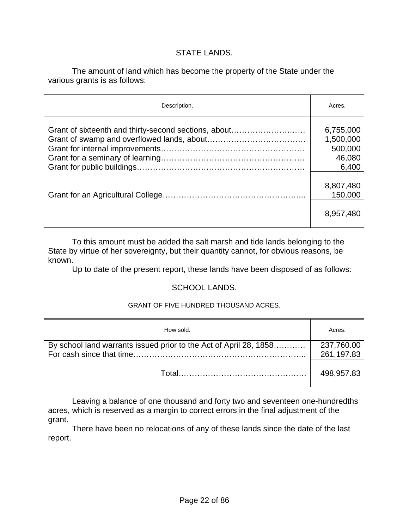#### STATE LANDS.

 The amount of land which has become the property of the State under the various grants is as follows:

| Description.                                         | Acres.                                               |
|------------------------------------------------------|------------------------------------------------------|
| Grant of sixteenth and thirty-second sections, about | 6,755,000<br>1,500,000<br>500,000<br>46,080<br>6,400 |
|                                                      | 8,807,480<br>150,000<br>8,957,480                    |

 To this amount must be added the salt marsh and tide lands belonging to the State by virtue of her sovereignty, but their quantity cannot, for obvious reasons, be known.

Up to date of the present report, these lands have been disposed of as follows:

#### SCHOOL LANDS.

#### GRANT OF FIVE HUNDRED THOUSAND ACRES.

| How sold.                                                         | Acres.                   |
|-------------------------------------------------------------------|--------------------------|
| By school land warrants issued prior to the Act of April 28, 1858 | 237,760.00<br>261,197.83 |
|                                                                   | 498,957.83               |

 Leaving a balance of one thousand and forty two and seventeen one-hundredths acres, which is reserved as a margin to correct errors in the final adjustment of the grant.

 There have been no relocations of any of these lands since the date of the last report.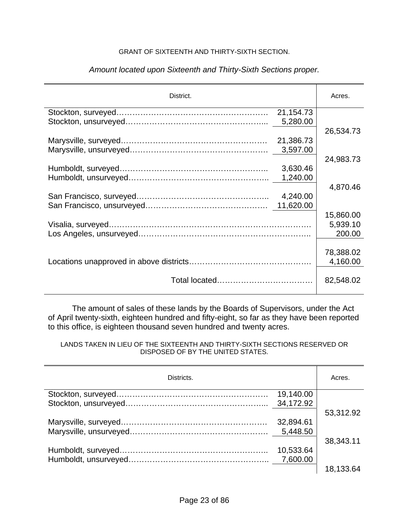#### GRANT OF SIXTEENTH AND THIRTY-SIXTH SECTION.

| District. |           | Acres.    |
|-----------|-----------|-----------|
|           | 21,154.73 |           |
|           | 5,280.00  |           |
|           |           | 26,534.73 |
|           | 21,386.73 |           |
|           | 3,597.00  |           |
|           |           | 24,983.73 |
|           | 3,630.46  |           |
|           | 1,240.00  |           |
|           |           | 4,870.46  |
|           | 4,240.00  |           |
|           | 11,620.00 |           |
|           |           | 15,860.00 |
|           |           | 5,939.10  |
|           |           | 200.00    |
|           |           |           |
|           |           | 78,388.02 |
|           |           | 4,160.00  |
|           |           | 82,548.02 |

#### *Amount located upon Sixteenth and Thirty-Sixth Sections proper.*

 The amount of sales of these lands by the Boards of Supervisors, under the Act of April twenty-sixth, eighteen hundred and fifty-eight, so far as they have been reported to this office, is eighteen thousand seven hundred and twenty acres.

#### LANDS TAKEN IN LIEU OF THE SIXTEENTH AND THIRTY-SIXTH SECTIONS RESERVED OR DISPOSED OF BY THE UNITED STATES.

| Districts. |           | Acres.    |
|------------|-----------|-----------|
|            | 19,140.00 |           |
|            | 34,172.92 |           |
|            |           | 53,312.92 |
|            | 32,894.61 |           |
|            | 5,448.50  |           |
|            |           | 38,343.11 |
|            | 10,533.64 |           |
|            |           |           |
|            |           | 18,133.64 |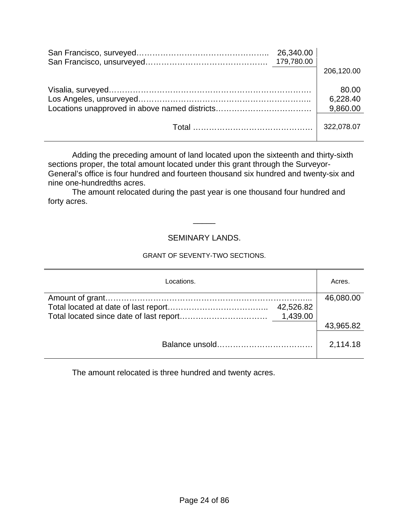| 26,340.00 | 206,120.00                    |
|-----------|-------------------------------|
|           | 80.00<br>6,228.40<br>9,860.00 |
|           | 322,078.07                    |

 Adding the preceding amount of land located upon the sixteenth and thirty-sixth sections proper, the total amount located under this grant through the Surveyor-General's office is four hundred and fourteen thousand six hundred and twenty-six and nine one-hundredths acres.

 The amount relocated during the past year is one thousand four hundred and forty acres.

#### SEMINARY LANDS.

\_\_\_\_\_

#### GRANT OF SEVENTY-TWO SECTIONS.

| Locations. | Acres.    |
|------------|-----------|
|            | 46,080.00 |
| 42,526.82  |           |
|            |           |
|            | 43,965.82 |
|            |           |
|            | 2,114.18  |
|            |           |

The amount relocated is three hundred and twenty acres.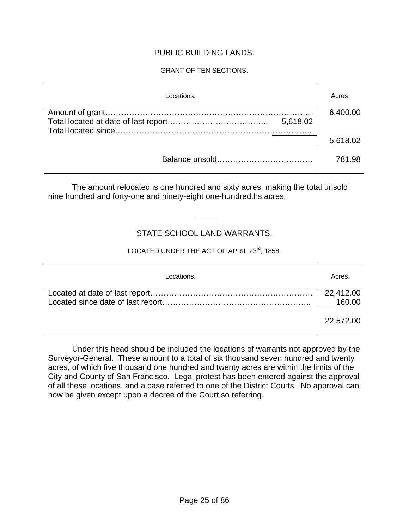#### PUBLIC BUILDING LANDS.

#### GRANT OF TEN SECTIONS.

| Locations. | Acres.   |
|------------|----------|
|            | 6,400.00 |
| 5,618.02   |          |
|            | 5,618.02 |
|            | 781.98   |

 The amount relocated is one hundred and sixty acres, making the total unsold nine hundred and forty-one and ninety-eight one-hundredths acres.

### STATE SCHOOL LAND WARRANTS.

\_\_\_\_\_

### LOCATED UNDER THE ACT OF APRIL 23<sup>rd</sup>, 1858.

| Locations. | Acres.              |
|------------|---------------------|
|            | 22,412.00<br>160.00 |
|            | 22,572.00           |

 Under this head should be included the locations of warrants not approved by the Surveyor-General. These amount to a total of six thousand seven hundred and twenty acres, of which five thousand one hundred and twenty acres are within the limits of the City and County of San Francisco. Legal protest has been entered against the approval of all these locations, and a case referred to one of the District Courts. No approval can now be given except upon a decree of the Court so referring.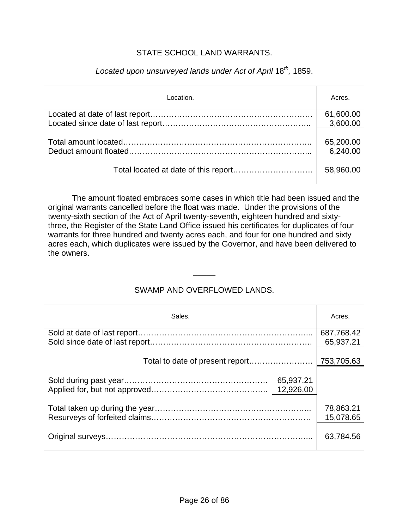#### STATE SCHOOL LAND WARRANTS.

| Location. | Acres.    |
|-----------|-----------|
|           | 61,600.00 |
|           | 3,600.00  |
|           |           |
|           | 65,200.00 |
|           | 6,240.00  |
|           | 58,960.00 |

## *Located upon unsurveyed lands under Act of April* 18*th,* 1859.

 The amount floated embraces some cases in which title had been issued and the original warrants cancelled before the float was made. Under the provisions of the twenty-sixth section of the Act of April twenty-seventh, eighteen hundred and sixtythree, the Register of the State Land Office issued his certificates for duplicates of four warrants for three hundred and twenty acres each, and four for one hundred and sixty acres each, which duplicates were issued by the Governor, and have been delivered to the owners.

#### SWAMP AND OVERFLOWED LANDS.

\_\_\_\_\_

| Sales.                          | Acres.                  |
|---------------------------------|-------------------------|
|                                 | 687,768.42<br>65,937.21 |
| Total to date of present report | 753,705.63              |
| 65,937.21                       |                         |
|                                 | 78,863.21<br>15,078.65  |
|                                 | 63,784.56               |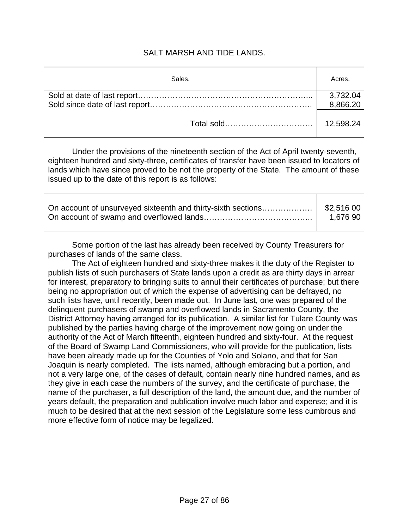#### SALT MARSH AND TIDE LANDS.

| Sales. | Acres.               |
|--------|----------------------|
|        | 3,732.04<br>8,866.20 |
|        | 12,598.24            |

 Under the provisions of the nineteenth section of the Act of April twenty-seventh, eighteen hundred and sixty-three, certificates of transfer have been issued to locators of lands which have since proved to be not the property of the State. The amount of these issued up to the date of this report is as follows:

| On account of unsurveyed sixteenth and thirty-sixth sections  \$2,516 00 | 1.676 90 |
|--------------------------------------------------------------------------|----------|
|                                                                          |          |

Some portion of the last has already been received by County Treasurers for purchases of lands of the same class.

 The Act of eighteen hundred and sixty-three makes it the duty of the Register to publish lists of such purchasers of State lands upon a credit as are thirty days in arrear for interest, preparatory to bringing suits to annul their certificates of purchase; but there being no appropriation out of which the expense of advertising can be defrayed, no such lists have, until recently, been made out. In June last, one was prepared of the delinquent purchasers of swamp and overflowed lands in Sacramento County, the District Attorney having arranged for its publication. A similar list for Tulare County was published by the parties having charge of the improvement now going on under the authority of the Act of March fifteenth, eighteen hundred and sixty-four. At the request of the Board of Swamp Land Commissioners, who will provide for the publication, lists have been already made up for the Counties of Yolo and Solano, and that for San Joaquin is nearly completed. The lists named, although embracing but a portion, and not a very large one, of the cases of default, contain nearly nine hundred names, and as they give in each case the numbers of the survey, and the certificate of purchase, the name of the purchaser, a full description of the land, the amount due, and the number of years default, the preparation and publication involve much labor and expense; and it is much to be desired that at the next session of the Legislature some less cumbrous and more effective form of notice may be legalized.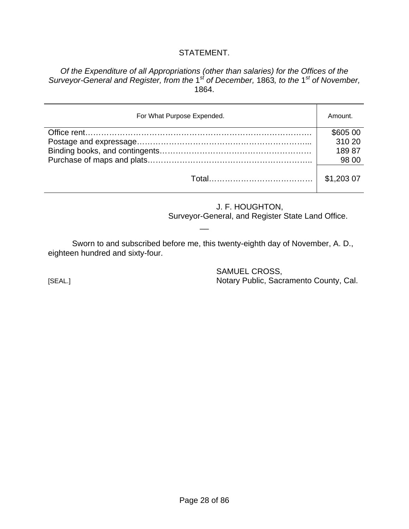#### STATEMENT.

*Of the Expenditure of all Appropriations (other than salaries) for the Offices of the Surveyor-General and Register, from the* 1*st of December,* 1863*, to the* 1*st of November,*  1864.

| For What Purpose Expended. | Amount.    |
|----------------------------|------------|
|                            | \$605 00   |
|                            | 310 20     |
|                            | 18987      |
|                            | 98 00      |
|                            | \$1,203 07 |

J. F. HOUGHTON,

Surveyor-General, and Register State Land Office.

 Sworn to and subscribed before me, this twenty-eighth day of November, A. D., eighteen hundred and sixty-four.

 $\overline{\phantom{a}}$ 

 SAMUEL CROSS, [SEAL.] Notary Public, Sacramento County, Cal.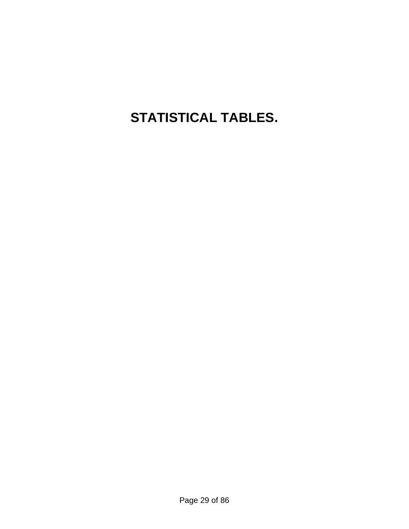# **STATISTICAL TABLES.**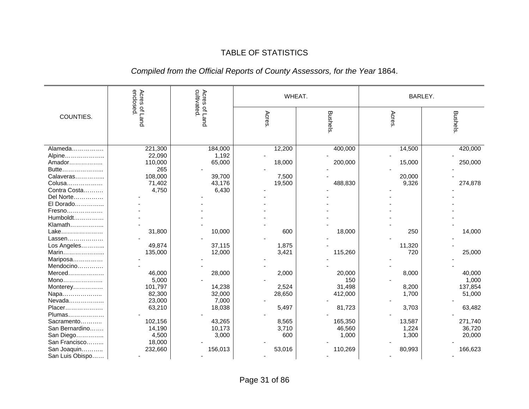### TABLE OF STATISTICS

## *Compiled from the Official Reports of County Assessors, for the Year* 1864.

|                  | enclosed.<br>Acres | cultivated    |        | WHEAT.         | BARLEY. |                 |  |
|------------------|--------------------|---------------|--------|----------------|---------|-----------------|--|
| COUNTIES.        | of Land            | Acres of Land | Acres  | <b>Bushels</b> | Acres   | <b>Bushels</b>  |  |
| Alameda          | 221,300            | 184,000       | 12,200 | 400,000        | 14,500  | 420,000         |  |
| Alpine           | 22,090             | 1,192         |        |                |         |                 |  |
| Amador           | 110,000            | 65,000        | 18,000 | 200,000        | 15,000  | 250,000         |  |
| Butte            | 265                |               |        |                |         |                 |  |
| Calaveras        | 108,000            | 39,700        | 7,500  |                | 20,000  |                 |  |
| Colusa           | 71,402             | 43,176        | 19,500 | 488,830        | 9,326   | 274,878         |  |
| Contra Costa     | 4,750              | 6,430         |        |                |         |                 |  |
| Del Norte        |                    |               |        |                |         |                 |  |
| El Dorado        |                    |               |        |                |         |                 |  |
| Fresno           |                    |               |        |                |         |                 |  |
| Humboldt         |                    |               |        |                |         |                 |  |
| Klamath          |                    |               |        |                |         |                 |  |
| Lake             | 31,800             | 10,000        | 600    | 18,000         | 250     | 14,000          |  |
| Lassen           |                    |               |        |                |         |                 |  |
| Los Angeles      | 49,874             | 37,115        | 1,875  |                | 11,320  |                 |  |
| Marin            | 135,000            | 12,000        | 3,421  | 115,260        | 720     | 25,000          |  |
| Mariposa         |                    |               |        |                |         |                 |  |
| Mendocino        |                    |               |        |                |         |                 |  |
| Merced           | 46,000<br>5,000    | 28,000        | 2,000  | 20,000<br>150  | 8,000   | 40,000<br>1,000 |  |
| Mono<br>Monterey | 101,797            | 14,238        | 2,524  | 31,498         | 8,200   | 137,854         |  |
| Napa             | 82,300             | 32,000        | 28,650 | 412,000        | 1,700   | 51,000          |  |
| Nevada           | 23,000             | 7,000         |        |                |         |                 |  |
| Placer           | 63,210             | 18,038        | 5,497  | 81,723         | 3,703   | 63,482          |  |
| Plumas           |                    |               |        |                |         |                 |  |
| Sacramento       | 102,156            | 43,265        | 8,565  | 165,350        | 13,587  | 271,740         |  |
| San Bernardino   | 14,190             | 10,173        | 3,710  | 46,560         | 1,224   | 36,720          |  |
| San Diego        | 4,500              | 3,000         | 600    | 1,000          | 1,300   | 20,000          |  |
| San Francisco    | 18,000             |               |        |                |         |                 |  |
| San Joaquin      | 232,660            | 156,013       | 53,016 | 110,269        | 80,993  | 166,623         |  |
| San Luis Obispo  |                    |               |        |                |         |                 |  |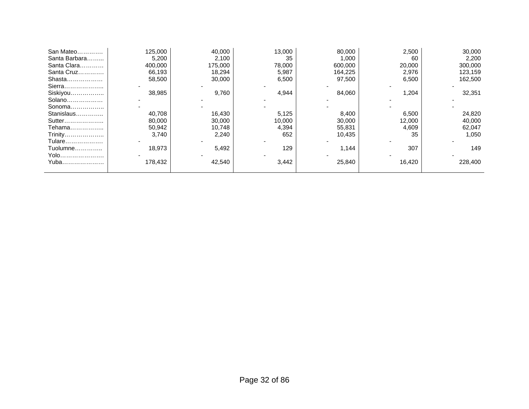| San Mateo     | 125,000 | 40,000  | 13,000 | 80,000  | 2,500  | 30,000  |
|---------------|---------|---------|--------|---------|--------|---------|
| Santa Barbara | 5,200   | 2,100   | 35     | 1,000   | 60     | 2,200   |
| Santa Clara   | 400,000 | 175,000 | 78,000 | 600,000 | 20,000 | 300,000 |
| Santa Cruz    | 66,193  | 18,294  | 5,987  | 164,225 | 2,976  | 123,159 |
| Shasta        | 58,500  | 30,000  | 6,500  | 97,500  | 6,500  | 162,500 |
| Sierra        |         |         |        |         |        |         |
| Siskiyou      | 38,985  | 9,760   | 4,944  | 84,060  | 1,204  | 32,351  |
| Solano        |         |         |        |         |        |         |
| Sonoma        |         |         |        |         |        |         |
| Stanislaus    | 40,708  | 16,430  | 5,125  | 8,400   | 6,500  | 24,820  |
| Sutter        | 80,000  | 30,000  | 10,000 | 30,000  | 12,000 | 40,000  |
| Tehama        | 50,942  | 10,748  | 4,394  | 55,831  | 4,609  | 62,047  |
| Trinity       | 3,740   | 2,240   | 652    | 10,435  | 35     | 1,050   |
| Tulare        |         |         |        |         |        |         |
| Tuolumne      | 18,973  | 5,492   | 129    | 1,144   | 307    | 149     |
| Yolo          |         |         |        |         |        |         |
| Yuba          | 178,432 | 42,540  | 3,442  | 25,840  | 16,420 | 228,400 |
|               |         |         |        |         |        |         |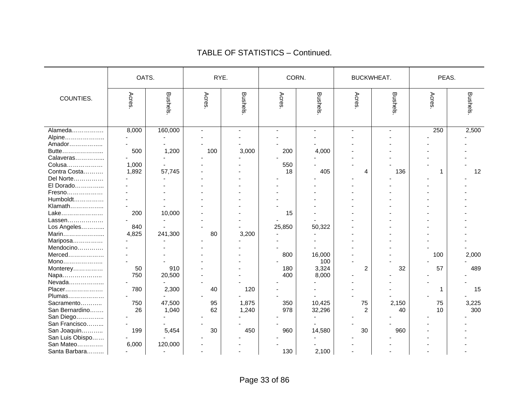|                 | OATS. |                | RYE.  |                | CORN.  |         | BUCKWHEAT.     |                | PEAS. |         |
|-----------------|-------|----------------|-------|----------------|--------|---------|----------------|----------------|-------|---------|
| COUNTIES.       | Acres | Bushels        | Acres | <b>Bushels</b> | Acres. | Bushels | Acres          | <b>Bushels</b> | Acres | Bushels |
| Alameda         | 8,000 | 160,000        |       | $\blacksquare$ |        |         |                |                | 250   | 2,500   |
| Alpine          |       |                |       |                |        |         |                |                |       |         |
| Amador          |       |                |       |                |        |         |                |                |       |         |
| Butte           | 500   | 1,200          | 100   | 3,000          | 200    | 4,000   |                |                |       |         |
| Calaveras       |       |                |       |                |        |         |                |                |       |         |
| Colusa          | 1,000 |                |       |                | 550    |         |                |                |       |         |
| Contra Costa    | 1,892 | 57,745         |       |                | 18     | 405     | 4              | 136            | 1     | 12      |
| Del Norte       |       |                |       |                |        |         |                |                |       |         |
| El Dorado       |       |                |       |                |        |         |                |                |       |         |
| Fresno          |       |                |       |                |        |         |                |                |       |         |
| Humboldt        |       |                |       |                |        |         |                |                |       |         |
| Klamath         |       |                |       |                |        |         |                |                |       |         |
| Lake            | 200   | 10,000         |       |                | 15     |         |                |                |       |         |
| Lassen          |       |                |       |                |        |         |                |                |       |         |
| Los Angeles     | 840   |                |       |                | 25,850 | 50,322  |                |                |       |         |
| Marin           | 4,825 | 241,300        | 80    | 3,200          |        |         |                |                |       |         |
| Mariposa        |       |                |       |                |        |         |                |                |       |         |
| Mendocino       |       |                |       |                |        |         |                |                |       |         |
|                 |       |                |       |                | 800    | 16,000  |                |                | 100   | 2,000   |
| Mono            |       |                |       |                |        | 100     |                |                |       |         |
| Monterey        | 50    | 910            |       |                | 180    | 3,324   | $\overline{c}$ | 32             | 57    | 489     |
| Napa            | 750   | 20,500         |       |                | 400    | 8,000   |                |                |       |         |
| Nevada          |       |                |       |                |        |         |                |                |       |         |
| Placer          | 780   | 2,300          | 40    | 120            |        |         |                |                | 1     | 15      |
| Plumas          |       |                |       |                |        |         |                |                |       |         |
| Sacramento      | 750   | 47,500         | 95    | 1,875          | 350    | 10,425  | 75             | 2,150          | 75    | 3,225   |
| San Bernardino  | 26    | 1,040          | 62    | 1,240          | 978    | 32,296  | $\overline{c}$ | 40             | 10    | 300     |
| San Diego       |       |                |       |                |        |         |                |                |       |         |
| San Francisco   |       |                |       |                |        |         |                |                |       |         |
| San Joaquin     | 199   | 5,454          | 30    | 450            | 960    | 14,580  | 30             | 960            |       |         |
| San Luis Obispo |       |                |       |                |        |         |                |                |       |         |
| San Mateo       | 6,000 | 120,000        |       |                |        |         |                |                |       |         |
| Santa Barbara   |       | $\overline{a}$ |       |                | 130    | 2,100   |                |                |       |         |

#### TABLE OF STATISTICS – Continued.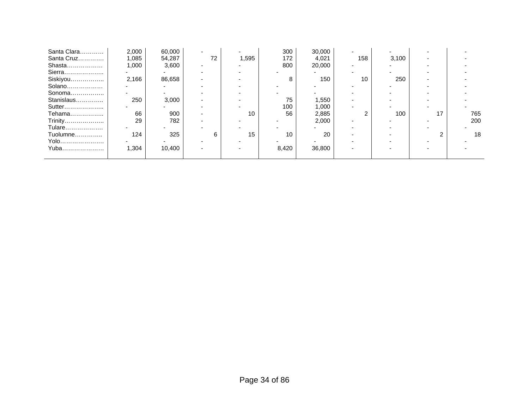| Santa Clara | 2,000 | 60,000 |    | -     | 300   | 30,000 | $\overline{\phantom{0}}$ |       |    |     |
|-------------|-------|--------|----|-------|-------|--------|--------------------------|-------|----|-----|
| Santa Cruz  | 1,085 | 54,287 | 72 | 1,595 | 172   | 4,021  | 158                      | 3,100 |    |     |
| Shasta      | 1,000 | 3,600  |    |       | 800   | 20,000 |                          |       |    |     |
| Sierra      |       |        |    |       |       |        |                          |       |    |     |
| Siskiyou    | 2,166 | 86,658 |    |       | 8     | 150    | 10                       | 250   |    |     |
| Solano      |       |        |    |       |       |        |                          |       |    |     |
| Sonoma      |       |        |    |       |       |        |                          |       |    |     |
| Stanislaus  | 250   | 3,000  |    |       | 75    | 1,550  |                          |       |    |     |
| Sutter      |       |        |    |       | 100   | 1,000  |                          |       |    |     |
| Tehama      | 66    | 900    |    | 10    | 56    | 2,885  |                          | 100   | 17 | 765 |
| Trinity     | 29    | 782    |    |       |       | 2,000  |                          |       |    | 200 |
| Tulare      |       |        |    |       |       |        |                          |       |    |     |
| Tuolumne    | 124   | 325    |    | 15    | 10    | 20     |                          |       |    | 18  |
| Yolo        |       |        |    |       |       |        |                          |       |    |     |
| Yuba        | 1,304 | 10,400 |    |       | 8,420 | 36,800 |                          |       |    |     |
|             |       |        |    |       |       |        |                          |       |    |     |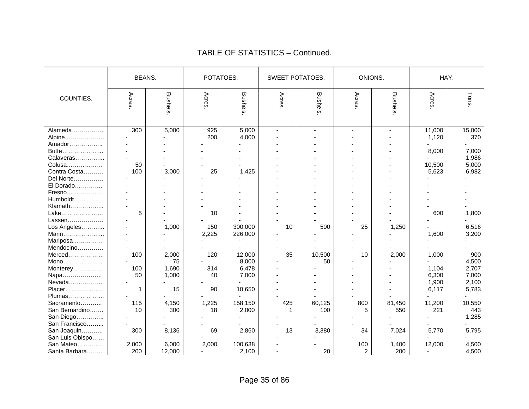|                                               |              | <b>BEANS.</b>        |              | POTATOES.               |          | <b>SWEET POTATOES.</b> |                       | ONIONS.        | HAY.                     |                         |
|-----------------------------------------------|--------------|----------------------|--------------|-------------------------|----------|------------------------|-----------------------|----------------|--------------------------|-------------------------|
| COUNTIES.                                     | Acres        | Bushels              | Acres        | <b>Bushels</b>          | Acres.   | Bushels                | Acres                 | <b>Bushels</b> | Acres                    | Tons                    |
| Alameda<br>Alpine<br>Amador                   | 300          | 5,000                | 925<br>200   | 5,000<br>4,000          |          |                        |                       |                | 11,000<br>1,120          | 15,000<br>370           |
| Butte<br>Calaveras<br>Colusa                  | 50           |                      |              |                         |          |                        |                       |                | 8,000<br>10,500          | 7,000<br>1,986<br>5,000 |
| Contra Costa<br>Del Norte                     | 100          | 3,000                | 25           | 1,425                   |          |                        |                       |                | 5,623                    | 6,982                   |
| El Dorado<br>Fresno<br>Humboldt               |              |                      |              |                         |          |                        |                       |                |                          |                         |
| Klamath<br>Lake<br>Lassen                     | 5            |                      | 10           |                         |          |                        |                       |                | 600                      | 1,800                   |
| Los Angeles<br>Marin                          |              | 1,000                | 150<br>2,225 | 300,000<br>226,000      | 10       | 500                    | 25                    | 1,250          | 1,600                    | 6,516<br>3,200          |
| Mariposa<br>Mendocino<br>Merced               | 100          | 2,000                | 120          | 12,000                  | 35       | 10,500                 | 10                    | 2,000          | 1,000                    | 900                     |
| Mono<br>Monterey<br>Napa                      | 100<br>50    | 75<br>1,690<br>1,000 | 314<br>40    | 8,000<br>6,478<br>7,000 |          | 50                     |                       |                | 1,104<br>6,300           | 4,500<br>2,707<br>7,000 |
| Nevada<br>Placer<br>Plumas                    | 1            | 15                   | 90           | 10,650                  |          |                        |                       |                | 1,900<br>6,117           | 2,100<br>5,783          |
| Sacramento<br>San Bernardino                  | 115<br>10    | 4,150<br>300         | 1,225<br>18  | 158,150<br>2,000        | 425<br>1 | 60,125<br>100          | 800<br>5              | 81,450<br>550  | 11,200<br>221            | 10,550<br>443<br>1,285  |
| San Diego<br>San Francisco<br>San Joaquin     | 300          | 8,136                | 69           | 2,860                   | 13       | 3,380                  | 34                    | 7,024          | 5,770                    | 5,795                   |
| San Luis Obispo<br>San Mateo<br>Santa Barbara | 2,000<br>200 | 6,000<br>12,000      | 2,000        | 100,638<br>2,100        |          | 20                     | 100<br>$\overline{a}$ | 1,400<br>200   | 12,000<br>$\blacksquare$ | 4,500<br>4,500          |

#### TABLE OF STATISTICS – Continued.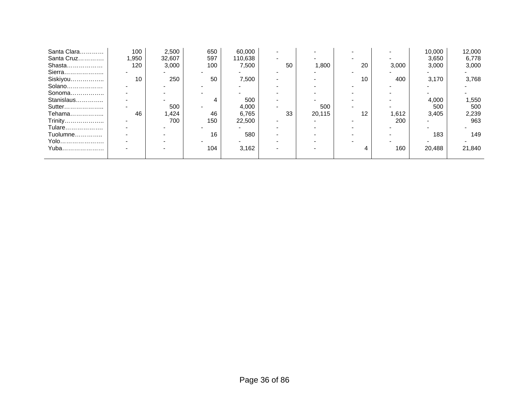| Santa Clara | 100   | 2,500  | 650 | 60,000  |    |        |    |       | 10,000 | 12,000 |
|-------------|-------|--------|-----|---------|----|--------|----|-------|--------|--------|
| Santa Cruz  | 1,950 | 32,607 | 597 | 110,638 |    |        |    |       | 3,650  | 6,778  |
| Shasta      | 120   | 3,000  | 100 | 7,500   | 50 | 1,800  | 20 | 3,000 | 3,000  | 3,000  |
| Sierra      |       |        |     |         |    |        |    |       |        |        |
| Siskiyou    | 10    | 250    | 50  | 7,500   |    |        | 10 | 400   | 3,170  | 3,768  |
| Solano      |       |        |     |         |    |        |    |       |        |        |
| Sonoma      |       |        |     |         |    |        |    |       |        |        |
| Stanislaus  |       |        |     | 500     |    |        |    |       | 4,000  | 1,550  |
| Sutter      |       | 500    |     | 4,000   |    | 500    |    |       | 500    | 500    |
| Tehama      | 46    | 1,424  | 46  | 6,765   | 33 | 20,115 | 12 | 1,612 | 3,405  | 2,239  |
| Trinity     |       | 700    | 150 | 22,500  |    |        |    | 200   |        | 963    |
| Tulare      |       |        |     |         |    |        |    |       |        |        |
| Tuolumne    |       |        | 16  | 580     |    |        |    |       | 183    | 149    |
| Yolo        |       |        |     |         |    |        |    |       |        |        |
| Yuba        |       |        | 104 | 3,162   |    |        |    | 160   | 20,488 | 21,840 |
|             |       |        |     |         |    |        |    |       |        |        |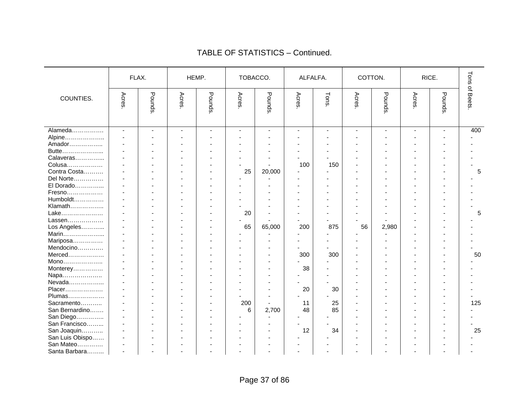|                 |                          | FLAX.          | HEMP. |                | TOBACCO. |                | ALFALFA.       |        | COTTON. |                |                          | RICE.          | Tons     |
|-----------------|--------------------------|----------------|-------|----------------|----------|----------------|----------------|--------|---------|----------------|--------------------------|----------------|----------|
| COUNTIES.       | Acres                    | Pounds.        | Acres | Pounds.        | Acres    | Pounds.        | Acres          | Tons   | Acres   | Pounds.        | Acres                    | Pounds.        | of Beets |
| Alameda         | $\mathbf{r}$             | $\blacksquare$ |       | $\blacksquare$ | $\sim$   | $\blacksquare$ | $\blacksquare$ | $\sim$ |         | $\overline{a}$ | $\overline{\phantom{a}}$ | $\sim$         | 400      |
| Alpine          |                          |                |       |                |          |                |                |        |         |                |                          |                |          |
| Amador          | $\overline{\phantom{a}}$ |                |       |                |          |                |                |        |         |                |                          |                |          |
| Butte           |                          |                |       |                |          |                |                |        |         |                |                          |                |          |
| Calaveras       |                          |                |       |                |          |                |                |        |         |                |                          |                |          |
| Colusa          |                          |                |       |                |          |                | 100            | 150    |         |                |                          |                |          |
| Contra Costa    | $\sim$                   |                |       |                | 25       | 20,000         |                |        |         |                |                          |                | 5        |
| Del Norte       | ÷.                       |                |       |                |          |                |                |        |         |                |                          |                |          |
| El Dorado       |                          |                |       |                |          |                |                |        |         |                |                          |                |          |
| Fresno          |                          |                |       |                |          |                |                |        |         |                |                          |                |          |
| Humboldt        |                          |                |       |                |          |                |                |        |         |                |                          |                |          |
| Klamath         | $\sim$                   |                |       |                |          |                |                |        |         |                |                          |                |          |
| Lake            |                          |                |       |                | 20       |                |                |        |         |                |                          |                | 5        |
| Lassen          |                          |                |       |                |          |                |                |        |         |                |                          |                |          |
| Los Angeles     |                          |                |       |                | 65       | 65,000         | 200            | 875    | 56      | 2,980          |                          |                |          |
| Marin           | $\sim$                   |                |       |                |          |                |                |        |         |                |                          |                |          |
| Mariposa        | $\blacksquare$           |                |       |                |          |                |                |        |         |                |                          |                |          |
| Mendocino       |                          |                |       |                |          |                |                |        |         |                |                          |                |          |
| Merced          |                          |                |       |                |          |                | 300            | 300    |         |                |                          |                | 50       |
| Mono            |                          |                |       |                |          |                |                |        |         |                |                          |                |          |
| Monterey        | ÷.                       |                |       |                |          |                | 38             |        |         |                |                          |                |          |
| Napa            |                          |                |       |                |          |                |                |        |         |                |                          |                |          |
| Nevada          |                          |                |       |                |          |                |                |        |         |                |                          |                |          |
| Placer          |                          |                |       |                |          |                | 20             | 30     |         |                | $\blacksquare$           | $\blacksquare$ |          |
| Plumas          | $\sim$                   |                |       |                |          |                |                |        |         |                |                          |                |          |
| Sacramento      | $\sim$                   |                |       |                | 200      | ä,             | 11             | 25     |         |                |                          |                | 125      |
| San Bernardino  |                          |                |       |                | 6        | 2,700          | 48             | 85     |         |                |                          |                |          |
| San Diego       |                          |                |       |                |          |                |                |        |         |                |                          |                |          |
| San Francisco   |                          |                |       |                |          |                |                |        |         |                |                          |                |          |
| San Joaquin     |                          |                |       |                |          |                | 12             | 34     |         |                |                          |                | 25       |
| San Luis Obispo |                          |                |       |                |          |                |                |        |         |                |                          |                |          |
| San Mateo       |                          |                |       |                |          |                |                |        |         |                |                          |                |          |
| Santa Barbara   |                          |                |       |                |          |                |                |        |         |                |                          |                |          |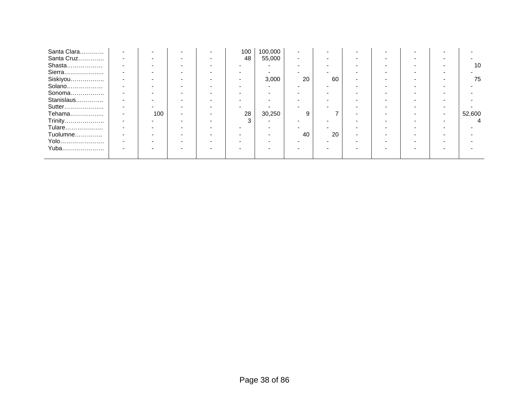| Santa Clara | $\overline{\phantom{0}}$ | ۰   | $\overline{\phantom{0}}$ | - | 100 | 100,000 |    |    | $\overline{\phantom{a}}$ |   |                          |        |
|-------------|--------------------------|-----|--------------------------|---|-----|---------|----|----|--------------------------|---|--------------------------|--------|
| Santa Cruz  | $\overline{\phantom{a}}$ |     | $\overline{\phantom{0}}$ |   | 48  | 55,000  |    |    | $\overline{\phantom{a}}$ |   |                          |        |
| Shasta      | $\overline{\phantom{0}}$ |     | -                        |   |     |         |    |    | $\overline{\phantom{0}}$ |   |                          | 10     |
| Sierra      |                          |     | $\overline{\phantom{0}}$ |   |     |         | -  |    | $\overline{\phantom{a}}$ | - | $\overline{\phantom{0}}$ |        |
| Siskiyou    |                          |     | $\overline{\phantom{0}}$ |   |     | 3,000   | 20 | 60 | -                        |   |                          | 75     |
| Solano      |                          |     |                          |   |     |         |    |    |                          |   |                          |        |
| Sonoma      |                          |     | -                        |   |     |         |    |    |                          |   |                          |        |
| Stanislaus  |                          |     | -                        |   |     |         |    |    | $\overline{\phantom{0}}$ | - |                          |        |
| Sutter      | $\overline{\phantom{0}}$ |     | $\overline{\phantom{0}}$ |   |     |         |    |    | -                        |   | -                        |        |
| Tehama      | $\overline{\phantom{0}}$ | 100 | $\overline{\phantom{a}}$ |   | 28  | 30,250  | 9  |    | -                        |   | $\overline{\phantom{0}}$ | 52,600 |
| Trinity     |                          |     |                          |   | 3   | -       |    |    |                          |   | -                        |        |
| Tulare      | $\overline{\phantom{a}}$ |     | -                        |   |     |         |    |    | $\overline{\phantom{0}}$ |   |                          |        |
| Tuolumne    |                          |     |                          |   |     |         | 40 | 20 | $\overline{\phantom{a}}$ |   |                          |        |
| Yolo        | $\overline{\phantom{0}}$ |     |                          |   |     |         |    |    |                          |   |                          |        |
| Yuba        |                          |     | $\overline{\phantom{0}}$ |   |     |         |    |    | $\overline{\phantom{a}}$ | - |                          |        |
|             |                          |     |                          |   |     |         |    |    |                          |   |                          |        |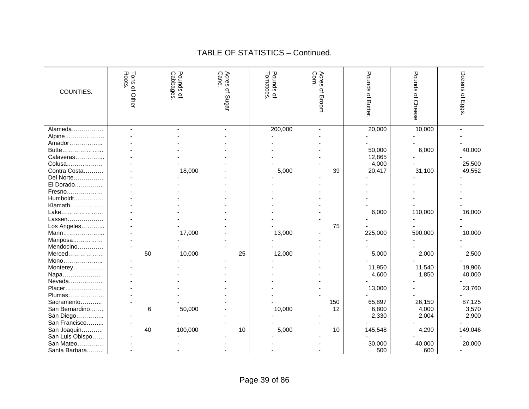| COUNTIES.       | Roots.<br>Tons of Other | Pounds of<br>Cabbages. | Cane<br>Acres<br>of Sugar | Pounds of<br>Tomatoes. | Corn<br>Acres<br>of Broom | Pounds<br>ᄋᆠ<br>Butter. | Pounds<br>of Cheese | Dozens<br>٩<br>Eggs. |
|-----------------|-------------------------|------------------------|---------------------------|------------------------|---------------------------|-------------------------|---------------------|----------------------|
| Alameda         |                         |                        |                           | 200,000                | $\blacksquare$            | 20,000                  | 10,000              |                      |
| Alpine          |                         |                        |                           |                        |                           |                         |                     |                      |
| Amador          |                         |                        |                           |                        |                           |                         |                     |                      |
| Butte           |                         |                        |                           |                        |                           | 50,000                  | 6,000               | 40,000               |
| Calaveras       |                         |                        |                           |                        |                           | 12,865                  |                     |                      |
| Colusa          |                         |                        |                           |                        |                           | 4,000                   |                     | 25,500               |
| Contra Costa    |                         | 18,000                 |                           | 5,000                  | 39                        | 20,417                  | 31,100              | 49,552               |
| Del Norte       |                         |                        |                           |                        |                           |                         |                     |                      |
| El Dorado       |                         |                        |                           |                        |                           |                         |                     |                      |
| Fresno          |                         |                        |                           |                        |                           |                         |                     |                      |
| Humboldt        |                         |                        |                           |                        |                           |                         |                     |                      |
| Klamath         |                         |                        |                           |                        |                           |                         |                     |                      |
| Lake            |                         |                        |                           |                        |                           | 6,000                   | 110,000             | 16,000               |
| Lassen          |                         |                        |                           |                        |                           |                         |                     |                      |
| Los Angeles     |                         |                        |                           |                        | 75                        |                         |                     |                      |
| Marin           |                         | 17,000                 |                           | 13,000                 |                           | 225,000                 | 590,000             | 10,000               |
| Mariposa        |                         |                        |                           |                        |                           |                         |                     |                      |
| Mendocino       |                         |                        |                           |                        |                           |                         |                     |                      |
| Merced          | 50                      | 10,000                 | 25                        | 12,000                 |                           | 5,000                   | 2,000               | 2,500                |
| Mono            |                         |                        |                           |                        |                           |                         |                     |                      |
| Monterey        |                         |                        |                           |                        |                           | 11,950                  | 11,540              | 19,906               |
| Napa            |                         |                        |                           |                        |                           | 4,600                   | 1,850               | 40,000               |
| Nevada          |                         |                        |                           |                        |                           |                         |                     |                      |
| Placer          |                         |                        |                           |                        |                           | 13,000                  |                     | 23,760               |
| Plumas          |                         |                        |                           |                        |                           |                         |                     |                      |
| Sacramento      |                         |                        |                           |                        | 150                       | 65,897                  | 26,150              | 87,125               |
| San Bernardino  | 6                       | 50,000                 |                           | 10,000                 | 12                        | 6,800                   | 4,000               | 3,570                |
| San Diego       |                         |                        |                           |                        |                           | 2,330                   | 2,004               | 2,900                |
| San Francisco   |                         |                        |                           |                        |                           |                         |                     |                      |
| San Joaquin     | 40                      | 100,000                | 10                        | 5,000                  | 10                        | 145,548                 | 4,290               | 149,046              |
| San Luis Obispo |                         |                        |                           |                        |                           |                         |                     |                      |
| San Mateo       |                         |                        |                           |                        |                           | 30,000                  | 40,000              | 20,000               |
| Santa Barbara   |                         |                        |                           |                        |                           | 500                     | 600                 |                      |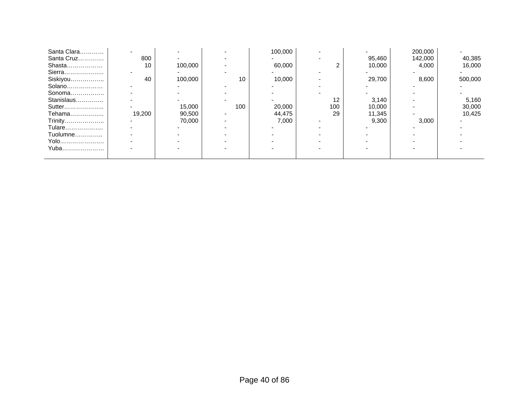| Santa Clara |        |         |     | 100,000 |     |        | 200,000 |         |
|-------------|--------|---------|-----|---------|-----|--------|---------|---------|
| Santa Cruz  | 800    |         |     |         |     | 95,460 | 142,000 | 40,385  |
| Shasta      | 10     | 100,000 |     | 60,000  |     | 10,000 | 4,000   | 16,000  |
| Sierra      |        |         |     |         |     |        |         |         |
| Siskiyou    | 40     | 100,000 | 10  | 10,000  |     | 29,700 | 8,600   | 500,000 |
| Solano      |        |         |     |         |     |        |         |         |
| Sonoma      |        |         |     |         |     |        |         |         |
| Stanislaus  |        |         |     |         | 12  | 3,140  |         | 5,160   |
| Sutter      |        | 15,000  | 100 | 20,000  | 100 | 10,000 |         | 30,000  |
| Tehama      | 19,200 | 90,500  |     | 44,475  | 29  | 11,345 |         | 10.425  |
| Trinity     |        | 70,000  |     | 7,000   |     | 9,300  | 3,000   |         |
| Tulare      |        |         |     |         |     |        |         |         |
| Tuolumne    |        |         |     |         |     |        |         |         |
| Yolo        |        |         |     |         |     |        |         |         |
| Yuba        |        |         |     |         |     |        |         |         |
|             |        |         |     |         |     |        |         |         |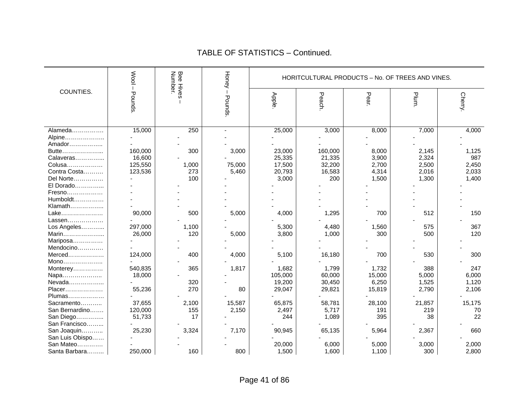|                 | <b>Nool</b> | <b>Bee Hives</b><br>Number. | <b>Honey</b> |         | HORITCULTURAL PRODUCTS - No. OF TREES AND VINES. |        |        |         |
|-----------------|-------------|-----------------------------|--------------|---------|--------------------------------------------------|--------|--------|---------|
| COUNTIES.       | Pounds      |                             | Pounds       | Apple.  | Peach.                                           | Pear   | Plum.  | Cherry. |
| Alameda         | 15,000      | 250                         |              | 25,000  | 3,000                                            | 8,000  | 7,000  | 4,000   |
| Alpine          |             |                             |              |         |                                                  |        |        |         |
| Amador          |             |                             |              |         |                                                  |        |        |         |
| Butte           | 160,000     | 300                         | 3,000        | 23,000  | 160,000                                          | 8,000  | 2,145  | 1,125   |
| Calaveras       | 16,600      |                             |              | 25,335  | 21,335                                           | 3,900  | 2,324  | 987     |
| Colusa          | 125,550     | 1,000                       | 75,000       | 17,500  | 32,200                                           | 2,700  | 2,500  | 2,450   |
| Contra Costa    | 123,536     | 273                         | 5,460        | 20,793  | 16,583                                           | 4,314  | 2,016  | 2,033   |
| Del Norte       |             | 100                         |              | 3,000   | 200                                              | 1,500  | 1,300  | 1,400   |
| El Dorado       |             |                             |              |         |                                                  |        |        |         |
| Fresno          |             |                             |              |         |                                                  |        |        |         |
| $Humboldt$      |             |                             |              |         |                                                  |        |        |         |
| Klamath         |             |                             |              |         |                                                  |        |        |         |
| Lake.<br>.      | 90,000      | 500                         | 5,000        | 4,000   | 1,295                                            | 700    | 512    | 150     |
| Lassen          |             |                             |              |         |                                                  |        |        |         |
| Los Angeles     | 297,000     | 1,100                       |              | 5,300   | 4,480                                            | 1,560  | 575    | 367     |
| Marin           | 26,000      | 120                         | 5,000        | 3,800   | 1,000                                            | 300    | 500    | 120     |
| Mariposa        |             |                             |              |         |                                                  |        |        |         |
| Mendocino       |             |                             |              |         |                                                  |        |        |         |
| Merced          | 124,000     | 400                         | 4,000        | 5,100   | 16,180                                           | 700    | 530    | 300     |
| Mono            |             |                             |              |         |                                                  |        |        |         |
| Monterey        | 540,835     | 365                         | 1,817        | 1,682   | 1,799                                            | 1,732  | 388    | 247     |
| Napa            | 18,000      |                             |              | 105,000 | 60,000                                           | 15,000 | 5,000  | 6,000   |
| Nevada          |             | 320                         |              | 19,200  | 30,450                                           | 6,250  | 1,525  | 1,120   |
| Placer          | 55,236      | 270                         | 80           | 29,047  | 29,821                                           | 15,819 | 2,790  | 2,106   |
| Plumas          |             |                             |              |         |                                                  |        |        |         |
| Sacramento      | 37,655      | 2,100                       | 15,587       | 65,875  | 58,781                                           | 28,100 | 21,857 | 15,175  |
| San Bernardino  | 120,000     | 155                         | 2,150        | 2,497   | 5,717                                            | 191    | 219    | 70      |
| San Diego       | 51,733      | 17                          |              | 244     | 1,089                                            | 395    | 38     | 22      |
| San Francisco   |             |                             |              |         |                                                  |        |        |         |
| San Joaquin     | 25,230      | 3,324                       | 7,170        | 90,945  | 65,135                                           | 5,964  | 2,367  | 660     |
| San Luis Obispo |             |                             |              |         |                                                  |        |        |         |
| San Mateo       |             |                             |              | 20,000  | 6,000                                            | 5,000  | 3,000  | 2,000   |
| Santa Barbara   | 250,000     | 160                         | 800          | 1,500   | 1,600                                            | 1,100  | 300    | 2,800   |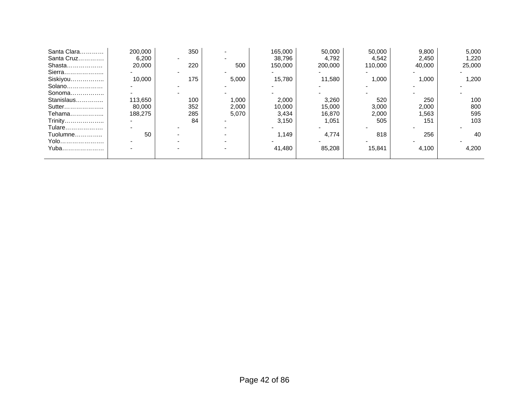| Santa Clara | 200,000 | 350 |       | 165.000 | 50,000  | 50,000  | 9,800  | 5,000  |
|-------------|---------|-----|-------|---------|---------|---------|--------|--------|
| Santa Cruz  | 6,200   |     |       | 38,796  | 4,792   | 4,542   | 2,450  | 1,220  |
| Shasta      | 20,000  | 220 | 500   | 150,000 | 200,000 | 110.000 | 40,000 | 25,000 |
| Sierra      |         |     |       |         |         |         |        |        |
| Siskiyou    | 10.000  | 175 | 5,000 | 15.780  | 11.580  | 1,000   | 1.000  | 1,200  |
| Solano      |         |     |       |         |         |         |        |        |
| Sonoma      |         |     |       |         |         |         |        |        |
| Stanislaus  | 113,650 | 100 | 1,000 | 2,000   | 3,260   | 520     | 250    | 100    |
| Sutter      | 80,000  | 352 | 2,000 | 10,000  | 15,000  | 3,000   | 2,000  | 800    |
| Tehama      | 188.275 | 285 | 5,070 | 3,434   | 16,870  | 2,000   | 1,563  | 595    |
| Trinity     |         | 84  |       | 3,150   | 1,051   | 505     | 151    | 103    |
| Tulare      |         |     |       |         |         |         |        |        |
| Tuolumne    | 50      |     |       | 1.149   | 4,774   | 818     | 256    | 40     |
| Yolo        |         |     |       |         |         |         |        |        |
| Yuba        |         |     |       | 41.480  | 85,208  | 15,841  | 4,100  | 4,200  |
|             |         |     |       |         |         |         |        |        |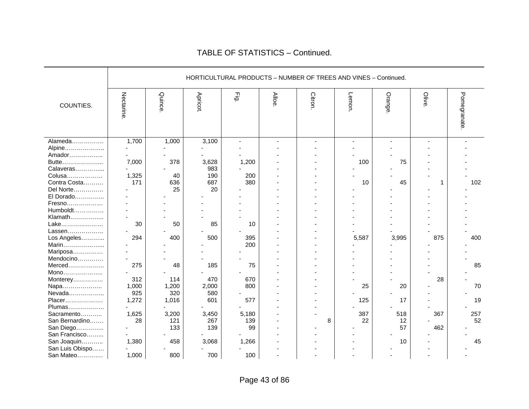|                 |           |        |                |                |       | HORTICULTURAL PRODUCTS - NUMBER OF TREES AND VINES - Continued. |       |         |       |             |
|-----------------|-----------|--------|----------------|----------------|-------|-----------------------------------------------------------------|-------|---------|-------|-------------|
| COUNTIES.       | Nectarine | Quince | <b>Apricot</b> | Ēġ             | Alloe | Citron                                                          | Lemon | Orange. | Olive | Pomegranate |
| Alameda         | 1,700     | 1,000  | 3,100          | $\blacksquare$ |       |                                                                 |       |         |       |             |
| Alpine          |           |        |                |                |       |                                                                 |       |         |       |             |
| Amador          |           |        |                |                |       |                                                                 |       |         |       |             |
| Butte           | 7,000     | 378    | 3,628          | 1,200          |       |                                                                 | 100   | 75      |       |             |
| Calaveras       |           |        | 983            |                |       |                                                                 |       |         |       |             |
| Colusa          | 1,325     | 40     | 190            | 200            |       |                                                                 |       |         |       |             |
| Contra Costa    | 171       | 636    | 687            | 380            |       |                                                                 | 10    | 45      | 1     | 102         |
| Del Norte       |           | 25     | 20             |                |       |                                                                 |       |         |       |             |
| El Dorado       |           |        |                |                |       |                                                                 |       |         |       |             |
| Fresno          |           |        |                |                |       |                                                                 |       |         |       |             |
| Humboldt        |           |        |                |                |       |                                                                 |       |         |       |             |
| Klamath         |           |        |                |                |       |                                                                 |       |         |       |             |
| Lake            | 30        | 50     | 85             | 10             |       |                                                                 |       |         |       |             |
| Lassen          |           |        |                |                |       |                                                                 |       |         |       |             |
| Los Angeles     | 294       | 400    | 500            | 395            |       |                                                                 | 5,587 | 3,995   | 875   | 400         |
| Marin           |           |        |                | 200            |       |                                                                 |       |         |       |             |
| Mariposa        |           |        |                |                |       |                                                                 |       |         |       |             |
| Mendocino       |           |        |                |                |       |                                                                 |       |         |       |             |
| $Merced$        | 275       | 48     | 185            | 75             |       |                                                                 |       |         |       | 85          |
| Mono            |           |        |                |                |       |                                                                 |       |         |       |             |
| Monterey        | 312       | 114    | 470            | 670            |       |                                                                 |       |         | 28    |             |
| Napa            | 1,000     | 1,200  | 2,000          | 800            |       |                                                                 | 25    | 20      |       | 70          |
| Nevada          | 925       | 320    | 580            |                |       |                                                                 |       |         |       |             |
| Placer          | 1,272     | 1,016  | 601            | 577            |       |                                                                 | 125   | 17      |       | 19          |
| Plumas          |           |        |                |                |       |                                                                 |       |         |       |             |
| Sacramento      | 1,625     | 3,200  | 3,450          | 5,180          |       |                                                                 | 387   | 518     | 367   | 257         |
| San Bernardino  | 28        | 121    | 267            | 139            |       | 8                                                               | 22    | 12      |       | 52          |
| San Diego       |           | 133    | 139            | 99             |       |                                                                 |       | 57      | 462   |             |
| San Francisco   |           |        |                |                |       |                                                                 |       |         |       |             |
| San Joaquin     | 1,380     | 458    | 3,068          | 1,266          |       |                                                                 |       | 10      |       | 45          |
| San Luis Obispo |           |        |                |                |       |                                                                 |       |         |       |             |
| San Mateo       | 1,000     | 800    | 700            | 100            |       |                                                                 |       |         |       |             |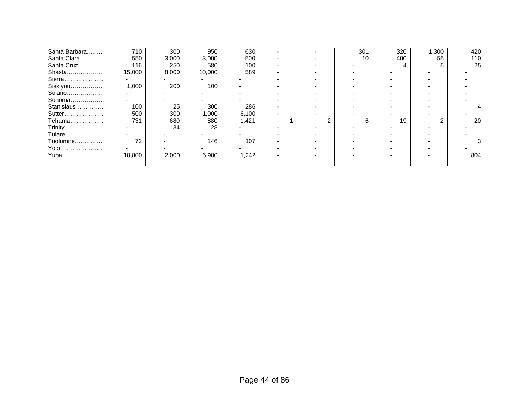| Santa Barbara | 710    | 300   | 950    | 630   |  | 301 | 320 | 1,300 | 420 |
|---------------|--------|-------|--------|-------|--|-----|-----|-------|-----|
| Santa Clara   | 550    | 3,000 | 3,000  | 500   |  | 10  | 400 | 55    | 110 |
| Santa Cruz    | 116    | 250   | 580    | 100   |  |     |     |       | 25  |
| Shasta        | 15,000 | 8,000 | 10,000 | 589   |  |     |     |       |     |
| Sierra        |        |       |        |       |  |     |     |       |     |
| Siskiyou      | 1,000  | 200   | 100    |       |  |     |     |       |     |
| Solano        |        |       |        |       |  |     |     |       |     |
| Sonoma        |        |       |        |       |  |     |     |       |     |
| Stanislaus    | 100    | 25    | 300    | 286   |  |     |     |       |     |
| Sutter        | 500    | 300   | 1,000  | 6,100 |  |     |     |       |     |
| Tehama        | 731    | 680   | 880    | 1,421 |  |     | 19  |       | 20  |
| Trinity       |        | 34    | 28     |       |  |     |     |       |     |
| Tulare        |        |       |        |       |  |     |     |       |     |
| Tuolumne      | 72     |       | 146    | 107   |  |     |     |       |     |
| Yolo          |        |       |        |       |  |     |     |       |     |
| Yuba          | 18,800 | 2,000 | 6,980  | 1,242 |  |     |     |       | 804 |
|               |        |       |        |       |  |     |     |       |     |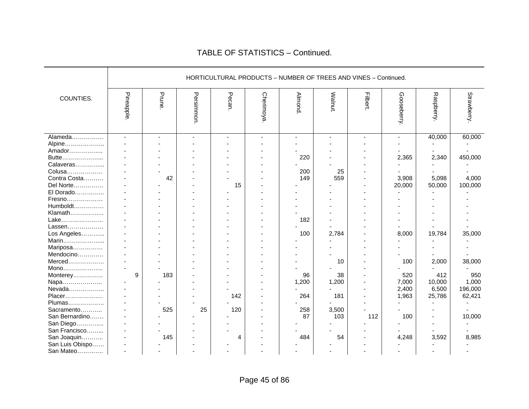|                                                                                                                                                                                                                     |           |            |           |            |                  | HORTICULTURAL PRODUCTS - NUMBER OF TREES AND VINES - Continued. |                             |                  |                                                                      |                                                       |                                                           |
|---------------------------------------------------------------------------------------------------------------------------------------------------------------------------------------------------------------------|-----------|------------|-----------|------------|------------------|-----------------------------------------------------------------|-----------------------------|------------------|----------------------------------------------------------------------|-------------------------------------------------------|-----------------------------------------------------------|
| COUNTIES.                                                                                                                                                                                                           | Pineapple | Prune      | Persimmon | Pecan.     | <b>Cherimoya</b> | Almond.                                                         | Walnut.                     | <b>Filbert</b> . | Gooseberry.                                                          | Raspberry.                                            | Strawberry.                                               |
| Alameda<br>Alpine<br>Amador<br>Butte<br>Calaveras<br>Colusa<br>Contra Costa<br>Del Norte<br>El Dorado<br>Fresno<br>Humboldt<br>Klamath<br>Lake<br>Lassen<br>Los Angeles<br>Marin<br>Mariposa<br>Mendocino<br>Merced | $\sim$    | 42         |           | 15         |                  | 220<br>200<br>149<br>182<br>100                                 | 25<br>559<br>2,784<br>10    |                  | $\overline{\phantom{0}}$<br>2,365<br>3,908<br>20,000<br>8,000<br>100 | 40,000<br>2,340<br>5,098<br>50,000<br>19,784<br>2,000 | 60,000<br>450,000<br>4,000<br>100,000<br>35,000<br>38,000 |
| Mono<br>Monterey<br>Napa<br>Nevada<br>Placer<br>Plumas<br>Sacramento                                                                                                                                                | 9         | 183<br>525 | 25        | 142<br>120 |                  | 96<br>1,200<br>264<br>258                                       | 38<br>1,200<br>181<br>3,500 |                  | 520<br>7,000<br>2,400<br>1,963                                       | 412<br>10,000<br>6,500<br>25,786                      | 950<br>1,000<br>196,000<br>62,421                         |
| San Bernardino<br>San Diego<br>San Francisco<br>San Joaquin<br>San Luis Obispo<br>San Mateo                                                                                                                         |           | 145        |           | 4          |                  | 87<br>484                                                       | 103<br>54                   | 112              | 100<br>4,248                                                         | 3,592                                                 | 10,000<br>8,985                                           |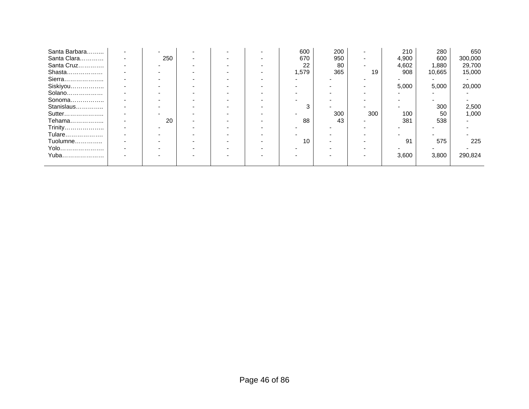| Santa Barbara |     |  | 600   | 200 |                          | 210   | 280    | 650     |
|---------------|-----|--|-------|-----|--------------------------|-------|--------|---------|
| Santa Clara   | 250 |  | 670   | 950 | -                        | 4,900 | 600    | 300,000 |
| Santa Cruz    |     |  | 22    | 80  | $\overline{\phantom{0}}$ | 4,602 | 1,880  | 29,700  |
| Shasta        |     |  | 1,579 | 365 | 19                       | 908   | 10,665 | 15,000  |
| Sierra        |     |  |       |     |                          |       |        |         |
| Siskiyou      |     |  |       |     |                          | 5,000 | 5,000  | 20,000  |
| Solano        |     |  |       |     |                          |       |        |         |
| Sonoma        |     |  |       |     |                          |       |        |         |
| Stanislaus    |     |  |       |     |                          |       | 300    | 2,500   |
| Sutter        |     |  |       | 300 | 300                      | 100   | 50     | 1,000   |
| Tehama        | 20  |  | 88    | 43  |                          | 381   | 538    |         |
| Trinity       |     |  |       |     |                          |       |        |         |
| Tulare        |     |  |       |     |                          |       |        |         |
| Tuolumne      |     |  | 10    |     |                          | 91    | 575    | 225     |
| Yolo          |     |  |       |     |                          |       |        |         |
| Yuba          |     |  |       |     |                          | 3,600 | 3,800  | 290,824 |
|               |     |  |       |     |                          |       |        |         |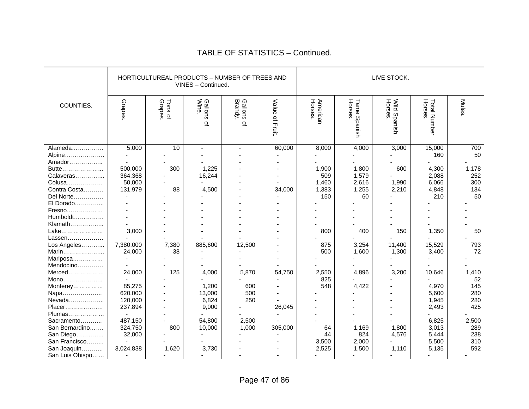|                 |           | HORTICULTUREAL PRODUCTS - NUMBER OF TREES AND | VINES - Continued.                 |                       |                | LIVE STOCK.         |                                |                         |                                 |              |  |
|-----------------|-----------|-----------------------------------------------|------------------------------------|-----------------------|----------------|---------------------|--------------------------------|-------------------------|---------------------------------|--------------|--|
| COUNTIES.       | Grapes    | Grapes.<br>Tons of                            | Gallons<br>Wine.<br>$\overline{a}$ | Gallons of<br>Brandy. | Value of Fruit | American<br>Horses. | <b>Horses.</b><br>Tame Spanish | Wild Spanish<br>Horses. | <b>Horses</b> .<br>Total Number | <b>Mules</b> |  |
| Alameda         | 5,000     | 10                                            |                                    |                       | 60,000         | 8,000               | 4,000                          | 3,000                   | 15,000                          | 700          |  |
| Alpine          |           |                                               |                                    |                       |                |                     |                                |                         | 160                             | 50           |  |
| Amador          |           |                                               |                                    |                       |                |                     |                                |                         |                                 |              |  |
| Butte           | 500,000   | 300                                           | 1,225                              |                       |                | 1,900               | 1,800                          | 600                     | 4,300                           | 1,178        |  |
| Calaveras       | 364,368   |                                               | 16,244                             |                       |                | 509                 | 1,579                          |                         | 2,088                           | 252          |  |
| Colusa          | 50,000    |                                               |                                    |                       |                | 1,460               | 2,616                          | 1,990                   | 6,066                           | 300          |  |
| Contra Costa    | 131,979   | 88                                            | 4,500                              |                       | 34,000         | 1,383               | 1,255                          | 2,210                   | 4,848                           | 134          |  |
| Del Norte       |           |                                               |                                    |                       |                | 150                 | 60                             |                         | 210                             | 50           |  |
| El Dorado       |           |                                               |                                    |                       |                |                     |                                |                         |                                 |              |  |
| Fresno          |           |                                               |                                    |                       |                |                     |                                |                         |                                 |              |  |
| Humboldt        |           |                                               |                                    |                       |                |                     |                                |                         |                                 |              |  |
| Klamath         |           |                                               |                                    |                       |                |                     |                                |                         |                                 |              |  |
| Lake            | 3,000     |                                               |                                    |                       |                | 800                 | 400                            | 150                     | 1,350                           | 50           |  |
| Lassen          |           |                                               |                                    |                       |                |                     |                                |                         |                                 |              |  |
| Los Angeles     | 7,380,000 | 7,380                                         | 885,600                            | 12,500                |                | 875                 | 3,254                          | 11,400                  | 15,529                          | 793          |  |
| Marin           | 24,000    | 38                                            |                                    |                       |                | 500                 | 1,600                          | 1,300                   | 3,400                           | 72           |  |
| Mariposa        |           |                                               |                                    |                       |                |                     |                                |                         |                                 |              |  |
| Mendocino       |           |                                               |                                    |                       |                |                     |                                |                         |                                 |              |  |
| Merced          | 24,000    | 125                                           | 4,000                              | 5,870                 | 54,750         | 2,550               | 4,896                          | 3,200                   | 10,646                          | 1,410        |  |
| Mono            |           |                                               |                                    |                       |                | 825                 |                                |                         |                                 | 52           |  |
| Monterey        | 85,275    |                                               | 1,200                              | 600                   |                | 548                 | 4,422                          |                         | 4,970                           | 145          |  |
| Napa            | 620,000   |                                               | 13,000                             | 500                   |                |                     |                                |                         | 5,600                           | 280          |  |
| Nevada          | 120,000   |                                               | 6,824                              | 250                   |                |                     |                                |                         | 1,945                           | 280          |  |
| Placer          | 237,894   |                                               | 9,000                              |                       | 26,045         |                     |                                |                         | 2,493                           | 425          |  |
| Plumas          |           |                                               |                                    |                       |                |                     |                                |                         |                                 |              |  |
| Sacramento      | 487,150   |                                               | 54,800                             | 2,500                 |                |                     |                                |                         | 6,825                           | 2,500        |  |
| San Bernardino  | 324,750   | 800                                           | 10,000                             | 1,000                 | 305,000        | 64                  | 1,169                          | 1,800                   | 3,013                           | 289          |  |
| San Diego       | 32,000    |                                               |                                    |                       |                | 44                  | 824                            | 4,576                   | 5,444                           | 238          |  |
| San Francisco   |           |                                               |                                    |                       |                | 3,500               | 2,000                          |                         | 5,500                           | 310          |  |
| San Joaquin     | 3,024,838 | 1,620                                         | 3,730                              |                       |                | 2,525               | 1,500                          | 1,110                   | 5,135                           | 592          |  |
| San Luis Obispo |           | ÷                                             |                                    |                       |                |                     |                                |                         |                                 |              |  |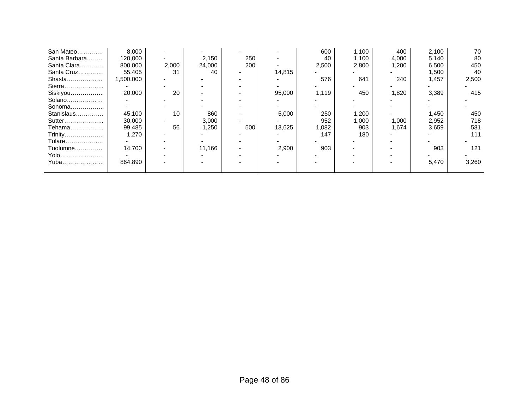| San Mateo     | 8.000    |       |        |     |        | 600   | 1,100 | 400   | 2,100 | 70    |
|---------------|----------|-------|--------|-----|--------|-------|-------|-------|-------|-------|
| Santa Barbara | 120,000  |       | 2,150  | 250 |        | 40    | 1,100 | 4,000 | 5,140 | 80    |
| Santa Clara   | 800,000  | 2,000 | 24,000 | 200 |        | 2,500 | 2,800 | 1,200 | 6,500 | 450   |
| Santa Cruz    | 55,405   | 31    | 40     |     | 14,815 |       |       |       | 1,500 | 40    |
| Shasta        | .500,000 |       |        |     |        | 576   | 641   | 240   | 1,457 | 2,500 |
| Sierra        |          |       |        |     |        |       |       |       |       |       |
| Siskiyou      | 20,000   | 20    |        |     | 95,000 | 1,119 | 450   | 1,820 | 3,389 | 415   |
| Solano        |          |       |        |     |        |       |       |       |       |       |
| Sonoma        |          |       |        |     |        |       |       |       |       |       |
| Stanislaus    | 45,100   | 10    | 860    |     | 5,000  | 250   | 1,200 |       | 1,450 | 450   |
| Sutter        | 30,000   |       | 3,000  |     |        | 952   | 1,000 | 1,000 | 2,952 | 718   |
| Tehama        | 99,485   | 56    | 1,250  | 500 | 13,625 | 1,082 | 903   | 1,674 | 3,659 | 581   |
| Trinity       | 1,270    |       |        |     |        | 147   | 180   |       |       | 111   |
| Tulare        |          |       |        |     |        |       |       |       |       |       |
| Tuolumne      | 14,700   |       | 11,166 |     | 2,900  | 903   |       |       | 903   | 121   |
| Yolo          |          |       |        |     |        |       |       |       |       |       |
| Yuba          | 864,890  |       |        |     |        |       |       |       | 5,470 | 3,260 |
|               |          |       |        |     |        |       |       |       |       |       |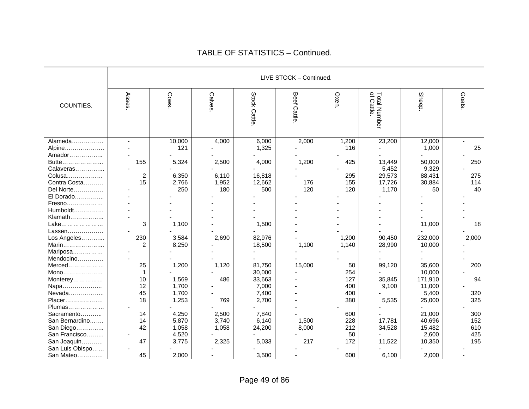|                       |                       |               |        |              | LIVE STOCK - Continued. |       |                            |         |       |
|-----------------------|-----------------------|---------------|--------|--------------|-------------------------|-------|----------------------------|---------|-------|
| COUNTIES.             | Asses.                | <b>Cows</b> . | Calves | Stock Cattle | Beef<br>Cattle          | Oxen. | Total Number<br>of Cattle. | Sheep.  | Goats |
| Alameda               | $\sim$                | 10,000        | 4,000  | 6,000        | 2,000                   | 1,200 | 23,200                     | 12,000  | ٠     |
| Alpine                |                       | 121           |        | 1,325        |                         | 116   |                            | 1,000   | 25    |
| Amador                |                       |               |        |              |                         |       |                            |         |       |
| Butte                 | 155                   | 5,324         | 2,500  | 4,000        | 1,200                   | 425   | 13,449                     | 50,000  | 250   |
| Calaveras             |                       |               |        |              |                         |       | 5,452                      | 9,329   |       |
| Colusa                | $\overline{c}$        | 6,350         | 6,110  | 16,818       |                         | 295   | 29,573                     | 88,431  | 275   |
| Contra Costa          | 15                    | 2,766         | 1,952  | 12,662       | 176                     | 155   | 17,726                     | 30,884  | 114   |
| Del Norte             |                       | 250           | 180    | 500          | 120                     | 120   | 1,170                      | 50      | 40    |
| El Dorado             |                       |               |        |              |                         |       |                            |         |       |
| Fresno                |                       |               |        |              |                         |       |                            |         |       |
| Humboldt              |                       |               |        |              |                         |       |                            |         |       |
| Klamath               |                       |               |        |              |                         |       |                            |         |       |
| Lake                  | 3                     | 1,100         |        | 1,500        |                         |       |                            | 11,000  | 18    |
| Lassen                |                       |               |        |              |                         |       |                            |         |       |
| Los Angeles           | 230<br>$\overline{2}$ | 3,584         | 2,690  | 82,976       |                         | 1,200 | 90,450                     | 232,000 | 2,000 |
| Marin                 |                       | 8,250         |        | 18,500       | 1,100                   | 1,140 | 28,990                     | 10,000  |       |
| Mariposa<br>Mendocino |                       |               |        |              |                         |       |                            |         |       |
| Merced                | 25                    | 1,200         | 1,120  | 81,750       | 15,000                  | 50    | 99,120                     | 35,600  | 200   |
| Mono                  |                       |               |        | 30,000       |                         | 254   |                            | 10,000  |       |
| Monterey              | 10                    | 1,569         | 486    | 33,663       |                         | 127   | 35,845                     | 171,910 | 94    |
| Napa                  | 12                    | 1,700         |        | 7,000        |                         | 400   | 9,100                      | 11,000  |       |
| Nevada                | 45                    | 1,700         |        | 7,400        |                         | 400   |                            | 5,400   | 320   |
| Placer                | 18                    | 1,253         | 769    | 2,700        |                         | 380   | 5,535                      | 25,000  | 325   |
| Plumas                |                       |               |        |              |                         |       |                            |         |       |
| Sacramento            | 14                    | 4,250         | 2,500  | 7,840        |                         | 600   |                            | 21,000  | 300   |
| San Bernardino        | 14                    | 5,870         | 3,740  | 6,140        | 1,500                   | 228   | 17,781                     | 40,696  | 152   |
| San Diego             | 42                    | 1,058         | 1,058  | 24,200       | 8,000                   | 212   | 34,528                     | 15,482  | 610   |
| San Francisco         |                       | 4,520         |        |              |                         | 50    |                            | 2,600   | 425   |
| San Joaquin           | 47                    | 3,775         | 2,325  | 5,033        | 217                     | 172   | 11,522                     | 10,350  | 195   |
| San Luis Obispo       |                       |               |        |              |                         |       |                            |         |       |
| San Mateo             | 45                    | 2,000         |        | 3,500        |                         | 600   | 6,100                      | 2,000   |       |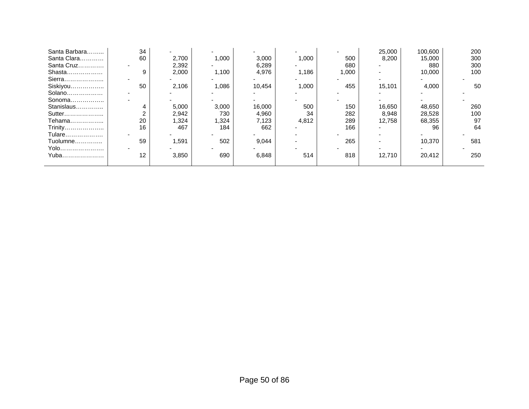| Santa Barbara | 34 |       |       |        |       |       | 25,000 | 100,600 | 200 |
|---------------|----|-------|-------|--------|-------|-------|--------|---------|-----|
| Santa Clara   | 60 | 2,700 | 1,000 | 3,000  | 1,000 | 500   | 8,200  | 15,000  | 300 |
| Santa Cruz    |    | 2,392 |       | 6,289  |       | 680   |        | 880     | 300 |
| Shasta        | c  | 2,000 | 1,100 | 4,976  | 1,186 | 1,000 |        | 10,000  | 100 |
| Sierra        |    |       |       |        |       |       |        |         |     |
| Siskiyou      | 50 | 2.106 | 1,086 | 10,454 | 1,000 | 455   | 15,101 | 4,000   | 50  |
| Solano        |    |       |       |        |       |       |        |         |     |
| Sonoma        |    |       |       |        |       |       |        |         |     |
| Stanislaus    |    | 5,000 | 3,000 | 16,000 | 500   | 150   | 16,650 | 48,650  | 260 |
| Sutter        |    | 2,942 | 730   | 4,960  | 34    | 282   | 8,948  | 28,528  | 100 |
| Tehama        | 20 | ,324  | .324  | 7,123  | 4,812 | 289   | 12,758 | 68,355  | 97  |
| Trinity       | 16 | 467   | 184   | 662    |       | 166   |        | 96      | 64  |
| Tulare        |    |       |       |        |       |       |        |         |     |
| Tuolumne      | 59 | .591  | 502   | 9,044  |       | 265   |        | 10.370  | 581 |
| Yolo          |    |       |       |        |       |       |        |         |     |
| Yuba          | 12 | 3,850 | 690   | 6,848  | 514   | 818   | 12,710 | 20,412  | 250 |
|               |    |       |       |        |       |       |        |         |     |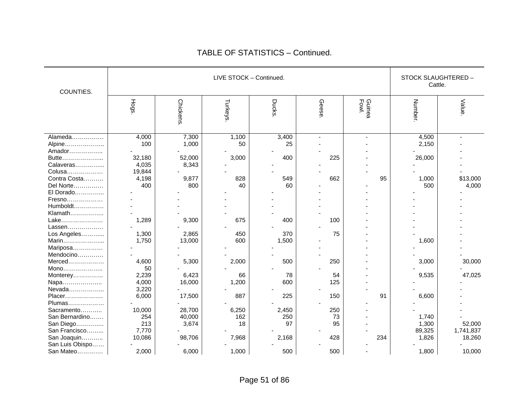|                 |        |          | LIVE STOCK - Continued. |                |       |                 | STOCK SLAUGHTERED - |           |
|-----------------|--------|----------|-------------------------|----------------|-------|-----------------|---------------------|-----------|
| COUNTIES.       |        |          |                         |                |       |                 | Cattle.             |           |
|                 |        |          |                         |                |       |                 |                     |           |
|                 | Hogs   | Chickens | Turkeys                 | <b>Ducks</b> . | Geese | Guinea<br>Fowl. | Number.             | Value     |
|                 |        |          |                         |                |       |                 |                     |           |
|                 |        |          |                         |                |       |                 |                     |           |
|                 |        |          |                         |                |       |                 |                     |           |
| Alameda         | 4,000  | 7,300    | 1,100                   | 3,400          |       |                 | 4,500               |           |
| Alpine          | 100    | 1,000    | 50                      | 25             |       |                 | 2,150               |           |
| Amador          |        |          |                         |                |       |                 |                     |           |
| Butte           | 32,180 | 52,000   | 3,000                   | 400            | 225   |                 | 26,000              |           |
| Calaveras       | 4,035  | 8,343    |                         |                |       |                 |                     |           |
| Colusa          | 19,844 |          |                         |                |       |                 |                     |           |
| Contra Costa    | 4,198  | 9,877    | 828                     | 549            | 662   | 95              | 1,000               | \$13,000  |
| Del Norte       | 400    | 800      | 40                      | 60             |       |                 | 500                 | 4,000     |
| El Dorado       |        |          |                         |                |       |                 |                     |           |
| Fresno          |        |          |                         |                |       |                 |                     |           |
| Humboldt        |        |          |                         |                |       |                 |                     |           |
| Klamath         |        |          |                         |                |       |                 |                     |           |
| Lake            | 1,289  | 9,300    | 675                     | 400            | 100   |                 |                     |           |
| Lassen          |        |          |                         |                |       |                 |                     |           |
| Los Angeles     | 1,300  | 2,865    | 450                     | 370            | 75    |                 |                     |           |
| Marin           | 1,750  | 13,000   | 600                     | 1,500          |       |                 | 1,600               |           |
| Mariposa        |        |          |                         |                |       |                 |                     |           |
| Mendocino       |        |          |                         |                |       |                 |                     |           |
| Merced          | 4,600  | 5,300    | 2,000                   | 500            | 250   |                 | 3,000               | 30,000    |
| Mono            | 50     |          |                         |                |       |                 |                     |           |
| Monterey        | 2,239  | 6,423    | 66                      | 78             | 54    |                 | 9,535               | 47,025    |
| Napa            | 4,000  | 16,000   | 1,200                   | 600            | 125   |                 |                     |           |
| Nevada          | 3,220  |          |                         |                |       |                 |                     |           |
| Placer          | 6,000  | 17,500   | 887                     | 225            | 150   | 91              | 6,600               |           |
| Plumas          |        |          |                         |                |       |                 |                     |           |
| Sacramento      | 10,000 | 28,700   | 6,250                   | 2,450          | 250   |                 |                     |           |
| San Bernardino  | 254    | 40,000   | 162                     | 250            | 73    |                 | 1,740               |           |
| San Diego       | 213    | 3,674    | 18                      | 97             | 95    |                 | 1,300               | 52,000    |
| San Francisco   | 7,770  |          |                         |                |       |                 | 89,325              | 1,741,837 |
| San Joaquin     | 10,086 | 98,706   | 7,968                   | 2,168          | 428   | 234             | 1,826               | 18,260    |
| San Luis Obispo |        |          |                         |                |       |                 |                     |           |
| San Mateo       | 2,000  | 6,000    | 1,000                   | 500            | 500   |                 | 1,800               | 10,000    |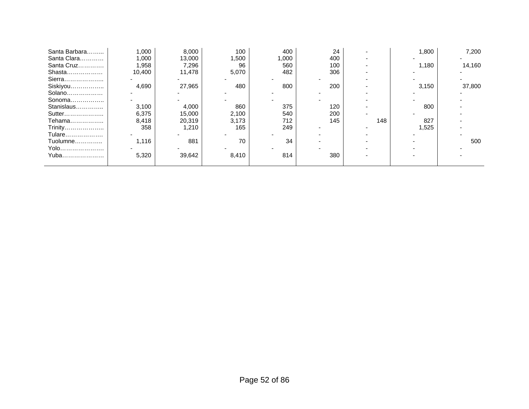| Santa Barbara | 1.000  | 8,000  | 100   | 400   | 24  |     | 1,800 | 7,200  |
|---------------|--------|--------|-------|-------|-----|-----|-------|--------|
| Santa Clara   | 1,000  | 13,000 | 1,500 | 1,000 | 400 |     |       |        |
| Santa Cruz    | 1,958  | 7,296  | 96    | 560   | 100 |     | 1,180 | 14,160 |
| Shasta        | 10,400 | 11,478 | 5,070 | 482   | 306 |     |       |        |
| Sierra        |        |        |       |       |     |     |       |        |
| Siskiyou      | 4,690  | 27,965 | 480   | 800   | 200 |     | 3,150 | 37,800 |
| Solano        |        |        |       |       |     |     |       |        |
| Sonoma        |        |        |       |       |     |     |       |        |
| Stanislaus    | 3,100  | 4,000  | 860   | 375   | 120 |     | 800   |        |
| Sutter        | 6,375  | 15,000 | 2,100 | 540   | 200 |     |       |        |
| Tehama        | 8,418  | 20,319 | 3,173 | 712   | 145 | 148 | 827   |        |
| Trinity       | 358    | 1,210  | 165   | 249   |     |     | 1,525 |        |
| Tulare        |        |        |       |       |     |     |       |        |
| Tuolumne      | 1,116  | 881    | 70    | 34    |     |     |       | 500    |
| Yolo          |        |        |       |       |     |     |       |        |
| Yuba          | 5,320  | 39,642 | 8,410 | 814   | 380 |     |       |        |
|               |        |        |       |       |     |     |       |        |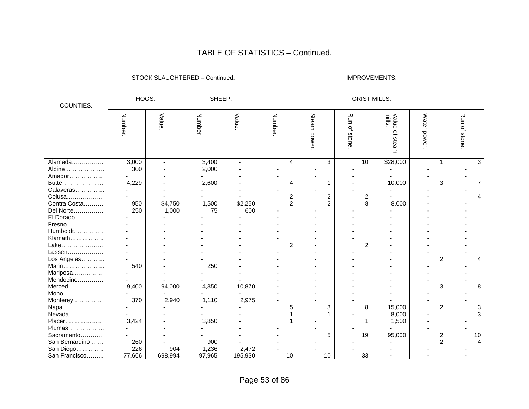|                     |         |                | STOCK SLAUGHTERED - Continued. |                |         |                         |                         |                 |                | IMPROVEMENTS.              |              |                         |                 |                |
|---------------------|---------|----------------|--------------------------------|----------------|---------|-------------------------|-------------------------|-----------------|----------------|----------------------------|--------------|-------------------------|-----------------|----------------|
| COUNTIES.           | HOGS.   |                | SHEEP.                         |                |         |                         |                         |                 |                | <b>GRIST MILLS.</b>        |              |                         |                 |                |
|                     | Number. | Value          | Number                         | Value          | Number. |                         | Steam power.            | Run<br>of stone |                | mills<br>Value<br>of steam | Water power. |                         | Run<br>of stone |                |
| Alameda             | 3,000   | $\blacksquare$ | 3,400                          | $\overline{a}$ |         | 4                       | 3                       |                 | 10             | \$28,000                   |              | 1                       |                 | 3              |
| Alpine<br>Amador    | 300     |                | 2,000                          |                |         |                         |                         |                 |                |                            |              |                         |                 |                |
| Butte               | 4,229   |                | 2,600                          |                |         | 4                       | 1                       |                 |                | 10,000                     |              | 3                       |                 | $\overline{7}$ |
| Calaveras           |         |                |                                |                |         |                         |                         |                 |                |                            |              |                         |                 |                |
| Colusa              |         |                |                                |                |         | 2                       | $\overline{\mathbf{c}}$ |                 | 2              |                            |              |                         |                 | 4              |
| Contra Costa        | 950     | \$4,750        | 1,500                          | \$2,250        |         | $\overline{2}$          | $\overline{c}$          |                 | 8              | 8,000                      |              |                         |                 |                |
| Del Norte           | 250     | 1,000          | 75                             | 600            |         |                         |                         |                 |                |                            |              |                         |                 |                |
| El Dorado           |         |                |                                |                |         |                         |                         |                 |                |                            |              |                         |                 |                |
| Fresno              |         |                |                                |                |         |                         |                         |                 |                |                            |              |                         |                 |                |
| Humboldt            |         |                |                                |                |         |                         |                         |                 |                |                            |              |                         |                 |                |
| Klamath             |         |                |                                |                |         |                         |                         |                 |                |                            |              |                         |                 |                |
| Lake                |         |                |                                |                |         | $\overline{\mathbf{c}}$ |                         |                 | $\overline{c}$ |                            |              |                         |                 |                |
| Lassen              |         |                |                                |                |         |                         |                         |                 |                |                            |              |                         |                 |                |
| Los Angeles         |         |                |                                |                |         |                         |                         |                 |                |                            |              | $\overline{2}$          |                 |                |
| Marin               | 540     |                | 250                            |                |         |                         |                         |                 |                |                            |              |                         |                 |                |
| Mariposa            |         |                |                                |                |         |                         |                         |                 |                |                            |              |                         |                 |                |
| Mendocino<br>Merced |         | 94,000         |                                |                |         |                         |                         |                 |                |                            |              |                         |                 |                |
| Mono                | 9,400   |                | 4,350                          | 10,870         |         |                         |                         |                 |                |                            |              | 3                       |                 | 8              |
| Monterey            | 370     | 2,940          | 1,110                          | 2,975          |         |                         |                         |                 |                |                            |              |                         |                 |                |
| Napa                |         |                |                                |                |         | 5                       | 3                       |                 | 8              | 15,000                     |              | $\overline{c}$          |                 | 3              |
| Nevada              |         |                |                                |                |         | 1                       |                         |                 |                | 8,000                      |              |                         |                 | 3              |
| Placer              | 3,424   |                | 3,850                          |                |         |                         |                         |                 | 1              | 1,500                      |              |                         |                 |                |
| Plumas              |         |                |                                |                |         |                         |                         |                 |                |                            |              |                         |                 |                |
| Sacramento          |         |                |                                |                |         |                         | 5                       |                 | 19             | 95,000                     |              | $\overline{\mathbf{c}}$ |                 | 10             |
| San Bernardino      | 260     |                | 900                            |                |         |                         |                         |                 |                |                            |              | $\overline{2}$          |                 | $\overline{4}$ |
| San Diego           | 226     | 904            | 1,236                          | 2,472          |         |                         |                         |                 |                |                            |              |                         |                 |                |
| San Francisco       | 77,666  | 698,994        | 97,965                         | 195,930        |         | 10                      | 10                      |                 | 33             |                            |              |                         |                 |                |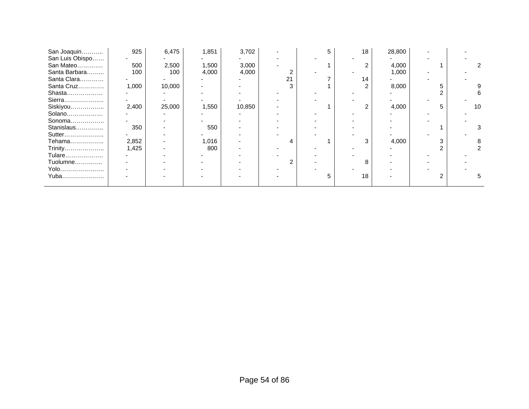| San Joaquin     | 925   | 6,475  | 1,851 | 3,702  |    | 5 | 18 | 28,800 |    |
|-----------------|-------|--------|-------|--------|----|---|----|--------|----|
| San Luis Obispo |       |        |       |        |    |   |    |        |    |
| San Mateo       | 500   | 2,500  | 1,500 | 3,000  |    |   |    | 4,000  |    |
| Santa Barbara   | 100   | 100    | 4,000 | 4,000  |    |   |    | 1,000  |    |
| Santa Clara     |       |        |       |        | 21 |   | 14 |        |    |
| Santa Cruz      | 1,000 | 10,000 |       |        | 3  |   |    | 8,000  |    |
| Shasta          |       |        |       |        |    |   |    |        |    |
| Sierra          |       |        |       |        |    |   |    |        |    |
| Siskiyou        | 2,400 | 25,000 | 1,550 | 10,850 |    |   |    | 4,000  | 10 |
| Solano          |       |        |       |        |    |   |    |        |    |
| Sonoma          |       |        |       |        |    |   |    |        |    |
| Stanislaus      | 350   |        | 550   |        |    |   |    |        |    |
| Sutter          |       |        |       |        |    |   |    |        |    |
| Tehama          | 2,852 |        | 1,016 |        |    |   |    | 4,000  |    |
| Trinity         | 1,425 |        | 800   |        |    |   |    |        |    |
| Tulare          |       |        |       |        |    |   |    |        |    |
| Tuolumne        |       |        |       |        |    |   |    |        |    |
| Yolo            |       |        |       |        |    |   |    |        |    |
| Yuba            |       |        |       |        |    | 5 | 18 |        |    |
|                 |       |        |       |        |    |   |    |        |    |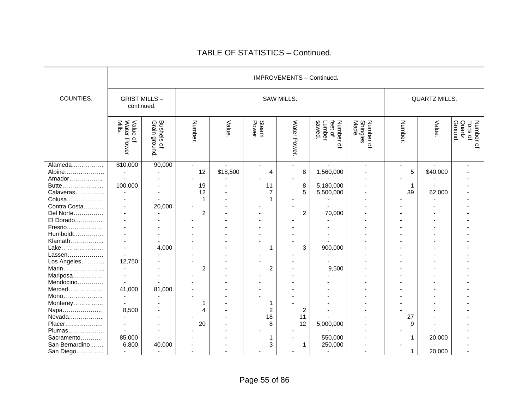|                |                                        |                                                   |        |          |                 | IMPROVEMENTS - Continued. |                                                        |                                |         |                      |                                           |
|----------------|----------------------------------------|---------------------------------------------------|--------|----------|-----------------|---------------------------|--------------------------------------------------------|--------------------------------|---------|----------------------|-------------------------------------------|
| COUNTIES.      | <b>GRIST MILLS-</b><br>continued.      |                                                   |        |          |                 | SAW MILLS.                |                                                        |                                |         | <b>QUARTZ MILLS.</b> |                                           |
|                | Value<br>Water<br>Mills.<br>Q<br>Power | Bushels<br>Grain gro<br>ground.<br>$\overline{a}$ | Number | Value    | Steam<br>Power. | Water Power.              | sawed<br>feet of<br>Lumber<br>Number<br>$\overline{a}$ | Number of<br>Shingles<br>Made. | Number. | Value                | Quartz<br>Ground.<br>Number of<br>Tons of |
| Alameda        | \$10,000                               | 90,000                                            |        |          |                 |                           | $\mathbf{r}$                                           | $\blacksquare$                 |         |                      |                                           |
| Alpine         |                                        |                                                   | 12     | \$18,500 | 4               | 8                         | 1,560,000                                              |                                | 5       | \$40,000             |                                           |
| Amador         |                                        |                                                   |        |          |                 |                           |                                                        |                                |         |                      |                                           |
| Butte          | 100,000                                |                                                   | 19     |          | 11              | 8                         | 5,180,000                                              |                                | 1       |                      |                                           |
| Calaveras      |                                        |                                                   | 12     |          |                 | 5                         | 5,500,000                                              |                                | 39      | 62,000               |                                           |
| Colusa         |                                        |                                                   | 1      |          |                 |                           |                                                        |                                |         |                      |                                           |
| Contra Costa   |                                        | 20,000                                            |        |          |                 |                           |                                                        |                                |         |                      |                                           |
| Del Norte      |                                        |                                                   | 2      |          |                 | $\overline{2}$            | 70,000                                                 |                                |         |                      |                                           |
| El Dorado      |                                        |                                                   |        |          |                 |                           |                                                        |                                |         |                      |                                           |
| Fresno         |                                        |                                                   |        |          |                 |                           |                                                        |                                |         |                      |                                           |
| Humboldt       |                                        |                                                   |        |          |                 |                           |                                                        |                                |         |                      |                                           |
| Klamath        |                                        |                                                   |        |          |                 |                           |                                                        |                                |         |                      |                                           |
| Lake           |                                        | 4,000                                             |        |          | 1               | 3                         | 900,000                                                |                                |         |                      |                                           |
| Lassen         |                                        |                                                   |        |          |                 |                           |                                                        |                                |         |                      |                                           |
| Los Angeles    | 12,750                                 |                                                   |        |          |                 |                           |                                                        |                                |         |                      |                                           |
| Marin          |                                        |                                                   | 2      |          | 2               |                           | 9,500                                                  |                                |         |                      |                                           |
| Mariposa       |                                        |                                                   |        |          |                 |                           |                                                        |                                |         |                      |                                           |
| Mendocino      |                                        |                                                   |        |          |                 |                           |                                                        |                                |         |                      |                                           |
| Merced         | 41,000                                 | 81,000                                            |        |          |                 |                           |                                                        |                                |         |                      |                                           |
| Mono           |                                        |                                                   |        |          |                 |                           |                                                        |                                |         |                      |                                           |
| Monterey       |                                        |                                                   |        |          | 1               |                           |                                                        |                                |         |                      |                                           |
| Napa           | 8,500                                  |                                                   | 4      |          | 2               | 2                         |                                                        |                                |         |                      |                                           |
| Nevada         |                                        |                                                   |        |          | 18              | 11                        |                                                        |                                | 27      |                      |                                           |
| Placer         |                                        |                                                   | 20     |          | 8               | 12                        | 5,000,000                                              |                                | 9       |                      |                                           |
| Plumas         |                                        |                                                   |        |          |                 |                           |                                                        |                                |         |                      |                                           |
| Sacramento     | 85,000                                 |                                                   |        |          |                 |                           | 550,000                                                |                                | 1       | 20,000               |                                           |
| San Bernardino | 6,800                                  | 40,000                                            |        |          | 3               | 1                         | 250,000                                                |                                |         |                      |                                           |
| San Diego      | $\overline{\phantom{a}}$               |                                                   |        |          |                 |                           | $\overline{\phantom{a}}$                               |                                | 1       | 20,000               |                                           |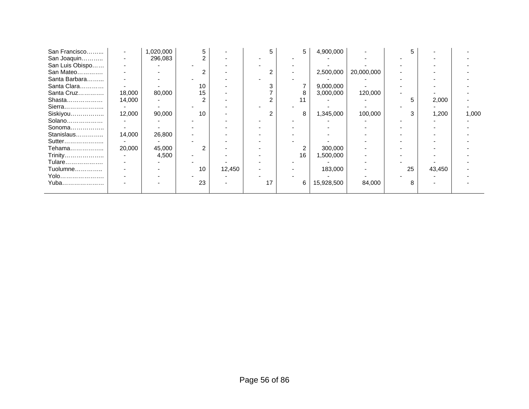| San Francisco   | ٠      | 1,020,000 | 5  |        | 5  | 5  | 4,900,000  |            | 5  |        |       |
|-----------------|--------|-----------|----|--------|----|----|------------|------------|----|--------|-------|
| San Joaquin     |        | 296,083   |    |        |    |    |            |            |    |        |       |
| San Luis Obispo |        |           |    |        |    |    |            |            |    |        |       |
| San Mateo       |        |           |    |        | 2  |    | 2,500,000  | 20,000,000 |    |        |       |
| Santa Barbara   |        |           |    |        |    |    |            |            |    |        |       |
| Santa Clara     |        |           | 10 |        |    |    | 9,000,000  |            |    |        |       |
| Santa Cruz      | 18,000 | 80,000    | 15 |        |    |    | 3,000,000  | 120,000    |    |        |       |
| Shasta          | 14,000 |           |    |        |    |    |            |            | 5  | 2,000  |       |
| Sierra          |        |           |    |        |    |    |            |            |    |        |       |
| Siskiyou        | 12,000 | 90,000    | 10 |        | 2  | 8  | 1,345,000  | 100,000    | 3  | 1,200  | 1,000 |
| Solano          |        |           |    |        |    |    |            |            |    |        |       |
| Sonoma          |        |           |    |        |    |    |            |            |    |        |       |
| Stanislaus      | 14,000 | 26,800    |    |        |    |    |            |            |    |        |       |
| Sutter          |        |           |    |        |    |    |            |            |    |        |       |
| Tehama          | 20,000 | 45,000    |    |        |    |    | 300,000    |            |    |        |       |
| Trinity         |        | 4,500     |    |        |    | 16 | 1,500,000  |            |    |        |       |
| Tulare          |        |           |    |        |    |    |            |            |    |        |       |
| Tuolumne        |        |           | 10 | 12,450 |    |    | 183,000    |            | 25 | 43,450 |       |
| Yolo            |        |           |    |        |    |    |            |            |    |        |       |
| Yuba            |        |           | 23 |        | 17 | 6  | 15,928,500 | 84,000     | 8  |        |       |
|                 |        |           |    |        |    |    |            |            |    |        |       |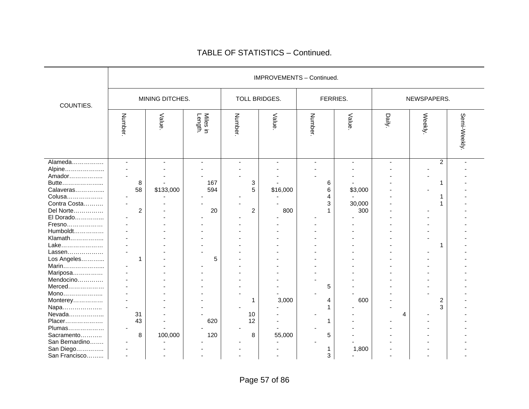|                                                                                                                                                                                                                             |                                                                     |                 |                       |                                                |                 | IMPROVEMENTS - Continued.  |                          |               |                                    |             |
|-----------------------------------------------------------------------------------------------------------------------------------------------------------------------------------------------------------------------------|---------------------------------------------------------------------|-----------------|-----------------------|------------------------------------------------|-----------------|----------------------------|--------------------------|---------------|------------------------------------|-------------|
| COUNTIES.                                                                                                                                                                                                                   |                                                                     | MINING DITCHES. |                       | TOLL BRIDGES.                                  |                 | FERRIES.                   |                          |               | NEWSPAPERS.                        |             |
|                                                                                                                                                                                                                             | Number                                                              | Value           | Miles in<br>Length.   | Number                                         | Value           | Number.                    | Value                    | <b>Daily.</b> | Weekly.                            | Semi-Weekly |
| Alameda<br>Alpine<br>Amador<br>Butte<br>Calaveras<br>Colusa<br>Contra Costa<br>Del Norte<br>El Dorado<br>Fresno<br>Humboldt<br>Klamath<br>Lake<br>Lassen<br>Los Angeles<br>Marin<br>Mariposa<br>Mendocino<br>Merced<br>Mono | $\overline{\phantom{a}}$<br>8<br>58<br>$\overline{\mathbf{c}}$<br>1 | \$133,000       | 167<br>594<br>20<br>5 | 3<br>5<br>$\overline{2}$                       | \$16,000<br>800 | 6<br>6<br>4<br>3<br>1<br>5 | \$3,000<br>30,000<br>300 |               | $\overline{c}$<br>1<br>1<br>1<br>1 |             |
| Monterey<br>Napa<br>Nevada<br>Placer<br>Plumas<br>Sacramento<br>San Bernardino<br>San Diego<br>San Francisco                                                                                                                | 31<br>43<br>$\blacksquare$<br>8<br>$\blacksquare$                   | 100,000         | 620<br>120            | 1<br>10<br>12<br>$\overline{\phantom{0}}$<br>8 | 3,000<br>55,000 | 4<br>1<br>1<br>5<br>1<br>3 | 600<br>1,800             | 4             | 2<br>3                             |             |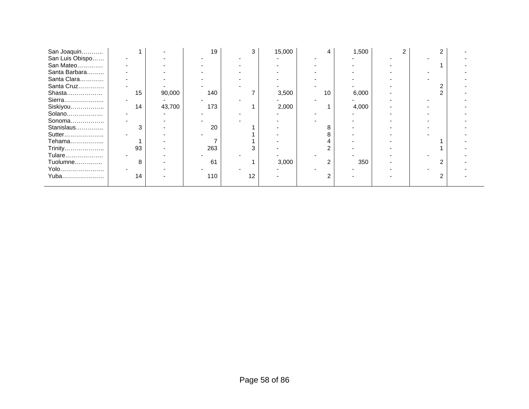| San Joaquin     |    |        | 19  | 3  | 15,000 | 4  | 1,500 |  |  |
|-----------------|----|--------|-----|----|--------|----|-------|--|--|
| San Luis Obispo |    |        |     |    |        |    |       |  |  |
| San Mateo       |    |        |     |    |        |    |       |  |  |
| Santa Barbara   |    |        |     |    |        |    |       |  |  |
| Santa Clara     |    |        |     |    |        |    |       |  |  |
| Santa Cruz      |    |        |     |    |        |    |       |  |  |
| Shasta          | 15 | 90,000 | 140 |    | 3,500  | 10 | 6,000 |  |  |
| Sierra          |    |        |     |    |        |    |       |  |  |
| Siskiyou        | 14 | 43,700 | 173 |    | 2,000  |    | 4,000 |  |  |
| Solano          |    |        |     |    |        |    |       |  |  |
| Sonoma          |    |        |     |    |        |    |       |  |  |
| Stanislaus      | 3  |        | 20  |    |        |    |       |  |  |
| Sutter          |    |        |     |    |        |    |       |  |  |
| Tehama          |    |        |     |    |        |    |       |  |  |
| Trinity         | 93 |        | 263 |    |        |    |       |  |  |
| Tulare          |    |        |     |    |        |    |       |  |  |
| Tuolumne        | 8  |        | 61  |    | 3,000  | 2  | 350   |  |  |
| Yolo            |    |        |     |    |        |    |       |  |  |
| Yuba            | 14 |        | 110 | 12 |        | ⌒  |       |  |  |
|                 |    |        |     |    |        |    |       |  |  |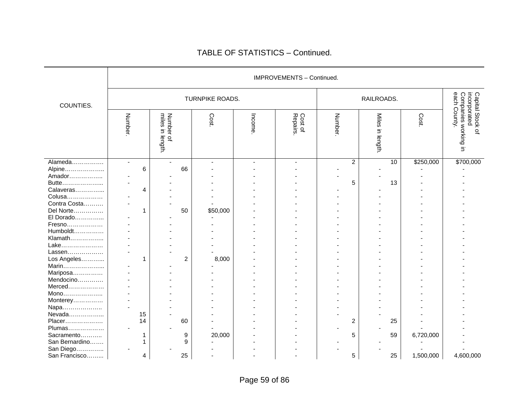|                |                          |    |                                     |                |                 |        | IMPROVEMENTS - Continued. |        |                |                            |    |           |                                                                                    |
|----------------|--------------------------|----|-------------------------------------|----------------|-----------------|--------|---------------------------|--------|----------------|----------------------------|----|-----------|------------------------------------------------------------------------------------|
| COUNTIES.      |                          |    |                                     |                | TURNPIKE ROADS. |        |                           |        |                | RAILROADS.                 |    |           |                                                                                    |
|                | Number.                  |    | miles<br>Number of<br>Ξ.<br>length. |                | Cost.           | Income | Cost of<br>Repairs.       | Number |                | <b>Miles</b><br>in length. |    | Cost.     | Companies working<br>each County.<br>Capital Stock of<br>incorporated<br>$\exists$ |
| Alameda        | $\overline{\phantom{a}}$ |    | $\blacksquare$                      |                |                 |        |                           |        | $\overline{c}$ |                            | 10 | \$250,000 | \$700,000                                                                          |
| Alpine         |                          | 6  |                                     | 66             |                 |        |                           |        |                |                            |    |           |                                                                                    |
| Amador         |                          |    |                                     |                |                 |        |                           |        |                |                            |    |           |                                                                                    |
| Butte          |                          |    |                                     |                |                 |        |                           |        | 5              |                            | 13 |           |                                                                                    |
| Calaveras      |                          | 4  |                                     |                |                 |        |                           |        |                |                            |    |           |                                                                                    |
| Colusa         |                          |    |                                     |                |                 |        |                           |        |                |                            |    |           |                                                                                    |
| Contra Costa   |                          |    |                                     |                |                 |        |                           |        |                |                            |    |           |                                                                                    |
| Del Norte      |                          | 1  |                                     | 50             | \$50,000        |        |                           |        |                |                            |    |           |                                                                                    |
| El Dorado      |                          |    |                                     |                |                 |        |                           |        |                |                            |    |           |                                                                                    |
| Fresno         |                          |    |                                     |                |                 |        |                           |        |                |                            |    |           |                                                                                    |
| Humboldt       |                          |    |                                     |                |                 |        |                           |        |                |                            |    |           |                                                                                    |
| Klamath        |                          |    |                                     |                |                 |        |                           |        |                |                            |    |           |                                                                                    |
| Lake           |                          |    |                                     |                |                 |        |                           |        |                |                            |    |           |                                                                                    |
| Lassen         |                          |    |                                     |                |                 |        |                           |        |                |                            |    |           |                                                                                    |
| Los Angeles    |                          | 1  |                                     | $\overline{c}$ | 8,000           |        |                           |        |                |                            |    |           |                                                                                    |
| Marin          |                          |    |                                     |                |                 |        |                           |        |                |                            |    |           |                                                                                    |
| Mariposa       |                          |    |                                     |                |                 |        |                           |        |                |                            |    |           |                                                                                    |
| Mendocino      |                          |    |                                     |                |                 |        |                           |        |                |                            |    |           |                                                                                    |
| Merced         |                          |    |                                     |                |                 |        |                           |        |                |                            |    |           |                                                                                    |
| Mono           |                          |    |                                     |                |                 |        |                           |        |                |                            |    |           |                                                                                    |
| Monterey       |                          |    |                                     |                |                 |        |                           |        |                |                            |    |           |                                                                                    |
| Napa           |                          |    |                                     |                |                 |        |                           |        |                |                            |    |           |                                                                                    |
| Nevada         |                          | 15 |                                     |                |                 |        |                           |        |                |                            |    |           |                                                                                    |
| Placer         |                          | 14 |                                     | 60             |                 |        |                           |        | 2              |                            | 25 |           |                                                                                    |
| Plumas         | $\blacksquare$           |    |                                     |                |                 |        |                           |        |                |                            |    |           |                                                                                    |
| Sacramento     |                          | 1  |                                     | 9              | 20,000          |        |                           |        | 5              |                            | 59 | 6,720,000 |                                                                                    |
| San Bernardino |                          | 1  |                                     | 9              |                 |        |                           |        |                |                            |    |           |                                                                                    |
| San Diego      |                          |    |                                     |                |                 |        |                           |        |                |                            |    |           |                                                                                    |
| San Francisco  |                          | 4  |                                     | 25             |                 |        |                           |        | 5              |                            | 25 | 1,500,000 | 4,600,000                                                                          |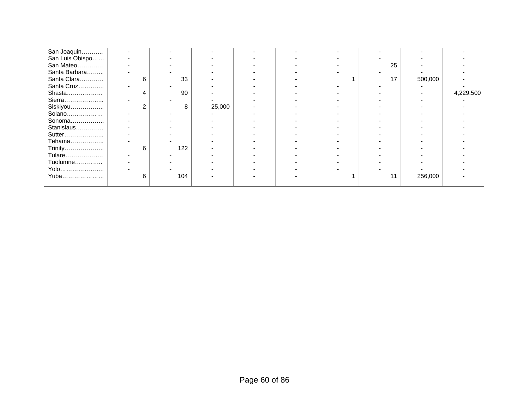| San Joaquin     |   |     |        |  |    |         |           |
|-----------------|---|-----|--------|--|----|---------|-----------|
| San Luis Obispo |   |     |        |  |    |         |           |
| San Mateo       |   |     |        |  | 25 |         |           |
| Santa Barbara   |   |     |        |  |    |         |           |
| Santa Clara     | 6 | 33  |        |  | 17 | 500,000 |           |
| Santa Cruz      |   |     |        |  |    |         |           |
| Shasta          | Δ | 90  |        |  |    |         | 4,229,500 |
| Sierra          |   |     |        |  |    |         |           |
| Siskiyou        |   | 8   | 25,000 |  |    |         |           |
| Solano          |   |     |        |  |    |         |           |
| Sonoma          |   |     |        |  |    |         |           |
| Stanislaus      |   |     |        |  |    |         |           |
| Sutter          |   |     |        |  |    |         |           |
| Tehama          |   |     |        |  |    |         |           |
| Trinity         | 6 | 122 |        |  |    |         |           |
| Tulare          |   |     |        |  |    |         |           |
| Tuolumne        |   |     |        |  |    |         |           |
| Yolo            |   |     |        |  |    |         |           |
| Yuba            | 6 | 104 |        |  |    | 256,000 |           |
|                 |   |     |        |  |    |         |           |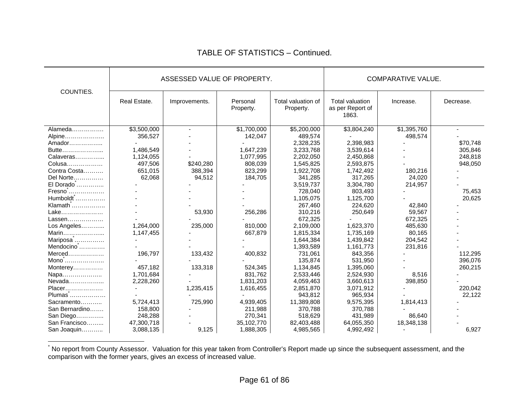|                       | ASSESSED VALUE OF PROPERTY. |               |                       |                                 | <b>COMPARATIVE VALUE.</b>                    |             |           |
|-----------------------|-----------------------------|---------------|-----------------------|---------------------------------|----------------------------------------------|-------------|-----------|
| COUNTIES.             | Real Estate.                | Improvements. | Personal<br>Property. | Total valuation of<br>Property. | Total valuation<br>as per Report of<br>1863. | Increase.   | Decrease. |
| Alameda               | \$3,500,000                 |               | \$1,700,000           | \$5,200,000                     | \$3,804,240                                  | \$1,395,760 |           |
| Alpine                | 356,527                     |               | 142,047               | 489,574                         |                                              | 498,574     |           |
| Amador                |                             |               |                       | 2,328,235                       | 2,398,983                                    |             | \$70,748  |
| Butte                 | 1,486,549                   |               | 1,647,239             | 3,233,768                       | 3,539,614                                    |             | 305,846   |
| Calaveras             | 1,124,055                   |               | 1,077,995             | 2,202,050                       | 2,450,868                                    |             | 248,818   |
| Colusa                | 497,506                     | \$240,280     | 808,039               | 1,545,825                       | 2,593,875                                    |             | 948,050   |
| Contra Costa          | 651,015                     | 388,394       | 823,299               | 1,922,708                       | 1,742,492                                    | 180,216     |           |
| Del Norte             | 62,068                      | 94,512        | 184,705               | 341,285                         | 317,265                                      | 24,020      |           |
| El Dorado             |                             |               |                       | 3,519,737                       | 3,304,780                                    | 214,957     |           |
| Fresno                |                             |               |                       | 728,040                         | 803,493                                      |             | 75,453    |
| $Humboldt$            |                             |               |                       | 1,105,075                       | 1,125,700                                    |             | 20,625    |
| Klamath <sup>*</sup>  |                             |               |                       | 267,460                         | 224,620                                      | 42,840      |           |
| Lake                  |                             | 53,930        | 256,286               | 310,216                         | 250,649                                      | 59,567      |           |
| Lassen                |                             |               |                       | 672,325                         |                                              | 672,325     |           |
| Los Angeles           | 1,264,000                   | 235,000       | 810,000               | 2,109,000                       | 1,623,370                                    | 485,630     |           |
| Marin                 | 1,147,455                   |               | 667,879               | 1,815,334                       | 1,735,169                                    | 80,165      |           |
| Mariposa <sup>1</sup> |                             |               |                       | 1,644,384                       | 1,439,842                                    | 204,542     |           |
| Mendocino $\ldots$    |                             |               |                       | 1,393,589                       | 1,161,773                                    | 231,816     |           |
| $Merced$              | 196,797                     | 133,432       | 400,832               | 731,061                         | 843,356                                      |             | 112,295   |
| Mono                  |                             |               |                       | 135,874                         | 531,950                                      |             | 396,076   |
| Monterey              | 457,182                     | 133,318       | 524,345               | 1,134,845                       | 1,395,060                                    |             | 260,215   |
| Napa                  | 1,701,684                   |               | 831,762               | 2,533,446                       | 2,524,930                                    | 8,516       |           |
| Nevada                | 2,228,260                   |               | 1,831,203             | 4,059,463                       | 3,660,613                                    | 398,850     |           |
| Placer                |                             | 1,235,415     | 1,616,455             | 2,851,870                       | 3,071,912                                    |             | 220,042   |
| Plumas                |                             |               |                       | 943,812                         | 965,934                                      |             | 22,122    |
| Sacramento            | 5,724,413                   | 725,990       | 4,939,405             | 11,389,808                      | 9,575,395                                    | 1,814,413   |           |
| San Bernardino        | 158,800                     |               | 211,988               | 370,788                         | 370,788                                      |             |           |
| San Diego             | 248,288                     |               | 270,341               | 518,629                         | 431,989                                      | 86,640      |           |
| San Francisco         | 47,300,718                  |               | 35,102,770            | 82,403,488                      | 64,055,350                                   | 18,348,138  |           |
| San Joaquin           | 3,088,135                   | 9,125         | 1,888,305             | 4,985,565                       | 4,992,492                                    |             | 6,927     |

\* No report from County Assessor. Valuation for this year taken from Controller's Report made up since the subsequent assessment, and the comparison with the former years, gives an excess of increased value.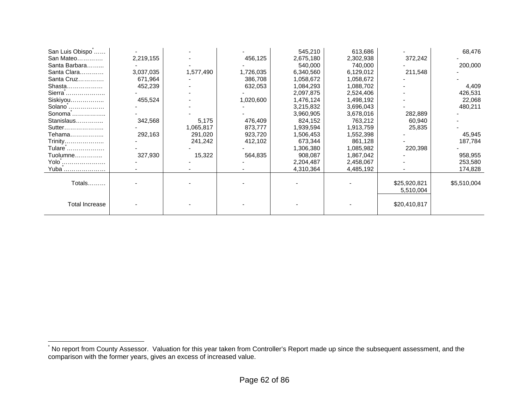| San Luis Obispo           |           |           |           | 545,210   | 613,686   |              | 68,476      |
|---------------------------|-----------|-----------|-----------|-----------|-----------|--------------|-------------|
| San Mateo                 | 2,219,155 |           | 456,125   | 2,675,180 | 2,302,938 | 372,242      |             |
| Santa Barbara             |           |           |           | 540,000   | 740,000   |              | 200,000     |
| Santa Clara               | 3,037,035 | 1,577,490 | 1,726,035 | 6,340,560 | 6,129,012 | 211,548      |             |
| Santa Cruz                | 671,964   |           | 386,708   | 1,058,672 | 1,058,672 |              |             |
| Shasta                    | 452,239   |           | 632,053   | 1,084,293 | 1,088,702 |              | 4,409       |
| Sierra                    |           |           |           | 2,097,875 | 2,524,406 |              | 426,531     |
| Siskiyou                  | 455,524   |           | 1,020,600 | 1,476,124 | 1,498,192 |              | 22,068      |
| Solano                    |           |           |           | 3,215,832 | 3,696,043 |              | 480,211     |
| Sonoma                    |           |           |           | 3,960,905 | 3,678,016 | 282,889      |             |
| Stanislaus                | 342,568   | 5,175     | 476,409   | 824,152   | 763,212   | 60,940       |             |
| Sutter                    |           | 1,065,817 | 873,777   | 1,939,594 | 1,913,759 | 25,835       |             |
| Tehama………………              | 292,163   | 291,020   | 923,720   | 1,506,453 | 1,552,398 |              | 45,945      |
| Trinity                   |           | 241,242   | 412,102   | 673,344   | 861,128   |              | 187,784     |
| Tulare                    |           |           |           | 1,306,380 | 1,085,982 | 220,398      |             |
| Tuolumne                  | 327,930   | 15,322    | 564,835   | 908,087   | 1,867,042 |              | 958,955     |
| Yolo                      |           |           |           | 2,204,487 | 2,458,067 |              | 253,580     |
| Yuba <sup>^</sup> <u></u> |           |           |           | 4,310,364 | 4,485,192 |              | 174,828     |
|                           |           |           |           |           |           |              |             |
| <b>Totals</b>             |           |           |           |           |           | \$25,920,821 | \$5,510,004 |
|                           |           |           |           |           |           | 5,510,004    |             |
|                           |           |           |           |           |           |              |             |
| <b>Total Increase</b>     |           |           |           |           |           | \$20,410,817 |             |
|                           |           |           |           |           |           |              |             |

<sup>\*</sup> No report from County Assessor. Valuation for this year taken from Controller's Report made up since the subsequent assessment, and the comparison with the former years, gives an excess of increased value.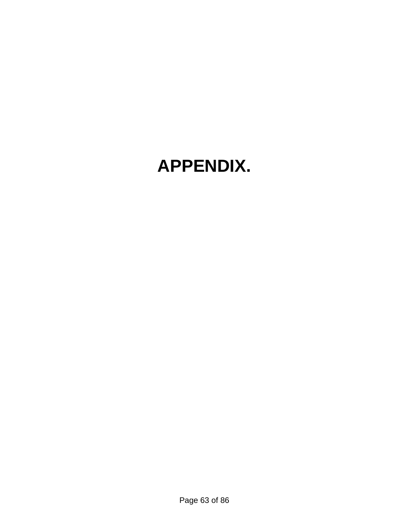# **APPENDIX.**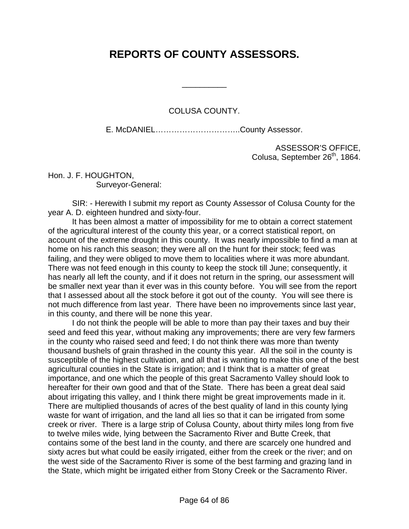# **REPORTS OF COUNTY ASSESSORS.**

\_\_\_\_\_\_\_\_\_\_

#### COLUSA COUNTY.

E. McDANIEL…………………………..County Assessor.

ASSESSOR'S OFFICE, Colusa, September 26<sup>th</sup>, 1864.

Hon. J. F. HOUGHTON, Surveyor-General:

 SIR: - Herewith I submit my report as County Assessor of Colusa County for the year A. D. eighteen hundred and sixty-four.

 It has been almost a matter of impossibility for me to obtain a correct statement of the agricultural interest of the county this year, or a correct statistical report, on account of the extreme drought in this county. It was nearly impossible to find a man at home on his ranch this season; they were all on the hunt for their stock; feed was failing, and they were obliged to move them to localities where it was more abundant. There was not feed enough in this county to keep the stock till June; consequently, it has nearly all left the county, and if it does not return in the spring, our assessment will be smaller next year than it ever was in this county before. You will see from the report that I assessed about all the stock before it got out of the county. You will see there is not much difference from last year. There have been no improvements since last year, in this county, and there will be none this year.

 I do not think the people will be able to more than pay their taxes and buy their seed and feed this year, without making any improvements; there are very few farmers in the county who raised seed and feed; I do not think there was more than twenty thousand bushels of grain thrashed in the county this year. All the soil in the county is susceptible of the highest cultivation, and all that is wanting to make this one of the best agricultural counties in the State is irrigation; and I think that is a matter of great importance, and one which the people of this great Sacramento Valley should look to hereafter for their own good and that of the State. There has been a great deal said about irrigating this valley, and I think there might be great improvements made in it. There are multiplied thousands of acres of the best quality of land in this county lying waste for want of irrigation, and the land all lies so that it can be irrigated from some creek or river. There is a large strip of Colusa County, about thirty miles long from five to twelve miles wide, lying between the Sacramento River and Butte Creek, that contains some of the best land in the county, and there are scarcely one hundred and sixty acres but what could be easily irrigated, either from the creek or the river; and on the west side of the Sacramento River is some of the best farming and grazing land in the State, which might be irrigated either from Stony Creek or the Sacramento River.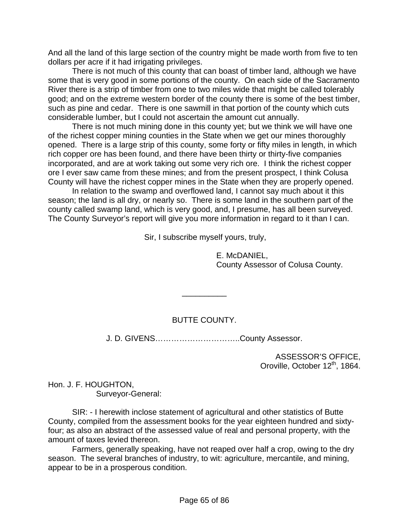And all the land of this large section of the country might be made worth from five to ten dollars per acre if it had irrigating privileges.

 There is not much of this county that can boast of timber land, although we have some that is very good in some portions of the county. On each side of the Sacramento River there is a strip of timber from one to two miles wide that might be called tolerably good; and on the extreme western border of the county there is some of the best timber, such as pine and cedar. There is one sawmill in that portion of the county which cuts considerable lumber, but I could not ascertain the amount cut annually.

 There is not much mining done in this county yet; but we think we will have one of the richest copper mining counties in the State when we get our mines thoroughly opened. There is a large strip of this county, some forty or fifty miles in length, in which rich copper ore has been found, and there have been thirty or thirty-five companies incorporated, and are at work taking out some very rich ore. I think the richest copper ore I ever saw came from these mines; and from the present prospect, I think Colusa County will have the richest copper mines in the State when they are properly opened.

 In relation to the swamp and overflowed land, I cannot say much about it this season; the land is all dry, or nearly so. There is some land in the southern part of the county called swamp land, which is very good, and, I presume, has all been surveyed. The County Surveyor's report will give you more information in regard to it than I can.

Sir, I subscribe myself yours, truly,

 E. McDANIEL, County Assessor of Colusa County.

#### BUTTE COUNTY.

\_\_\_\_\_\_\_\_\_\_

J. D. GIVENS…………………………..County Assessor.

ASSESSOR'S OFFICE, Oroville, October 12<sup>th</sup>, 1864.

Hon. J. F. HOUGHTON, Surveyor-General:

 SIR: - I herewith inclose statement of agricultural and other statistics of Butte County, compiled from the assessment books for the year eighteen hundred and sixtyfour; as also an abstract of the assessed value of real and personal property, with the amount of taxes levied thereon.

 Farmers, generally speaking, have not reaped over half a crop, owing to the dry season. The several branches of industry, to wit: agriculture, mercantile, and mining, appear to be in a prosperous condition.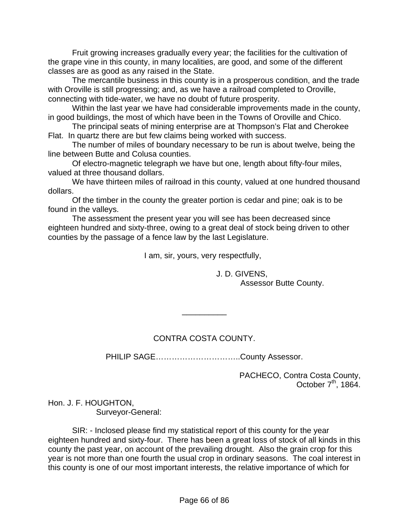Fruit growing increases gradually every year; the facilities for the cultivation of the grape vine in this county, in many localities, are good, and some of the different classes are as good as any raised in the State.

 The mercantile business in this county is in a prosperous condition, and the trade with Oroville is still progressing; and, as we have a railroad completed to Oroville, connecting with tide-water, we have no doubt of future prosperity.

 Within the last year we have had considerable improvements made in the county, in good buildings, the most of which have been in the Towns of Oroville and Chico.

 The principal seats of mining enterprise are at Thompson's Flat and Cherokee Flat. In quartz there are but few claims being worked with success.

 The number of miles of boundary necessary to be run is about twelve, being the line between Butte and Colusa counties.

 Of electro-magnetic telegraph we have but one, length about fifty-four miles, valued at three thousand dollars.

 We have thirteen miles of railroad in this county, valued at one hundred thousand dollars.

 Of the timber in the county the greater portion is cedar and pine; oak is to be found in the valleys.

 The assessment the present year you will see has been decreased since eighteen hundred and sixty-three, owing to a great deal of stock being driven to other counties by the passage of a fence law by the last Legislature.

I am, sir, yours, very respectfully,

# J. D. GIVENS,

Assessor Butte County.

# CONTRA COSTA COUNTY.

 $\overline{\phantom{a}}$ 

PHILIP SAGE..................................County Assessor.

PACHECO, Contra Costa County, October  $7<sup>th</sup>$ , 1864.

Hon. J. F. HOUGHTON, Surveyor-General:

 SIR: - Inclosed please find my statistical report of this county for the year eighteen hundred and sixty-four. There has been a great loss of stock of all kinds in this county the past year, on account of the prevailing drought. Also the grain crop for this year is not more than one fourth the usual crop in ordinary seasons. The coal interest in this county is one of our most important interests, the relative importance of which for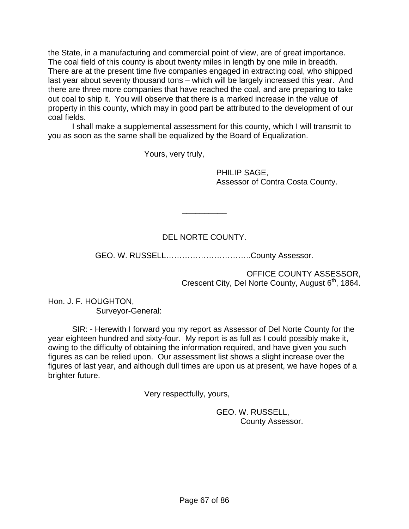the State, in a manufacturing and commercial point of view, are of great importance. The coal field of this county is about twenty miles in length by one mile in breadth. There are at the present time five companies engaged in extracting coal, who shipped last year about seventy thousand tons – which will be largely increased this year. And there are three more companies that have reached the coal, and are preparing to take out coal to ship it. You will observe that there is a marked increase in the value of property in this county, which may in good part be attributed to the development of our coal fields.

 I shall make a supplemental assessment for this county, which I will transmit to you as soon as the same shall be equalized by the Board of Equalization.

Yours, very truly,

 PHILIP SAGE, Assessor of Contra Costa County.

# DEL NORTE COUNTY.

\_\_\_\_\_\_\_\_\_\_

GEO. W. RUSSELL…………………………..County Assessor.

OFFICE COUNTY ASSESSOR, Crescent City, Del Norte County, August 6<sup>th</sup>, 1864.

Hon. J. F. HOUGHTON, Surveyor-General:

 SIR: - Herewith I forward you my report as Assessor of Del Norte County for the year eighteen hundred and sixty-four. My report is as full as I could possibly make it, owing to the difficulty of obtaining the information required, and have given you such figures as can be relied upon. Our assessment list shows a slight increase over the figures of last year, and although dull times are upon us at present, we have hopes of a brighter future.

Very respectfully, yours,

 GEO. W. RUSSELL, County Assessor.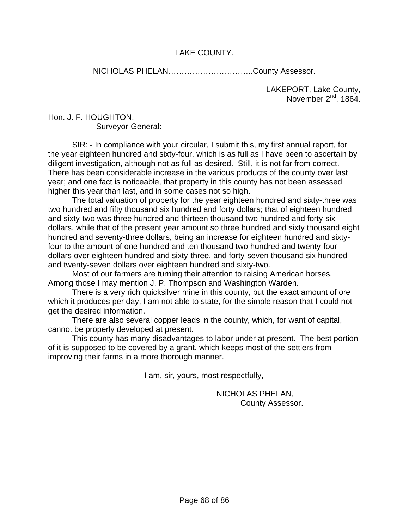#### LAKE COUNTY.

NICHOLAS PHELAN…………………………..County Assessor.

LAKEPORT, Lake County, November  $2^{nd}$ , 1864.

#### Hon. J. F. HOUGHTON, Surveyor-General:

 SIR: - In compliance with your circular, I submit this, my first annual report, for the year eighteen hundred and sixty-four, which is as full as I have been to ascertain by diligent investigation, although not as full as desired. Still, it is not far from correct. There has been considerable increase in the various products of the county over last year; and one fact is noticeable, that property in this county has not been assessed higher this year than last, and in some cases not so high.

 The total valuation of property for the year eighteen hundred and sixty-three was two hundred and fifty thousand six hundred and forty dollars; that of eighteen hundred and sixty-two was three hundred and thirteen thousand two hundred and forty-six dollars, while that of the present year amount so three hundred and sixty thousand eight hundred and seventy-three dollars, being an increase for eighteen hundred and sixtyfour to the amount of one hundred and ten thousand two hundred and twenty-four dollars over eighteen hundred and sixty-three, and forty-seven thousand six hundred and twenty-seven dollars over eighteen hundred and sixty-two.

 Most of our farmers are turning their attention to raising American horses. Among those I may mention J. P. Thompson and Washington Warden.

 There is a very rich quicksilver mine in this county, but the exact amount of ore which it produces per day, I am not able to state, for the simple reason that I could not get the desired information.

 There are also several copper leads in the county, which, for want of capital, cannot be properly developed at present.

 This county has many disadvantages to labor under at present. The best portion of it is supposed to be covered by a grant, which keeps most of the settlers from improving their farms in a more thorough manner.

I am, sir, yours, most respectfully,

 NICHOLAS PHELAN, County Assessor.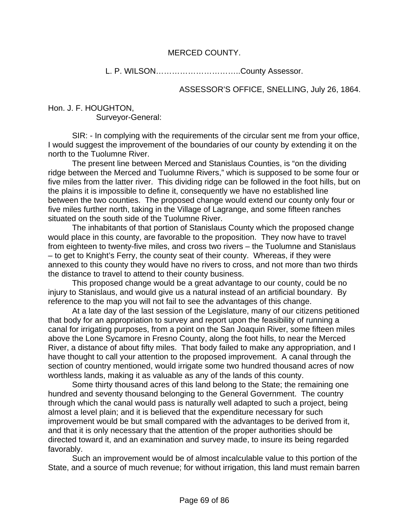#### MERCED COUNTY.

L. P. WILSON…………………………..County Assessor.

ASSESSOR'S OFFICE, SNELLING, July 26, 1864.

Hon. J. F. HOUGHTON, Surveyor-General:

 SIR: - In complying with the requirements of the circular sent me from your office, I would suggest the improvement of the boundaries of our county by extending it on the north to the Tuolumne River.

 The present line between Merced and Stanislaus Counties, is "on the dividing ridge between the Merced and Tuolumne Rivers," which is supposed to be some four or five miles from the latter river. This dividing ridge can be followed in the foot hills, but on the plains it is impossible to define it, consequently we have no established line between the two counties. The proposed change would extend our county only four or five miles further north, taking in the Village of Lagrange, and some fifteen ranches situated on the south side of the Tuolumne River.

 The inhabitants of that portion of Stanislaus County which the proposed change would place in this county, are favorable to the proposition. They now have to travel from eighteen to twenty-five miles, and cross two rivers – the Tuolumne and Stanislaus – to get to Knight's Ferry, the county seat of their county. Whereas, if they were annexed to this county they would have no rivers to cross, and not more than two thirds the distance to travel to attend to their county business.

 This proposed change would be a great advantage to our county, could be no injury to Stanislaus, and would give us a natural instead of an artificial boundary. By reference to the map you will not fail to see the advantages of this change.

 At a late day of the last session of the Legislature, many of our citizens petitioned that body for an appropriation to survey and report upon the feasibility of running a canal for irrigating purposes, from a point on the San Joaquin River, some fifteen miles above the Lone Sycamore in Fresno County, along the foot hills, to near the Merced River, a distance of about fifty miles. That body failed to make any appropriation, and I have thought to call your attention to the proposed improvement. A canal through the section of country mentioned, would irrigate some two hundred thousand acres of now worthless lands, making it as valuable as any of the lands of this county.

 Some thirty thousand acres of this land belong to the State; the remaining one hundred and seventy thousand belonging to the General Government. The country through which the canal would pass is naturally well adapted to such a project, being almost a level plain; and it is believed that the expenditure necessary for such improvement would be but small compared with the advantages to be derived from it, and that it is only necessary that the attention of the proper authorities should be directed toward it, and an examination and survey made, to insure its being regarded favorably.

 Such an improvement would be of almost incalculable value to this portion of the State, and a source of much revenue; for without irrigation, this land must remain barren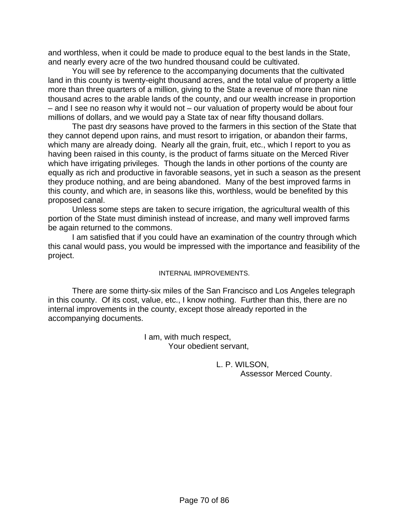and worthless, when it could be made to produce equal to the best lands in the State, and nearly every acre of the two hundred thousand could be cultivated.

 You will see by reference to the accompanying documents that the cultivated land in this county is twenty-eight thousand acres, and the total value of property a little more than three quarters of a million, giving to the State a revenue of more than nine thousand acres to the arable lands of the county, and our wealth increase in proportion – and I see no reason why it would not – our valuation of property would be about four millions of dollars, and we would pay a State tax of near fifty thousand dollars.

 The past dry seasons have proved to the farmers in this section of the State that they cannot depend upon rains, and must resort to irrigation, or abandon their farms, which many are already doing. Nearly all the grain, fruit, etc., which I report to you as having been raised in this county, is the product of farms situate on the Merced River which have irrigating privileges. Though the lands in other portions of the county are equally as rich and productive in favorable seasons, yet in such a season as the present they produce nothing, and are being abandoned. Many of the best improved farms in this county, and which are, in seasons like this, worthless, would be benefited by this proposed canal.

 Unless some steps are taken to secure irrigation, the agricultural wealth of this portion of the State must diminish instead of increase, and many well improved farms be again returned to the commons.

 I am satisfied that if you could have an examination of the country through which this canal would pass, you would be impressed with the importance and feasibility of the project.

#### INTERNAL IMPROVEMENTS.

 There are some thirty-six miles of the San Francisco and Los Angeles telegraph in this county. Of its cost, value, etc., I know nothing. Further than this, there are no internal improvements in the county, except those already reported in the accompanying documents.

> I am, with much respect, Your obedient servant,

> > L. P. WILSON, Assessor Merced County.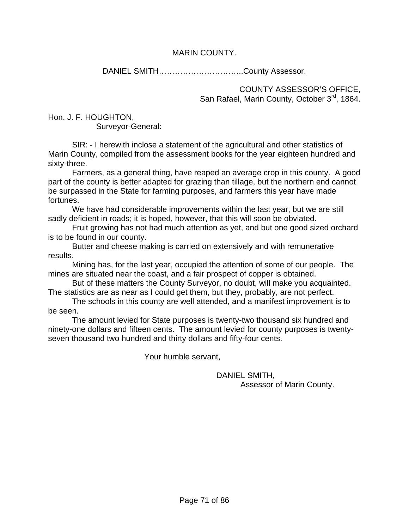#### MARIN COUNTY.

DANIEL SMITH…………………………..County Assessor.

COUNTY ASSESSOR'S OFFICE, San Rafael, Marin County, October 3rd, 1864.

Hon. J. F. HOUGHTON, Surveyor-General:

 SIR: - I herewith inclose a statement of the agricultural and other statistics of Marin County, compiled from the assessment books for the year eighteen hundred and sixty-three.

 Farmers, as a general thing, have reaped an average crop in this county. A good part of the county is better adapted for grazing than tillage, but the northern end cannot be surpassed in the State for farming purposes, and farmers this year have made fortunes.

 We have had considerable improvements within the last year, but we are still sadly deficient in roads; it is hoped, however, that this will soon be obviated.

 Fruit growing has not had much attention as yet, and but one good sized orchard is to be found in our county.

 Butter and cheese making is carried on extensively and with remunerative results.

 Mining has, for the last year, occupied the attention of some of our people. The mines are situated near the coast, and a fair prospect of copper is obtained.

 But of these matters the County Surveyor, no doubt, will make you acquainted. The statistics are as near as I could get them, but they, probably, are not perfect.

 The schools in this county are well attended, and a manifest improvement is to be seen.

 The amount levied for State purposes is twenty-two thousand six hundred and ninety-one dollars and fifteen cents. The amount levied for county purposes is twentyseven thousand two hundred and thirty dollars and fifty-four cents.

Your humble servant,

 DANIEL SMITH, Assessor of Marin County.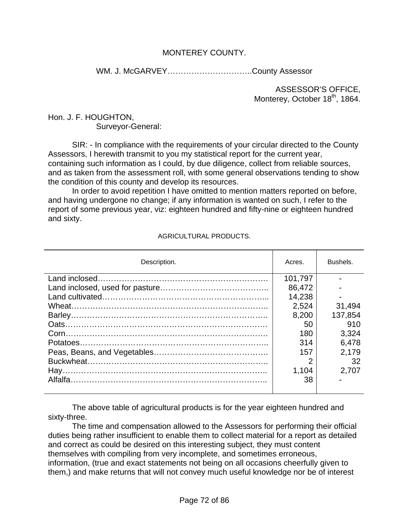#### MONTEREY COUNTY.

WM. J. McGARVEY…………………………..County Assessor

ASSESSOR'S OFFICE, Monterey, October 18<sup>th</sup>, 1864.

#### Hon. J. F. HOUGHTON, Surveyor-General:

 SIR: - In compliance with the requirements of your circular directed to the County Assessors, I herewith transmit to you my statistical report for the current year, containing such information as I could, by due diligence, collect from reliable sources, and as taken from the assessment roll, with some general observations tending to show the condition of this county and develop its resources.

 In order to avoid repetition I have omitted to mention matters reported on before, and having undergone no change; if any information is wanted on such, I refer to the report of some previous year, viz: eighteen hundred and fifty-nine or eighteen hundred and sixty.

#### AGRICULTURAL PRODUCTS.

| Description. | Acres.  | Bushels. |
|--------------|---------|----------|
|              | 101,797 |          |
|              | 86,472  |          |
|              | 14,238  |          |
|              | 2,524   | 31,494   |
|              | 8.200   | 137,854  |
|              | 50      | 910      |
|              | 180     | 3,324    |
|              | 314     | 6,478    |
|              | 157     | 2,179    |
|              | 2       | 32       |
|              | 1.104   | 2.707    |
|              | 38      |          |
|              |         |          |

 The above table of agricultural products is for the year eighteen hundred and sixty-three.

 The time and compensation allowed to the Assessors for performing their official duties being rather insufficient to enable them to collect material for a report as detailed and correct as could be desired on this interesting subject, they must content themselves with compiling from very incomplete, and sometimes erroneous, information, (true and exact statements not being on all occasions cheerfully given to them,) and make returns that will not convey much useful knowledge nor be of interest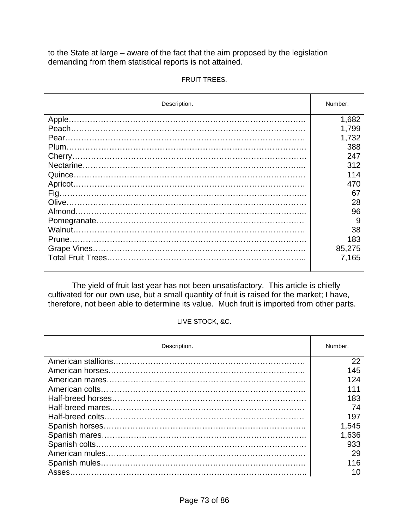to the State at large – aware of the fact that the aim proposed by the legislation demanding from them statistical reports is not attained.

| Description. | Number. |
|--------------|---------|
|              | 1,682   |
|              | 1,799   |
|              | 1,732   |
|              | 388     |
|              | 247     |
|              | 312     |
|              | 114     |
|              | 470     |
|              | 67      |
|              | 28      |
|              | 96      |
|              | 9       |
|              | 38      |
|              | 183     |
|              | 85,275  |
|              | 7,165   |
|              |         |

#### FRUIT TREES.

 The yield of fruit last year has not been unsatisfactory. This article is chiefly cultivated for our own use, but a small quantity of fruit is raised for the market; I have, therefore, not been able to determine its value. Much fruit is imported from other parts.

#### LIVE STOCK, &C.

| Description. | Number. |  |
|--------------|---------|--|
|              | 22      |  |
|              | 145     |  |
|              | 124     |  |
|              |         |  |
|              | 183     |  |
|              | 74      |  |
|              | 197     |  |
|              | 1,545   |  |
|              | 1,636   |  |
|              | 933     |  |
|              | 29      |  |
|              | 116     |  |
|              | 10      |  |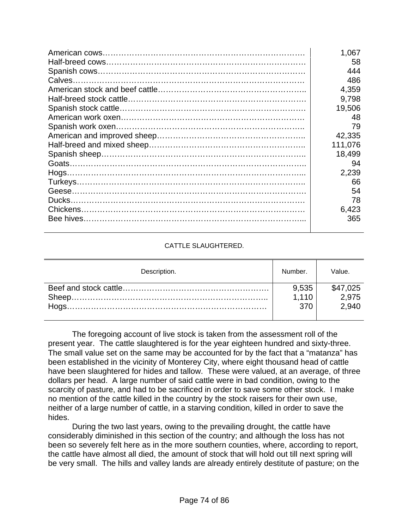| 1,067   |
|---------|
| 58      |
| 444     |
| 486     |
| 4,359   |
| 9,798   |
| 19,506  |
| 48      |
| 79      |
| 42,335  |
| 111,076 |
| 18,499  |
| 94      |
| 2,239   |
| 66      |
| 54      |
| 78      |
| 6,423   |
| 365     |
|         |

### CATTLE SLAUGHTERED.

| Description. | Number. | Value.   |
|--------------|---------|----------|
|              | 9,535   | \$47,025 |
|              | 1.110   | 2.975    |
|              | 370     | 2.940    |
|              |         |          |

 The foregoing account of live stock is taken from the assessment roll of the present year. The cattle slaughtered is for the year eighteen hundred and sixty-three. The small value set on the same may be accounted for by the fact that a "matanza" has been established in the vicinity of Monterey City, where eight thousand head of cattle have been slaughtered for hides and tallow. These were valued, at an average, of three dollars per head. A large number of said cattle were in bad condition, owing to the scarcity of pasture, and had to be sacrificed in order to save some other stock. I make no mention of the cattle killed in the country by the stock raisers for their own use, neither of a large number of cattle, in a starving condition, killed in order to save the hides.

 During the two last years, owing to the prevailing drought, the cattle have considerably diminished in this section of the country; and although the loss has not been so severely felt here as in the more southern counties, where, according to report, the cattle have almost all died, the amount of stock that will hold out till next spring will be very small. The hills and valley lands are already entirely destitute of pasture; on the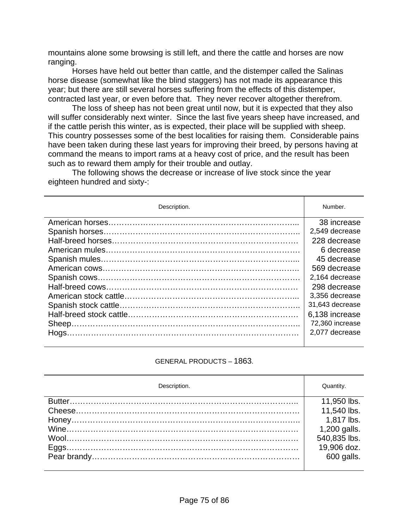mountains alone some browsing is still left, and there the cattle and horses are now ranging.

 Horses have held out better than cattle, and the distemper called the Salinas horse disease (somewhat like the blind staggers) has not made its appearance this year; but there are still several horses suffering from the effects of this distemper, contracted last year, or even before that. They never recover altogether therefrom.

 The loss of sheep has not been great until now, but it is expected that they also will suffer considerably next winter. Since the last five years sheep have increased, and if the cattle perish this winter, as is expected, their place will be supplied with sheep. This country possesses some of the best localities for raising them. Considerable pains have been taken during these last years for improving their breed, by persons having at command the means to import rams at a heavy cost of price, and the result has been such as to reward them amply for their trouble and outlay.

 The following shows the decrease or increase of live stock since the year eighteen hundred and sixty-:

| Description. | Number.         |  |  |
|--------------|-----------------|--|--|
|              | 38 increase     |  |  |
|              | 2,549 decrease  |  |  |
|              | 228 decrease    |  |  |
|              | 6 decrease      |  |  |
|              | 45 decrease     |  |  |
|              | 569 decrease    |  |  |
|              | 2,164 decrease  |  |  |
|              | 298 decrease    |  |  |
|              | 3,356 decrease  |  |  |
|              | 31,643 decrease |  |  |
|              | 6,138 increase  |  |  |
|              | 72,360 increase |  |  |
|              | 2,077 decrease  |  |  |
|              |                 |  |  |

### GENERAL PRODUCTS – 1863.

| Description. | Quantity.    |  |
|--------------|--------------|--|
|              | 11,950 lbs.  |  |
|              | 11,540 lbs.  |  |
|              | 1,817 lbs.   |  |
|              | 1,200 galls. |  |
|              | 540,835 lbs. |  |
|              | 19,906 doz.  |  |
|              | 600 galls.   |  |
|              |              |  |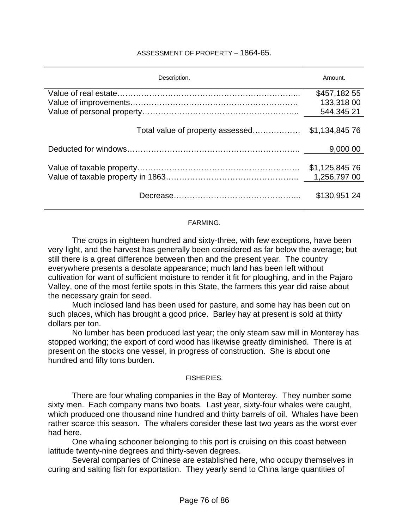### ASSESSMENT OF PROPERTY – 1864-65.

| Description.                     | Amount.        |  |  |
|----------------------------------|----------------|--|--|
|                                  | \$457,18255    |  |  |
|                                  | 133,318 00     |  |  |
|                                  | 544,345 21     |  |  |
| Total value of property assessed | \$1,134,845 76 |  |  |
|                                  | 9,000 00       |  |  |
|                                  |                |  |  |
|                                  | \$1,125,845 76 |  |  |
|                                  | 1,256,797 00   |  |  |
|                                  | \$130,951 24   |  |  |

#### FARMING.

 The crops in eighteen hundred and sixty-three, with few exceptions, have been very light, and the harvest has generally been considered as far below the average; but still there is a great difference between then and the present year. The country everywhere presents a desolate appearance; much land has been left without cultivation for want of sufficient moisture to render it fit for ploughing, and in the Pajaro Valley, one of the most fertile spots in this State, the farmers this year did raise about the necessary grain for seed.

 Much inclosed land has been used for pasture, and some hay has been cut on such places, which has brought a good price. Barley hay at present is sold at thirty dollars per ton.

 No lumber has been produced last year; the only steam saw mill in Monterey has stopped working; the export of cord wood has likewise greatly diminished. There is at present on the stocks one vessel, in progress of construction. She is about one hundred and fifty tons burden.

#### FISHERIES.

 There are four whaling companies in the Bay of Monterey. They number some sixty men. Each company mans two boats. Last year, sixty-four whales were caught, which produced one thousand nine hundred and thirty barrels of oil. Whales have been rather scarce this season. The whalers consider these last two years as the worst ever had here.

 One whaling schooner belonging to this port is cruising on this coast between latitude twenty-nine degrees and thirty-seven degrees.

 Several companies of Chinese are established here, who occupy themselves in curing and salting fish for exportation. They yearly send to China large quantities of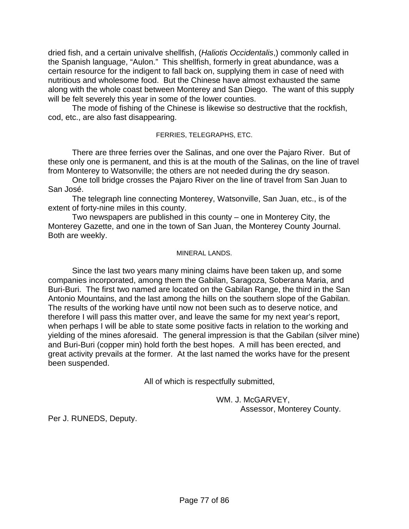dried fish, and a certain univalve shellfish, (*Haliotis Occidentalis*,) commonly called in the Spanish language, "Aulon." This shellfish, formerly in great abundance, was a certain resource for the indigent to fall back on, supplying them in case of need with nutritious and wholesome food. But the Chinese have almost exhausted the same along with the whole coast between Monterey and San Diego. The want of this supply will be felt severely this year in some of the lower counties.

 The mode of fishing of the Chinese is likewise so destructive that the rockfish, cod, etc., are also fast disappearing.

FERRIES, TELEGRAPHS, ETC.

 There are three ferries over the Salinas, and one over the Pajaro River. But of these only one is permanent, and this is at the mouth of the Salinas, on the line of travel from Monterey to Watsonville; the others are not needed during the dry season.

 One toll bridge crosses the Pajaro River on the line of travel from San Juan to San José.

 The telegraph line connecting Monterey, Watsonville, San Juan, etc., is of the extent of forty-nine miles in this county.

 Two newspapers are published in this county – one in Monterey City, the Monterey Gazette, and one in the town of San Juan, the Monterey County Journal. Both are weekly.

### MINERAL LANDS.

 Since the last two years many mining claims have been taken up, and some companies incorporated, among them the Gabilan, Saragoza, Soberana Maria, and Buri-Buri. The first two named are located on the Gabilan Range, the third in the San Antonio Mountains, and the last among the hills on the southern slope of the Gabilan. The results of the working have until now not been such as to deserve notice, and therefore I will pass this matter over, and leave the same for my next year's report, when perhaps I will be able to state some positive facts in relation to the working and yielding of the mines aforesaid. The general impression is that the Gabilan (silver mine) and Buri-Buri (copper min) hold forth the best hopes. A mill has been erected, and great activity prevails at the former. At the last named the works have for the present been suspended.

All of which is respectfully submitted,

 WM. J. McGARVEY, Assessor, Monterey County.

Per J. RUNEDS, Deputy.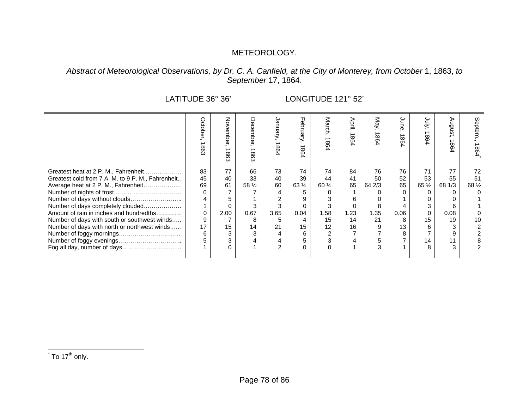# METEOROLOGY.

## *Abstract of Meteorological Observations, by Dr. C. A. Canfield, at the City of Monterey, from October* 1, 1863, *to September* 17, 1864.

LATITUDE 36° 36' LONGITUDE 121° 52'

|                                                   | Octobel<br>¬<br>8 | š<br>ਠ<br>→<br>8 | O<br>8<br>$\mathfrak{c}$ | ရွ<br>98 | т<br>ebruary,<br>1864 | March,<br>1864  | April,<br>∸<br>98 | May,<br>$\overline{\phantom{a}}$<br>86 | ξ<br>→<br>$\infty$<br>$\infty$ | yuly<br>86      | nôn<br>8 | Septem<br>1864 |
|---------------------------------------------------|-------------------|------------------|--------------------------|----------|-----------------------|-----------------|-------------------|----------------------------------------|--------------------------------|-----------------|----------|----------------|
| Greatest heat at 2 P. M., Fahrenheit              | 83                | 77               | 66                       | 73       | 74                    | 74              | 84                | 76                                     | 76                             | 71              | 77       | 72             |
| Greatest cold from 7 A. M. to 9 P. M., Fahrenheit | 45                | 40               | 33                       | 40       | 39                    | 44              | 41                | 50                                     | 52                             | 53              | 55       | 51             |
| Average heat at 2 P. M., Fahrenheit               | 69                | 61               | 58 $\frac{1}{2}$         | 60       | $63\frac{1}{2}$       | $60\frac{1}{2}$ | 65                | 64 2/3                                 | 65                             | $65\frac{1}{2}$ | 68 1/3   | 68 1/2         |
|                                                   | 0                 |                  |                          |          |                       |                 |                   |                                        |                                |                 |          |                |
| Number of days without clouds                     |                   |                  |                          |          |                       |                 | 6                 |                                        |                                |                 |          |                |
| Number of days completely clouded                 |                   |                  |                          |          |                       |                 |                   |                                        |                                |                 |          |                |
| Amount of rain in inches and hundredths           | 0                 | 2.00             | 0.67                     | 3.65     | 0.04                  | 1.58            | 1.23              | 1.35                                   | 0.06                           |                 | 0.08     |                |
| Number of days with south or southwest winds      | 9                 |                  | 8                        | 5.       | 4                     | 15              | 14                | 21                                     |                                | 15              | 19       | 10             |
| Number of days with north or northwest winds      | 17                | 15               | 14                       | 21       | 15                    | 12              | 16                | 9                                      | 13                             |                 |          |                |
|                                                   | 6                 |                  | 3                        | 4        | 6                     | 2               |                   |                                        |                                |                 |          |                |
|                                                   |                   |                  |                          |          | 5                     | 3               |                   |                                        |                                | 14              | 11       |                |
|                                                   |                   |                  |                          | 2        | $\Omega$              |                 |                   |                                        |                                |                 |          |                |
|                                                   |                   |                  |                          |          |                       |                 |                   |                                        |                                |                 |          |                |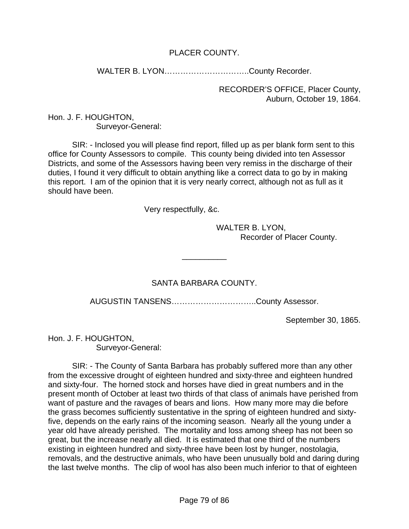# PLACER COUNTY.

WALTER B. LYON…………………………..County Recorder.

RECORDER'S OFFICE, Placer County, Auburn, October 19, 1864.

Hon. J. F. HOUGHTON, Surveyor-General:

 SIR: - Inclosed you will please find report, filled up as per blank form sent to this office for County Assessors to compile. This county being divided into ten Assessor Districts, and some of the Assessors having been very remiss in the discharge of their duties, I found it very difficult to obtain anything like a correct data to go by in making this report. I am of the opinion that it is very nearly correct, although not as full as it should have been.

Very respectfully, &c.

 WALTER B. LYON, Recorder of Placer County.

# SANTA BARBARA COUNTY.

\_\_\_\_\_\_\_\_\_\_

AUGUSTIN TANSENS…………………………..County Assessor.

September 30, 1865.

Hon. J. F. HOUGHTON, Surveyor-General:

 SIR: - The County of Santa Barbara has probably suffered more than any other from the excessive drought of eighteen hundred and sixty-three and eighteen hundred and sixty-four. The horned stock and horses have died in great numbers and in the present month of October at least two thirds of that class of animals have perished from want of pasture and the ravages of bears and lions. How many more may die before the grass becomes sufficiently sustentative in the spring of eighteen hundred and sixtyfive, depends on the early rains of the incoming season. Nearly all the young under a year old have already perished. The mortality and loss among sheep has not been so great, but the increase nearly all died. It is estimated that one third of the numbers existing in eighteen hundred and sixty-three have been lost by hunger, nostolagia, removals, and the destructive animals, who have been unusually bold and daring during the last twelve months. The clip of wool has also been much inferior to that of eighteen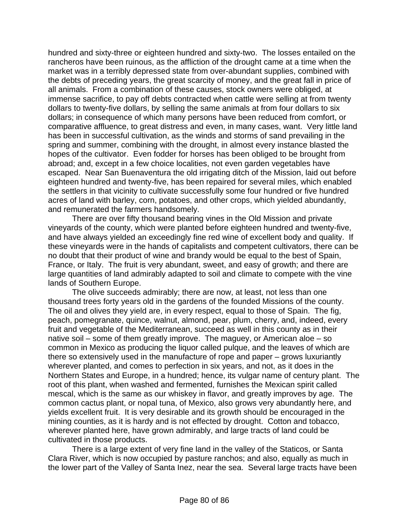hundred and sixty-three or eighteen hundred and sixty-two. The losses entailed on the rancheros have been ruinous, as the affliction of the drought came at a time when the market was in a terribly depressed state from over-abundant supplies, combined with the debts of preceding years, the great scarcity of money, and the great fall in price of all animals. From a combination of these causes, stock owners were obliged, at immense sacrifice, to pay off debts contracted when cattle were selling at from twenty dollars to twenty-five dollars, by selling the same animals at from four dollars to six dollars; in consequence of which many persons have been reduced from comfort, or comparative affluence, to great distress and even, in many cases, want. Very little land has been in successful cultivation, as the winds and storms of sand prevailing in the spring and summer, combining with the drought, in almost every instance blasted the hopes of the cultivator. Even fodder for horses has been obliged to be brought from abroad; and, except in a few choice localities, not even garden vegetables have escaped. Near San Buenaventura the old irrigating ditch of the Mission, laid out before eighteen hundred and twenty-five, has been repaired for several miles, which enabled the settlers in that vicinity to cultivate successfully some four hundred or five hundred acres of land with barley, corn, potatoes, and other crops, which yielded abundantly, and remunerated the farmers handsomely.

 There are over fifty thousand bearing vines in the Old Mission and private vineyards of the county, which were planted before eighteen hundred and twenty-five, and have always yielded an exceedingly fine red wine of excellent body and quality. If these vineyards were in the hands of capitalists and competent cultivators, there can be no doubt that their product of wine and brandy would be equal to the best of Spain, France, or Italy. The fruit is very abundant, sweet, and easy of growth; and there are large quantities of land admirably adapted to soil and climate to compete with the vine lands of Southern Europe.

 The olive succeeds admirably; there are now, at least, not less than one thousand trees forty years old in the gardens of the founded Missions of the county. The oil and olives they yield are, in every respect, equal to those of Spain. The fig, peach, pomegranate, quince, walnut, almond, pear, plum, cherry, and, indeed, every fruit and vegetable of the Mediterranean, succeed as well in this county as in their native soil – some of them greatly improve. The maguey, or American aloe – so common in Mexico as producing the liquor called pulque, and the leaves of which are there so extensively used in the manufacture of rope and paper – grows luxuriantly wherever planted, and comes to perfection in six years, and not, as it does in the Northern States and Europe, in a hundred; hence, its vulgar name of century plant. The root of this plant, when washed and fermented, furnishes the Mexican spirit called mescal, which is the same as our whiskey in flavor, and greatly improves by age. The common cactus plant, or nopal tuna, of Mexico, also grows very abundantly here, and yields excellent fruit. It is very desirable and its growth should be encouraged in the mining counties, as it is hardy and is not effected by drought. Cotton and tobacco, wherever planted here, have grown admirably, and large tracts of land could be cultivated in those products.

 There is a large extent of very fine land in the valley of the Staticos, or Santa Clara River, which is now occupied by pasture ranchos; and also, equally as much in the lower part of the Valley of Santa Inez, near the sea. Several large tracts have been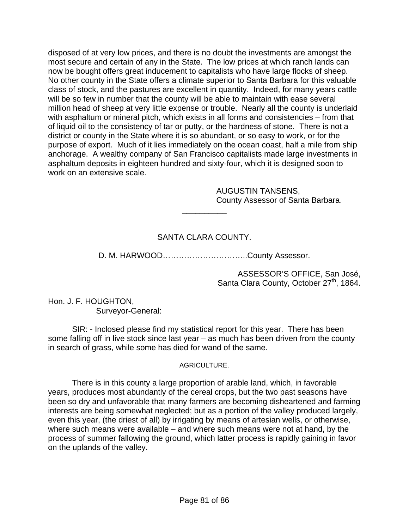disposed of at very low prices, and there is no doubt the investments are amongst the most secure and certain of any in the State. The low prices at which ranch lands can now be bought offers great inducement to capitalists who have large flocks of sheep. No other county in the State offers a climate superior to Santa Barbara for this valuable class of stock, and the pastures are excellent in quantity. Indeed, for many years cattle will be so few in number that the county will be able to maintain with ease several million head of sheep at very little expense or trouble. Nearly all the county is underlaid with asphaltum or mineral pitch, which exists in all forms and consistencies – from that of liquid oil to the consistency of tar or putty, or the hardness of stone. There is not a district or county in the State where it is so abundant, or so easy to work, or for the purpose of export. Much of it lies immediately on the ocean coast, half a mile from ship anchorage. A wealthy company of San Francisco capitalists made large investments in asphaltum deposits in eighteen hundred and sixty-four, which it is designed soon to work on an extensive scale.

> AUGUSTIN TANSENS, County Assessor of Santa Barbara.

# SANTA CLARA COUNTY.

\_\_\_\_\_\_\_\_\_\_

D. M. HARWOOD…………………………..County Assessor.

ASSESSOR'S OFFICE, San José, Santa Clara County, October 27<sup>th</sup>, 1864.

Hon. J. F. HOUGHTON, Surveyor-General:

 SIR: - Inclosed please find my statistical report for this year. There has been some falling off in live stock since last year – as much has been driven from the county in search of grass, while some has died for wand of the same.

## AGRICULTURE.

 There is in this county a large proportion of arable land, which, in favorable years, produces most abundantly of the cereal crops, but the two past seasons have been so dry and unfavorable that many farmers are becoming disheartened and farming interests are being somewhat neglected; but as a portion of the valley produced largely, even this year, (the driest of all) by irrigating by means of artesian wells, or otherwise, where such means were available – and where such means were not at hand, by the process of summer fallowing the ground, which latter process is rapidly gaining in favor on the uplands of the valley.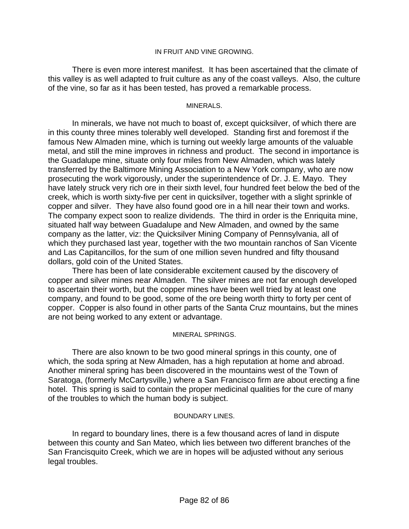### IN FRUIT AND VINE GROWING.

 There is even more interest manifest. It has been ascertained that the climate of this valley is as well adapted to fruit culture as any of the coast valleys. Also, the culture of the vine, so far as it has been tested, has proved a remarkable process.

#### MINERALS.

 In minerals, we have not much to boast of, except quicksilver, of which there are in this county three mines tolerably well developed. Standing first and foremost if the famous New Almaden mine, which is turning out weekly large amounts of the valuable metal, and still the mine improves in richness and product. The second in importance is the Guadalupe mine, situate only four miles from New Almaden, which was lately transferred by the Baltimore Mining Association to a New York company, who are now prosecuting the work vigorously, under the superintendence of Dr. J. E. Mayo. They have lately struck very rich ore in their sixth level, four hundred feet below the bed of the creek, which is worth sixty-five per cent in quicksilver, together with a slight sprinkle of copper and silver. They have also found good ore in a hill near their town and works. The company expect soon to realize dividends. The third in order is the Enriquita mine, situated half way between Guadalupe and New Almaden, and owned by the same company as the latter, viz: the Quicksilver Mining Company of Pennsylvania, all of which they purchased last year, together with the two mountain ranchos of San Vicente and Las Capitancillos, for the sum of one million seven hundred and fifty thousand dollars, gold coin of the United States.

 There has been of late considerable excitement caused by the discovery of copper and silver mines near Almaden. The silver mines are not far enough developed to ascertain their worth, but the copper mines have been well tried by at least one company, and found to be good, some of the ore being worth thirty to forty per cent of copper. Copper is also found in other parts of the Santa Cruz mountains, but the mines are not being worked to any extent or advantage.

### MINERAL SPRINGS.

 There are also known to be two good mineral springs in this county, one of which, the soda spring at New Almaden, has a high reputation at home and abroad. Another mineral spring has been discovered in the mountains west of the Town of Saratoga, (formerly McCartysville,) where a San Francisco firm are about erecting a fine hotel. This spring is said to contain the proper medicinal qualities for the cure of many of the troubles to which the human body is subject.

### BOUNDARY LINES.

In regard to boundary lines, there is a few thousand acres of land in dispute between this county and San Mateo, which lies between two different branches of the San Francisquito Creek, which we are in hopes will be adjusted without any serious legal troubles.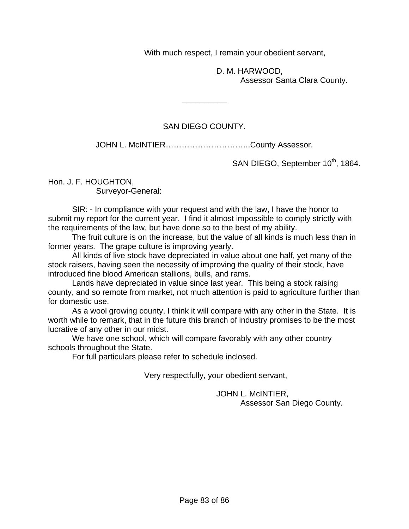With much respect, I remain your obedient servant,

 D. M. HARWOOD, Assessor Santa Clara County.

## SAN DIEGO COUNTY.

 $\overline{\phantom{a}}$ 

JOHN L. McINTIER...................................County Assessor.

SAN DIEGO, September 10<sup>th</sup>, 1864.

Hon. J. F. HOUGHTON,

Surveyor-General:

 SIR: - In compliance with your request and with the law, I have the honor to submit my report for the current year. I find it almost impossible to comply strictly with the requirements of the law, but have done so to the best of my ability.

 The fruit culture is on the increase, but the value of all kinds is much less than in former years. The grape culture is improving yearly.

 All kinds of live stock have depreciated in value about one half, yet many of the stock raisers, having seen the necessity of improving the quality of their stock, have introduced fine blood American stallions, bulls, and rams.

 Lands have depreciated in value since last year. This being a stock raising county, and so remote from market, not much attention is paid to agriculture further than for domestic use.

 As a wool growing county, I think it will compare with any other in the State. It is worth while to remark, that in the future this branch of industry promises to be the most lucrative of any other in our midst.

 We have one school, which will compare favorably with any other country schools throughout the State.

For full particulars please refer to schedule inclosed.

Very respectfully, your obedient servant,

 JOHN L. McINTIER, Assessor San Diego County.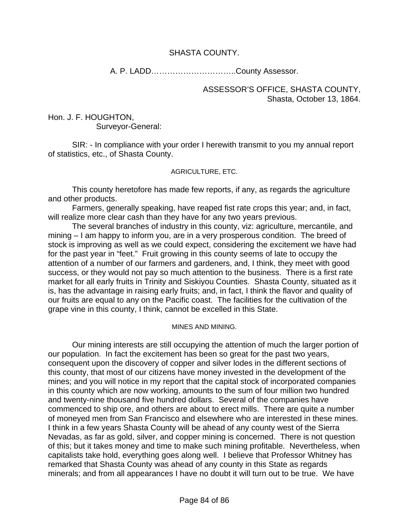## SHASTA COUNTY.

A. P. LADD…………………………..County Assessor.

ASSESSOR'S OFFICE, SHASTA COUNTY, Shasta, October 13, 1864.

Hon. J. F. HOUGHTON, Surveyor-General:

 SIR: - In compliance with your order I herewith transmit to you my annual report of statistics, etc., of Shasta County.

### AGRICULTURE, ETC.

 This county heretofore has made few reports, if any, as regards the agriculture and other products.

 Farmers, generally speaking, have reaped fist rate crops this year; and, in fact, will realize more clear cash than they have for any two years previous.

 The several branches of industry in this county, viz: agriculture, mercantile, and mining – I am happy to inform you, are in a very prosperous condition. The breed of stock is improving as well as we could expect, considering the excitement we have had for the past year in "feet." Fruit growing in this county seems of late to occupy the attention of a number of our farmers and gardeners, and, I think, they meet with good success, or they would not pay so much attention to the business. There is a first rate market for all early fruits in Trinity and Siskiyou Counties. Shasta County, situated as it is, has the advantage in raising early fruits; and, in fact, I think the flavor and quality of our fruits are equal to any on the Pacific coast. The facilities for the cultivation of the grape vine in this county, I think, cannot be excelled in this State.

### MINES AND MINING.

 Our mining interests are still occupying the attention of much the larger portion of our population. In fact the excitement has been so great for the past two years, consequent upon the discovery of copper and silver lodes in the different sections of this county, that most of our citizens have money invested in the development of the mines; and you will notice in my report that the capital stock of incorporated companies in this county which are now working, amounts to the sum of four million two hundred and twenty-nine thousand five hundred dollars. Several of the companies have commenced to ship ore, and others are about to erect mills. There are quite a number of moneyed men from San Francisco and elsewhere who are interested in these mines. I think in a few years Shasta County will be ahead of any county west of the Sierra Nevadas, as far as gold, silver, and copper mining is concerned. There is not question of this; but it takes money and time to make such mining profitable. Nevertheless, when capitalists take hold, everything goes along well. I believe that Professor Whitney has remarked that Shasta County was ahead of any county in this State as regards minerals; and from all appearances I have no doubt it will turn out to be true. We have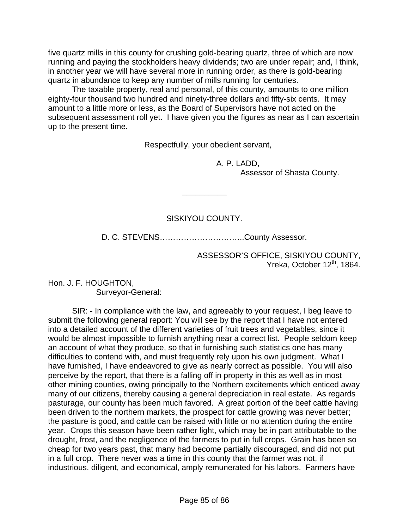five quartz mills in this county for crushing gold-bearing quartz, three of which are now running and paying the stockholders heavy dividends; two are under repair; and, I think, in another year we will have several more in running order, as there is gold-bearing quartz in abundance to keep any number of mills running for centuries.

 The taxable property, real and personal, of this county, amounts to one million eighty-four thousand two hundred and ninety-three dollars and fifty-six cents. It may amount to a little more or less, as the Board of Supervisors have not acted on the subsequent assessment roll yet. I have given you the figures as near as I can ascertain up to the present time.

Respectfully, your obedient servant,

 A. P. LADD, Assessor of Shasta County.

## SISKIYOU COUNTY.

 $\overline{\phantom{a}}$ 

D. C. STEVENS…………………………..County Assessor.

ASSESSOR'S OFFICE, SISKIYOU COUNTY, Yreka, October 12<sup>th</sup>, 1864.

Hon. J. F. HOUGHTON, Surveyor-General:

 SIR: - In compliance with the law, and agreeably to your request, I beg leave to submit the following general report: You will see by the report that I have not entered into a detailed account of the different varieties of fruit trees and vegetables, since it would be almost impossible to furnish anything near a correct list. People seldom keep an account of what they produce, so that in furnishing such statistics one has many difficulties to contend with, and must frequently rely upon his own judgment. What I have furnished, I have endeavored to give as nearly correct as possible. You will also perceive by the report, that there is a falling off in property in this as well as in most other mining counties, owing principally to the Northern excitements which enticed away many of our citizens, thereby causing a general depreciation in real estate. As regards pasturage, our county has been much favored. A great portion of the beef cattle having been driven to the northern markets, the prospect for cattle growing was never better; the pasture is good, and cattle can be raised with little or no attention during the entire year. Crops this season have been rather light, which may be in part attributable to the drought, frost, and the negligence of the farmers to put in full crops. Grain has been so cheap for two years past, that many had become partially discouraged, and did not put in a full crop. There never was a time in this county that the farmer was not, if industrious, diligent, and economical, amply remunerated for his labors. Farmers have